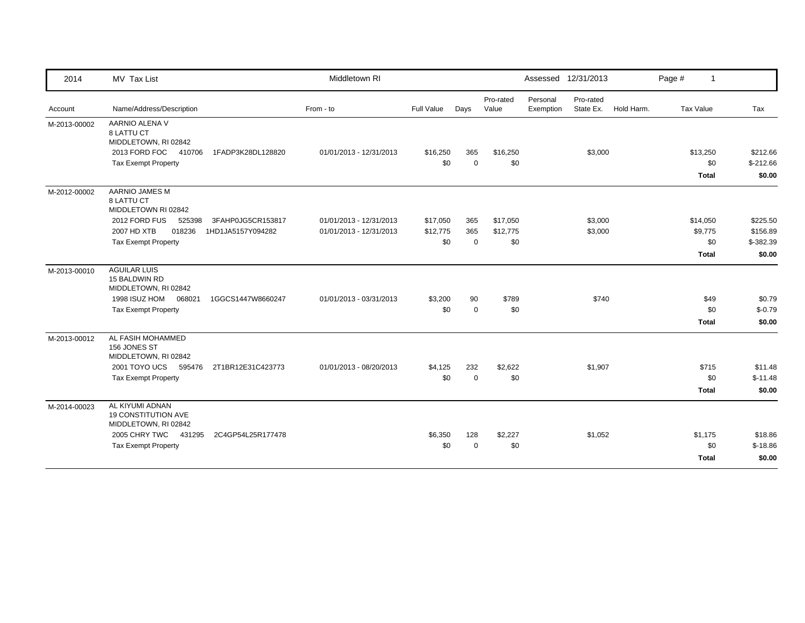| 2014         | MV Tax List                                                           | Middletown RI           |            |             |                    |                       | Assessed 12/31/2013    |            | Page #       | $\mathbf{1}$       |
|--------------|-----------------------------------------------------------------------|-------------------------|------------|-------------|--------------------|-----------------------|------------------------|------------|--------------|--------------------|
| Account      | Name/Address/Description                                              | From - to               | Full Value | Days        | Pro-rated<br>Value | Personal<br>Exemption | Pro-rated<br>State Ex. | Hold Harm. | Tax Value    | Tax                |
| M-2013-00002 | AARNIO ALENA V<br>8 LATTU CT<br>MIDDLETOWN, RI 02842                  |                         |            |             |                    |                       |                        |            |              |                    |
|              | 2013 FORD FOC 410706<br>1FADP3K28DL128820                             | 01/01/2013 - 12/31/2013 | \$16,250   | 365         | \$16,250           |                       | \$3,000                |            | \$13,250     | \$212.66           |
|              | <b>Tax Exempt Property</b>                                            |                         | \$0        | $\mathbf 0$ | \$0                |                       |                        |            |              | \$0<br>$$-212.66$  |
|              |                                                                       |                         |            |             |                    |                       |                        |            | <b>Total</b> | \$0.00             |
| M-2012-00002 | AARNIO JAMES M<br>8 LATTU CT<br>MIDDLETOWN RI 02842                   |                         |            |             |                    |                       |                        |            |              |                    |
|              | 2012 FORD FUS<br>525398<br>3FAHP0JG5CR153817                          | 01/01/2013 - 12/31/2013 | \$17,050   | 365         | \$17,050           |                       | \$3,000                |            | \$14,050     | \$225.50           |
|              | 2007 HD XTB<br>018236<br>1HD1JA5157Y094282                            | 01/01/2013 - 12/31/2013 | \$12,775   | 365         | \$12,775           |                       | \$3,000                |            | \$9,775      | \$156.89           |
|              | <b>Tax Exempt Property</b>                                            |                         | \$0        | $\Omega$    | \$0                |                       |                        |            |              | \$0<br>$$ -382.39$ |
|              |                                                                       |                         |            |             |                    |                       |                        |            | Total        | \$0.00             |
| M-2013-00010 | <b>AGUILAR LUIS</b><br>15 BALDWIN RD<br>MIDDLETOWN, RI 02842          |                         |            |             |                    |                       |                        |            |              |                    |
|              | 1998 ISUZ HOM<br>068021<br>1GGCS1447W8660247                          | 01/01/2013 - 03/31/2013 | \$3,200    | 90          | \$789              |                       | \$740                  |            |              | \$49<br>\$0.79     |
|              | <b>Tax Exempt Property</b>                                            |                         | \$0        | $\mathbf 0$ | \$0                |                       |                        |            |              | \$0<br>$$-0.79$    |
|              |                                                                       |                         |            |             |                    |                       |                        |            | <b>Total</b> | \$0.00             |
| M-2013-00012 | AL FASIH MOHAMMED<br>156 JONES ST<br>MIDDLETOWN, RI 02842             |                         |            |             |                    |                       |                        |            |              |                    |
|              | 2001 TOYO UCS<br>595476<br>2T1BR12E31C423773                          | 01/01/2013 - 08/20/2013 | \$4,125    | 232         | \$2,622            |                       | \$1,907                |            | \$715        | \$11.48            |
|              | <b>Tax Exempt Property</b>                                            |                         | \$0        | $\mathbf 0$ | \$0                |                       |                        |            |              | \$0<br>$$-11.48$   |
|              |                                                                       |                         |            |             |                    |                       |                        |            | <b>Total</b> | \$0.00             |
| M-2014-00023 | AL KIYUMI ADNAN<br><b>19 CONSTITUTION AVE</b><br>MIDDLETOWN, RI 02842 |                         |            |             |                    |                       |                        |            |              |                    |
|              | 2005 CHRY TWC 431295<br>2C4GP54L25R177478                             |                         | \$6,350    | 128         | \$2,227            |                       | \$1,052                |            | \$1,175      | \$18.86            |
|              | <b>Tax Exempt Property</b>                                            |                         | \$0        | $\Omega$    | \$0                |                       |                        |            |              | \$0<br>$$-18.86$   |
|              |                                                                       |                         |            |             |                    |                       |                        |            | Total        | \$0.00             |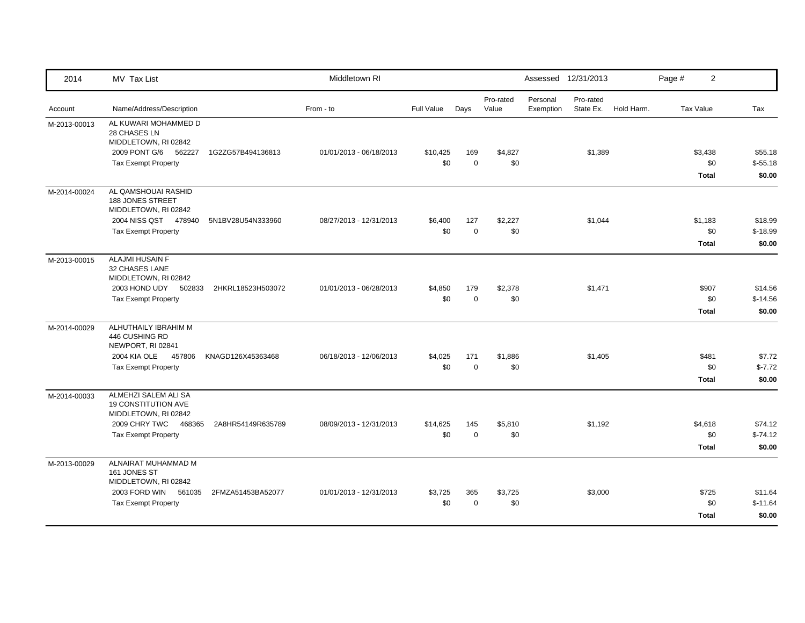| 2014         | MV Tax List                                                                             |                   | Middletown RI           |                   |                    |                    |                       | Assessed 12/31/2013    |            | Page #           | $\overline{2}$                 |                                |
|--------------|-----------------------------------------------------------------------------------------|-------------------|-------------------------|-------------------|--------------------|--------------------|-----------------------|------------------------|------------|------------------|--------------------------------|--------------------------------|
| Account      | Name/Address/Description                                                                |                   | From - to               | <b>Full Value</b> | Days               | Pro-rated<br>Value | Personal<br>Exemption | Pro-rated<br>State Ex. | Hold Harm. | <b>Tax Value</b> |                                | Tax                            |
| M-2013-00013 | AL KUWARI MOHAMMED D<br>28 CHASES LN<br>MIDDLETOWN, RI 02842<br>2009 PONT G/6<br>562227 | 1G2ZG57B494136813 | 01/01/2013 - 06/18/2013 | \$10,425          | 169                | \$4,827            |                       | \$1,389                |            |                  | \$3,438                        | \$55.18                        |
|              | <b>Tax Exempt Property</b>                                                              |                   |                         | \$0               | $\mathbf 0$        | \$0                |                       |                        |            |                  | \$0<br>Total                   | $$-55.18$<br>\$0.00            |
| M-2014-00024 | AL QAMSHOUAI RASHID<br><b>188 JONES STREET</b><br>MIDDLETOWN, RI 02842                  |                   |                         |                   |                    |                    |                       |                        |            |                  |                                |                                |
|              | 2004 NISS QST 478940<br><b>Tax Exempt Property</b>                                      | 5N1BV28U54N333960 | 08/27/2013 - 12/31/2013 | \$6,400<br>\$0    | 127<br>$\mathbf 0$ | \$2,227<br>\$0     |                       | \$1,044                |            |                  | \$1,183<br>\$0<br><b>Total</b> | \$18.99<br>$$-18.99$<br>\$0.00 |
| M-2013-00015 | ALAJMI HUSAIN F<br><b>32 CHASES LANE</b><br>MIDDLETOWN, RI 02842                        |                   |                         |                   |                    |                    |                       |                        |            |                  |                                |                                |
|              | 2003 HOND UDY<br>502833<br><b>Tax Exempt Property</b>                                   | 2HKRL18523H503072 | 01/01/2013 - 06/28/2013 | \$4,850<br>\$0    | 179<br>$\mathbf 0$ | \$2,378<br>\$0     |                       | \$1,471                |            |                  | \$907<br>\$0<br><b>Total</b>   | \$14.56<br>$$-14.56$<br>\$0.00 |
| M-2014-00029 | ALHUTHAILY IBRAHIM M<br>446 CUSHING RD<br>NEWPORT, RI 02841                             |                   |                         |                   |                    |                    |                       |                        |            |                  |                                |                                |
|              | 2004 KIA OLE<br>457806<br><b>Tax Exempt Property</b>                                    | KNAGD126X45363468 | 06/18/2013 - 12/06/2013 | \$4,025<br>\$0    | 171<br>$\mathbf 0$ | \$1,886<br>\$0     |                       | \$1,405                |            |                  | \$481<br>\$0<br><b>Total</b>   | \$7.72<br>$$-7.72$<br>\$0.00   |
| M-2014-00033 | ALMEHZI SALEM ALI SA<br><b>19 CONSTITUTION AVE</b><br>MIDDLETOWN, RI 02842              |                   |                         |                   |                    |                    |                       |                        |            |                  |                                |                                |
|              | 2009 CHRY TWC<br>468365<br><b>Tax Exempt Property</b>                                   | 2A8HR54149R635789 | 08/09/2013 - 12/31/2013 | \$14,625<br>\$0   | 145<br>$\pmb{0}$   | \$5,810<br>\$0     |                       | \$1,192                |            |                  | \$4,618<br>\$0<br><b>Total</b> | \$74.12<br>$$-74.12$<br>\$0.00 |
| M-2013-00029 | ALNAIRAT MUHAMMAD M<br>161 JONES ST<br>MIDDLETOWN, RI 02842                             |                   |                         |                   |                    |                    |                       |                        |            |                  |                                |                                |
|              | 2003 FORD WIN<br>561035<br><b>Tax Exempt Property</b>                                   | 2FMZA51453BA52077 | 01/01/2013 - 12/31/2013 | \$3,725<br>\$0    | 365<br>$\mathbf 0$ | \$3,725<br>\$0     |                       | \$3,000                |            |                  | \$725<br>\$0<br><b>Total</b>   | \$11.64<br>$$-11.64$<br>\$0.00 |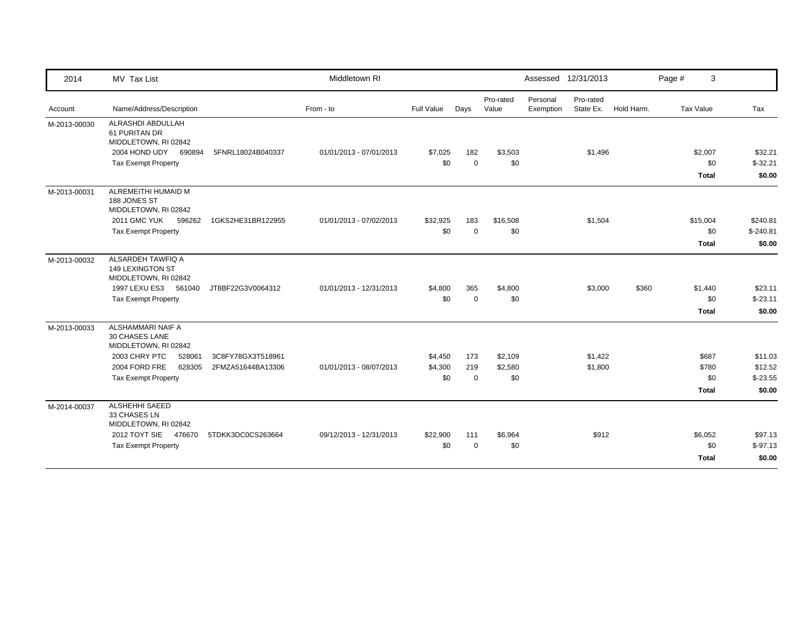| 2014         | MV Tax List                                                        |                   | Middletown RI           |            |             |                    |                       | Assessed 12/31/2013    |            | 3<br>Page #  |            |
|--------------|--------------------------------------------------------------------|-------------------|-------------------------|------------|-------------|--------------------|-----------------------|------------------------|------------|--------------|------------|
| Account      | Name/Address/Description                                           |                   | From - to               | Full Value | Days        | Pro-rated<br>Value | Personal<br>Exemption | Pro-rated<br>State Ex. | Hold Harm. | Tax Value    | Tax        |
| M-2013-00030 | ALRASHDI ABDULLAH<br>61 PURITAN DR<br>MIDDLETOWN, RI 02842         |                   |                         |            |             |                    |                       |                        |            |              |            |
|              | 2004 HOND UDY<br>690894                                            | 5FNRL18024B040337 | 01/01/2013 - 07/01/2013 | \$7,025    | 182         | \$3,503            |                       | \$1,496                |            | \$2,007      | \$32.21    |
|              | <b>Tax Exempt Property</b>                                         |                   |                         | \$0        | $\mathbf 0$ | \$0                |                       |                        |            | \$0          | $$-32.21$  |
|              |                                                                    |                   |                         |            |             |                    |                       |                        |            | <b>Total</b> | \$0.00     |
| M-2013-00031 | ALREMEITHI HUMAID M<br>188 JONES ST<br>MIDDLETOWN, RI 02842        |                   |                         |            |             |                    |                       |                        |            |              |            |
|              | <b>2011 GMC YUK</b><br>596262                                      | 1GKS2HE31BR122955 | 01/01/2013 - 07/02/2013 | \$32,925   | 183         | \$16,508           |                       | \$1,504                |            | \$15,004     | \$240.81   |
|              | <b>Tax Exempt Property</b>                                         |                   |                         | \$0        | $\Omega$    | \$0                |                       |                        |            | \$0          | $$-240.81$ |
|              |                                                                    |                   |                         |            |             |                    |                       |                        |            | <b>Total</b> | \$0.00     |
| M-2013-00032 | ALSARDEH TAWFIQ A<br>149 LEXINGTON ST<br>MIDDLETOWN, RI 02842      |                   |                         |            |             |                    |                       |                        |            |              |            |
|              | 1997 LEXU ES3 561040                                               | JT8BF22G3V0064312 | 01/01/2013 - 12/31/2013 | \$4,800    | 365         | \$4,800            |                       | \$3,000                | \$360      | \$1,440      | \$23.11    |
|              | <b>Tax Exempt Property</b>                                         |                   |                         | \$0        | $\mathbf 0$ | \$0                |                       |                        |            | \$0          | $$-23.11$  |
|              |                                                                    |                   |                         |            |             |                    |                       |                        |            | Total        | \$0.00     |
| M-2013-00033 | ALSHAMMARI NAIF A<br><b>30 CHASES LANE</b><br>MIDDLETOWN, RI 02842 |                   |                         |            |             |                    |                       |                        |            |              |            |
|              | 2003 CHRY PTC<br>528061                                            | 3C8FY78GX3T518961 |                         | \$4,450    | 173         | \$2,109            |                       | \$1,422                |            | \$687        | \$11.03    |
|              | 2004 FORD FRE<br>628305                                            | 2FMZA51644BA13306 | 01/01/2013 - 08/07/2013 | \$4,300    | 219         | \$2,580            |                       | \$1,800                |            | \$780        | \$12.52    |
|              | <b>Tax Exempt Property</b>                                         |                   |                         | \$0        | $\mathbf 0$ | \$0                |                       |                        |            | \$0          | $$-23.55$  |
|              |                                                                    |                   |                         |            |             |                    |                       |                        |            | <b>Total</b> | \$0.00     |
| M-2014-00037 | <b>ALSHEHHI SAEED</b><br>33 CHASES LN<br>MIDDLETOWN, RI 02842      |                   |                         |            |             |                    |                       |                        |            |              |            |
|              | 2012 TOYT SIE 476670                                               | 5TDKK3DC0CS263664 | 09/12/2013 - 12/31/2013 | \$22,900   | 111         | \$6,964            |                       | \$912                  |            | \$6,052      | \$97.13    |
|              | <b>Tax Exempt Property</b>                                         |                   |                         | \$0        | $\Omega$    | \$0                |                       |                        |            | \$0          | $$-97.13$  |
|              |                                                                    |                   |                         |            |             |                    |                       |                        |            | Total        | \$0.00     |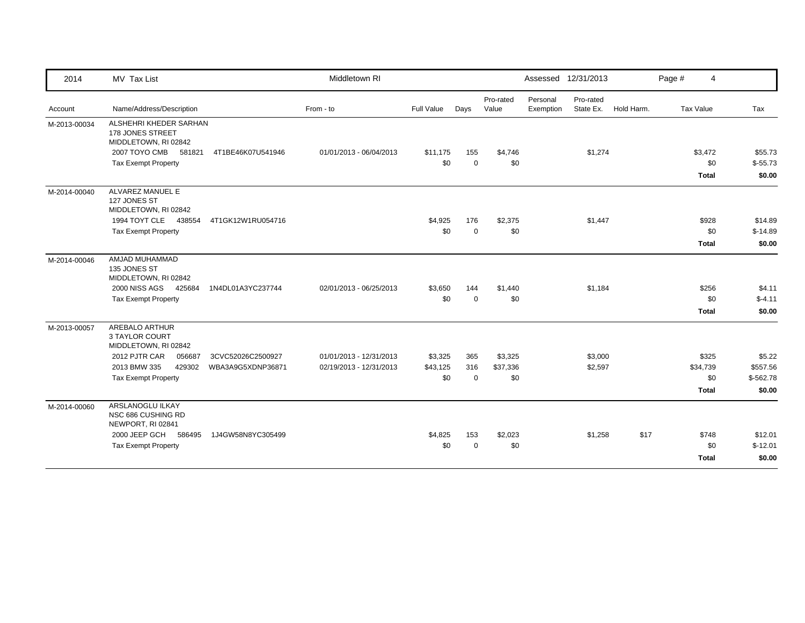| 2014         | MV Tax List                                                        |                   | Middletown RI           |            |             |                    |                       | Assessed 12/31/2013    |            | Page #    | 4            |            |
|--------------|--------------------------------------------------------------------|-------------------|-------------------------|------------|-------------|--------------------|-----------------------|------------------------|------------|-----------|--------------|------------|
| Account      | Name/Address/Description                                           |                   | From - to               | Full Value | Days        | Pro-rated<br>Value | Personal<br>Exemption | Pro-rated<br>State Ex. | Hold Harm. | Tax Value |              | Tax        |
| M-2013-00034 | ALSHEHRI KHEDER SARHAN<br>178 JONES STREET<br>MIDDLETOWN, RI 02842 |                   |                         |            |             |                    |                       |                        |            |           |              |            |
|              | 2007 TOYO CMB<br>581821                                            | 4T1BE46K07U541946 | 01/01/2013 - 06/04/2013 | \$11,175   | 155         | \$4,746            |                       | \$1,274                |            |           | \$3,472      | \$55.73    |
|              | <b>Tax Exempt Property</b>                                         |                   |                         | \$0        | $\mathbf 0$ | \$0                |                       |                        |            |           | \$0          | $$-55.73$  |
|              |                                                                    |                   |                         |            |             |                    |                       |                        |            |           | <b>Total</b> | \$0.00     |
| M-2014-00040 | ALVAREZ MANUEL E<br>127 JONES ST<br>MIDDLETOWN, RI 02842           |                   |                         |            |             |                    |                       |                        |            |           |              |            |
|              | 1994 TOYT CLE 438554                                               | 4T1GK12W1RU054716 |                         | \$4,925    | 176         | \$2,375            |                       | \$1,447                |            |           | \$928        | \$14.89    |
|              | <b>Tax Exempt Property</b>                                         |                   |                         | \$0        | $\mathbf 0$ | \$0                |                       |                        |            |           | \$0          | $$-14.89$  |
|              |                                                                    |                   |                         |            |             |                    |                       |                        |            |           | <b>Total</b> | \$0.00     |
| M-2014-00046 | AMJAD MUHAMMAD<br>135 JONES ST<br>MIDDLETOWN, RI 02842             |                   |                         |            |             |                    |                       |                        |            |           |              |            |
|              | 2000 NISS AGS<br>425684                                            | 1N4DL01A3YC237744 | 02/01/2013 - 06/25/2013 | \$3,650    | 144         | \$1,440            |                       | \$1,184                |            |           | \$256        | \$4.11     |
|              | <b>Tax Exempt Property</b>                                         |                   |                         | \$0        | $\mathbf 0$ | \$0                |                       |                        |            |           | \$0          | $$-4.11$   |
|              |                                                                    |                   |                         |            |             |                    |                       |                        |            |           | <b>Total</b> | \$0.00     |
| M-2013-00057 | <b>AREBALO ARTHUR</b><br>3 TAYLOR COURT<br>MIDDLETOWN, RI 02842    |                   |                         |            |             |                    |                       |                        |            |           |              |            |
|              | 2012 PJTR CAR<br>056687                                            | 3CVC52026C2500927 | 01/01/2013 - 12/31/2013 | \$3,325    | 365         | \$3,325            |                       | \$3,000                |            |           | \$325        | \$5.22     |
|              | 2013 BMW 335<br>429302                                             | WBA3A9G5XDNP36871 | 02/19/2013 - 12/31/2013 | \$43,125   | 316         | \$37,336           |                       | \$2,597                |            |           | \$34,739     | \$557.56   |
|              | Tax Exempt Property                                                |                   |                         | \$0        | $\mathbf 0$ | \$0                |                       |                        |            |           | \$0          | $$-562.78$ |
|              |                                                                    |                   |                         |            |             |                    |                       |                        |            |           | Total        | \$0.00     |
| M-2014-00060 | ARSLANOGLU ILKAY<br>NSC 686 CUSHING RD<br>NEWPORT, RI 02841        |                   |                         |            |             |                    |                       |                        |            |           |              |            |
|              | 2000 JEEP GCH<br>586495                                            | 1J4GW58N8YC305499 |                         | \$4,825    | 153         | \$2,023            |                       | \$1,258                | \$17       |           | \$748        | \$12.01    |
|              | <b>Tax Exempt Property</b>                                         |                   |                         | \$0        | $\mathbf 0$ | \$0                |                       |                        |            |           | \$0          | $$-12.01$  |
|              |                                                                    |                   |                         |            |             |                    |                       |                        |            |           | <b>Total</b> | \$0.00     |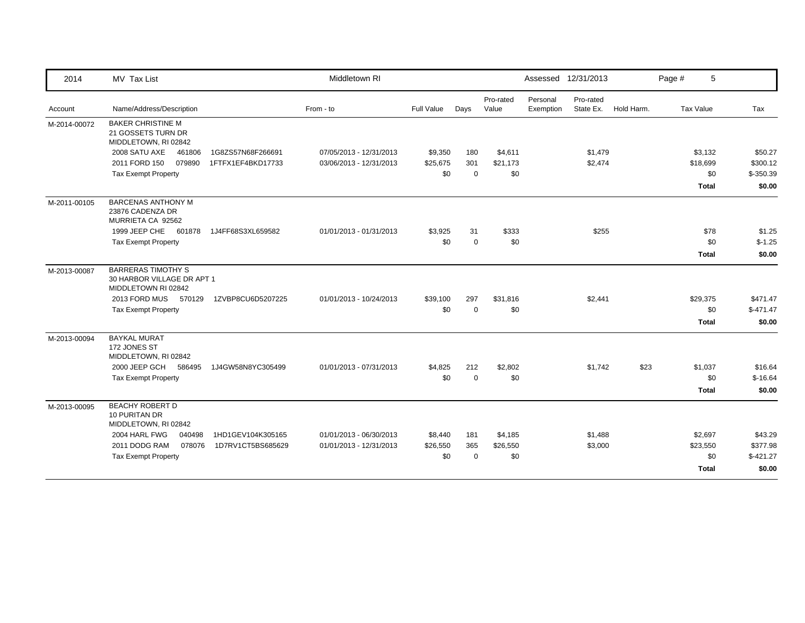| 2014         | MV Tax List                                                                    |                   | Middletown RI           |            |             |                    |                       | Assessed 12/31/2013    |            | Page #    | 5            |            |
|--------------|--------------------------------------------------------------------------------|-------------------|-------------------------|------------|-------------|--------------------|-----------------------|------------------------|------------|-----------|--------------|------------|
| Account      | Name/Address/Description                                                       |                   | From - to               | Full Value | Days        | Pro-rated<br>Value | Personal<br>Exemption | Pro-rated<br>State Ex. | Hold Harm. | Tax Value |              | Tax        |
| M-2014-00072 | <b>BAKER CHRISTINE M</b><br>21 GOSSETS TURN DR<br>MIDDLETOWN, RI 02842         |                   |                         |            |             |                    |                       |                        |            |           |              |            |
|              | 2008 SATU AXE<br>461806                                                        | 1G8ZS57N68F266691 | 07/05/2013 - 12/31/2013 | \$9,350    | 180         | \$4,611            |                       | \$1,479                |            |           | \$3,132      | \$50.27    |
|              | 2011 FORD 150<br>079890                                                        | 1FTFX1EF4BKD17733 | 03/06/2013 - 12/31/2013 | \$25,675   | 301         | \$21,173           |                       | \$2,474                |            | \$18,699  |              | \$300.12   |
|              | <b>Tax Exempt Property</b>                                                     |                   |                         | \$0        | $\Omega$    | \$0                |                       |                        |            |           | \$0          | $$-350.39$ |
|              |                                                                                |                   |                         |            |             |                    |                       |                        |            |           | <b>Total</b> | \$0.00     |
| M-2011-00105 | <b>BARCENAS ANTHONY M</b><br>23876 CADENZA DR<br>MURRIETA CA 92562             |                   |                         |            |             |                    |                       |                        |            |           |              |            |
|              | 1999 JEEP CHE<br>601878                                                        | 1J4FF68S3XL659582 | 01/01/2013 - 01/31/2013 | \$3,925    | 31          | \$333              |                       | \$255                  |            |           | \$78         | \$1.25     |
|              | <b>Tax Exempt Property</b>                                                     |                   |                         | \$0        | $\mathbf 0$ | \$0                |                       |                        |            |           | \$0          | $$-1.25$   |
|              |                                                                                |                   |                         |            |             |                    |                       |                        |            |           | Total        | \$0.00     |
| M-2013-00087 | <b>BARRERAS TIMOTHY S</b><br>30 HARBOR VILLAGE DR APT 1<br>MIDDLETOWN RI 02842 |                   |                         |            |             |                    |                       |                        |            |           |              |            |
|              | 2013 FORD MUS 570129                                                           | 1ZVBP8CU6D5207225 | 01/01/2013 - 10/24/2013 | \$39,100   | 297         | \$31,816           |                       | \$2,441                |            | \$29,375  |              | \$471.47   |
|              | <b>Tax Exempt Property</b>                                                     |                   |                         | \$0        | $\Omega$    | \$0                |                       |                        |            |           | \$0          | $$-471.47$ |
|              |                                                                                |                   |                         |            |             |                    |                       |                        |            |           | Total        | \$0.00     |
| M-2013-00094 | <b>BAYKAL MURAT</b><br>172 JONES ST<br>MIDDLETOWN, RI 02842                    |                   |                         |            |             |                    |                       |                        |            |           |              |            |
|              | 2000 JEEP GCH<br>586495                                                        | 1J4GW58N8YC305499 | 01/01/2013 - 07/31/2013 | \$4,825    | 212         | \$2,802            |                       | \$1,742                | \$23       |           | \$1,037      | \$16.64    |
|              | <b>Tax Exempt Property</b>                                                     |                   |                         | \$0        | $\Omega$    | \$0                |                       |                        |            |           | \$0          | $$-16.64$  |
|              |                                                                                |                   |                         |            |             |                    |                       |                        |            |           | <b>Total</b> | \$0.00     |
| M-2013-00095 | <b>BEACHY ROBERT D</b><br>10 PURITAN DR<br>MIDDLETOWN, RI 02842                |                   |                         |            |             |                    |                       |                        |            |           |              |            |
|              | 2004 HARL FWG<br>040498                                                        | 1HD1GEV104K305165 | 01/01/2013 - 06/30/2013 | \$8,440    | 181         | \$4,185            |                       | \$1,488                |            |           | \$2,697      | \$43.29    |
|              | 2011 DODG RAM<br>078076                                                        | 1D7RV1CT5BS685629 | 01/01/2013 - 12/31/2013 | \$26,550   | 365         | \$26,550           |                       | \$3,000                |            | \$23,550  |              | \$377.98   |
|              | <b>Tax Exempt Property</b>                                                     |                   |                         | \$0        | $\Omega$    | \$0                |                       |                        |            |           | \$0          | $$-421.27$ |
|              |                                                                                |                   |                         |            |             |                    |                       |                        |            |           | <b>Total</b> | \$0.00     |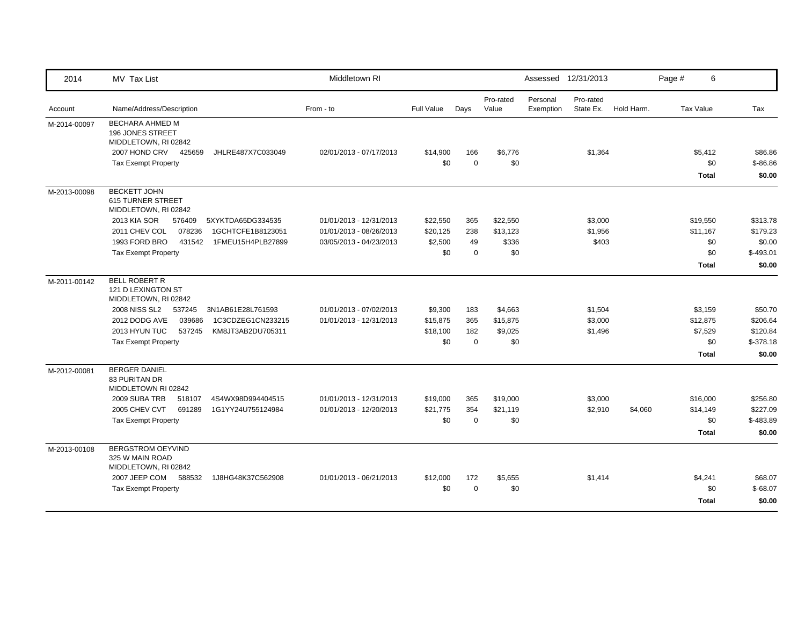| 2014         | MV Tax List                                                                                                                                   | Middletown RI                                      |                     |                    |                    | Assessed 12/31/2013   |                        |            | Page #    | 6               |                       |
|--------------|-----------------------------------------------------------------------------------------------------------------------------------------------|----------------------------------------------------|---------------------|--------------------|--------------------|-----------------------|------------------------|------------|-----------|-----------------|-----------------------|
| Account      | Name/Address/Description                                                                                                                      | From - to                                          | <b>Full Value</b>   | Days               | Pro-rated<br>Value | Personal<br>Exemption | Pro-rated<br>State Ex. | Hold Harm. | Tax Value |                 | Tax                   |
| M-2014-00097 | <b>BECHARA AHMED M</b><br>196 JONES STREET<br>MIDDLETOWN, RI 02842<br>2007 HOND CRV 425659<br>JHLRE487X7C033049<br><b>Tax Exempt Property</b> | 02/01/2013 - 07/17/2013                            | \$14,900<br>\$0     | 166<br>$\mathbf 0$ | \$6,776<br>\$0     |                       | \$1,364                |            |           | \$5,412<br>\$0  | \$86.86<br>$$ -86.86$ |
|              |                                                                                                                                               |                                                    |                     |                    |                    |                       |                        |            |           | <b>Total</b>    | \$0.00                |
| M-2013-00098 | <b>BECKETT JOHN</b><br><b>615 TURNER STREET</b><br>MIDDLETOWN, RI 02842                                                                       |                                                    |                     |                    |                    |                       |                        |            |           |                 |                       |
|              | 2013 KIA SOR<br>5XYKTDA65DG334535<br>576409<br>078236<br>2011 CHEV COL<br>1GCHTCFE1B8123051                                                   | 01/01/2013 - 12/31/2013                            | \$22,550            | 365<br>238         | \$22,550           |                       | \$3,000                |            |           | \$19,550        | \$313.78              |
|              | 1993 FORD BRO<br>431542<br>1FMEU15H4PLB27899                                                                                                  | 01/01/2013 - 08/26/2013<br>03/05/2013 - 04/23/2013 | \$20,125<br>\$2,500 | 49                 | \$13,123<br>\$336  |                       | \$1,956<br>\$403       |            |           | \$11,167<br>\$0 | \$179.23<br>\$0.00    |
|              | <b>Tax Exempt Property</b>                                                                                                                    |                                                    | \$0                 | $\Omega$           | \$0                |                       |                        |            |           | \$0             | $$-493.01$            |
|              |                                                                                                                                               |                                                    |                     |                    |                    |                       |                        |            |           | <b>Total</b>    | \$0.00                |
| M-2011-00142 | <b>BELL ROBERT R</b><br>121 D LEXINGTON ST<br>MIDDLETOWN, RI 02842                                                                            |                                                    |                     |                    |                    |                       |                        |            |           |                 |                       |
|              | 2008 NISS SL2<br>537245<br>3N1AB61E28L761593                                                                                                  | 01/01/2013 - 07/02/2013                            | \$9,300             | 183                | \$4,663            |                       | \$1,504                |            |           | \$3,159         | \$50.70               |
|              | 2012 DODG AVE<br>039686<br>1C3CDZEG1CN233215                                                                                                  | 01/01/2013 - 12/31/2013                            | \$15,875            | 365                | \$15,875           |                       | \$3,000                |            |           | \$12,875        | \$206.64              |
|              | 2013 HYUN TUC<br>537245<br>KM8JT3AB2DU705311                                                                                                  |                                                    | \$18,100            | 182                | \$9,025            |                       | \$1,496                |            |           | \$7,529         | \$120.84              |
|              | <b>Tax Exempt Property</b>                                                                                                                    |                                                    | \$0                 | $\mathbf 0$        | \$0                |                       |                        |            |           | \$0             | $$-378.18$            |
|              |                                                                                                                                               |                                                    |                     |                    |                    |                       |                        |            |           | <b>Total</b>    | \$0.00                |
| M-2012-00081 | <b>BERGER DANIEL</b><br><b>83 PURITAN DR</b><br>MIDDLETOWN RI 02842                                                                           |                                                    |                     |                    |                    |                       |                        |            |           |                 |                       |
|              | 2009 SUBA TRB<br>518107<br>4S4WX98D994404515                                                                                                  | 01/01/2013 - 12/31/2013                            | \$19,000            | 365                | \$19,000           |                       | \$3,000                |            |           | \$16,000        | \$256.80              |
|              | 2005 CHEV CVT<br>691289<br>1G1YY24U755124984                                                                                                  | 01/01/2013 - 12/20/2013                            | \$21,775            | 354                | \$21,119           |                       | \$2,910                | \$4,060    |           | \$14,149        | \$227.09              |
|              | <b>Tax Exempt Property</b>                                                                                                                    |                                                    | \$0                 | $\mathbf 0$        | \$0                |                       |                        |            |           | \$0             | \$-483.89             |
|              |                                                                                                                                               |                                                    |                     |                    |                    |                       |                        |            |           | <b>Total</b>    | \$0.00                |
| M-2013-00108 | BERGSTROM OEYVIND<br>325 W MAIN ROAD<br>MIDDLETOWN, RI 02842                                                                                  |                                                    |                     |                    |                    |                       |                        |            |           |                 |                       |
|              | 2007 JEEP COM<br>588532<br>1J8HG48K37C562908                                                                                                  | 01/01/2013 - 06/21/2013                            | \$12,000            | 172                | \$5,655            |                       | \$1,414                |            |           | \$4,241         | \$68.07               |
|              | <b>Tax Exempt Property</b>                                                                                                                    |                                                    | \$0                 | $\Omega$           | \$0                |                       |                        |            |           | \$0             | $$-68.07$             |
|              |                                                                                                                                               |                                                    |                     |                    |                    |                       |                        |            |           | <b>Total</b>    | \$0.00                |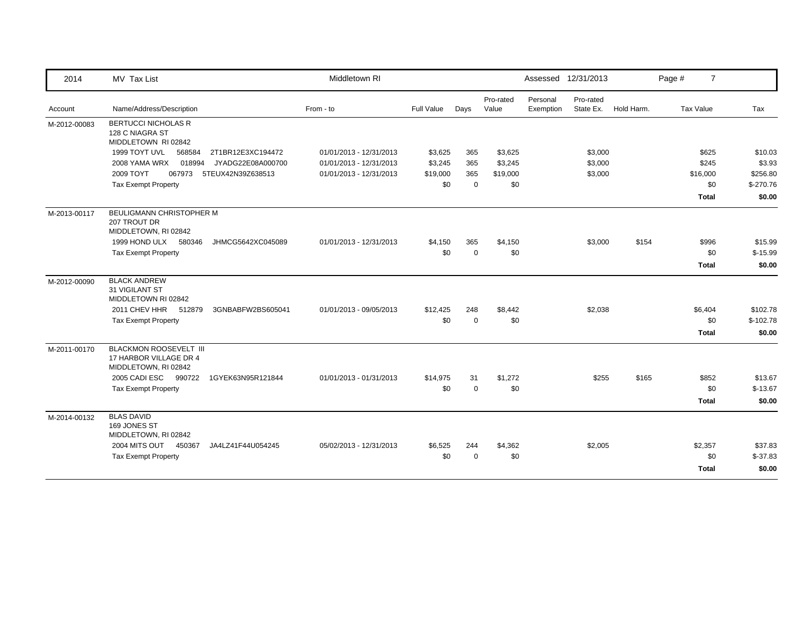| 2014         | MV Tax List                                                                     | Middletown RI           |            |             |                    | Assessed 12/31/2013   |                        |            | Page #<br>$\overline{7}$ |            |
|--------------|---------------------------------------------------------------------------------|-------------------------|------------|-------------|--------------------|-----------------------|------------------------|------------|--------------------------|------------|
| Account      | Name/Address/Description                                                        | From - to               | Full Value | Days        | Pro-rated<br>Value | Personal<br>Exemption | Pro-rated<br>State Ex. | Hold Harm. | Tax Value                | Tax        |
| M-2012-00083 | <b>BERTUCCI NICHOLAS R</b><br>128 C NIAGRA ST<br>MIDDLETOWN RI 02842            |                         |            |             |                    |                       |                        |            |                          |            |
|              | 1999 TOYT UVL<br>568584<br>2T1BR12E3XC194472                                    | 01/01/2013 - 12/31/2013 | \$3,625    | 365         | \$3,625            |                       | \$3,000                |            | \$625                    | \$10.03    |
|              | 2008 YAMA WRX<br>018994<br>JYADG22E08A000700                                    | 01/01/2013 - 12/31/2013 | \$3,245    | 365         | \$3,245            |                       | \$3,000                |            | \$245                    | \$3.93     |
|              | 2009 TOYT<br>067973<br>5TEUX42N39Z638513                                        | 01/01/2013 - 12/31/2013 | \$19,000   | 365         | \$19,000           |                       | \$3,000                |            | \$16,000                 | \$256.80   |
|              | <b>Tax Exempt Property</b>                                                      |                         | \$0        | $\mathbf 0$ | \$0                |                       |                        |            | \$0                      | $$-270.76$ |
|              |                                                                                 |                         |            |             |                    |                       |                        |            | <b>Total</b>             | \$0.00     |
| M-2013-00117 | BEULIGMANN CHRISTOPHER M<br>207 TROUT DR<br>MIDDLETOWN, RI 02842                |                         |            |             |                    |                       |                        |            |                          |            |
|              | 1999 HOND ULX<br>580346<br>JHMCG5642XC045089                                    | 01/01/2013 - 12/31/2013 | \$4,150    | 365         | \$4,150            |                       | \$3,000                | \$154      | \$996                    | \$15.99    |
|              | <b>Tax Exempt Property</b>                                                      |                         | \$0        | $\mathbf 0$ | \$0                |                       |                        |            | \$0                      | $$-15.99$  |
|              |                                                                                 |                         |            |             |                    |                       |                        |            | Total                    | \$0.00     |
| M-2012-00090 | <b>BLACK ANDREW</b><br>31 VIGILANT ST<br>MIDDLETOWN RI 02842                    |                         |            |             |                    |                       |                        |            |                          |            |
|              | 2011 CHEV HHR 512879<br>3GNBABFW2BS605041                                       | 01/01/2013 - 09/05/2013 | \$12,425   | 248         | \$8,442            |                       | \$2,038                |            | \$6,404                  | \$102.78   |
|              | <b>Tax Exempt Property</b>                                                      |                         | \$0        | $\Omega$    | \$0                |                       |                        |            | \$0                      | $$-102.78$ |
|              |                                                                                 |                         |            |             |                    |                       |                        |            | <b>Total</b>             | \$0.00     |
| M-2011-00170 | <b>BLACKMON ROOSEVELT III</b><br>17 HARBOR VILLAGE DR 4<br>MIDDLETOWN, RI 02842 |                         |            |             |                    |                       |                        |            |                          |            |
|              | 2005 CADI ESC 990722<br>1GYEK63N95R121844                                       | 01/01/2013 - 01/31/2013 | \$14,975   | 31          | \$1,272            |                       | \$255                  | \$165      | \$852                    | \$13.67    |
|              | <b>Tax Exempt Property</b>                                                      |                         | \$0        | $\Omega$    | \$0                |                       |                        |            | \$0                      | $$-13.67$  |
|              |                                                                                 |                         |            |             |                    |                       |                        |            | <b>Total</b>             | \$0.00     |
| M-2014-00132 | <b>BLAS DAVID</b><br>169 JONES ST<br>MIDDLETOWN, RI 02842                       |                         |            |             |                    |                       |                        |            |                          |            |
|              | 2004 MITS OUT<br>450367<br>JA4LZ41F44U054245                                    | 05/02/2013 - 12/31/2013 | \$6,525    | 244         | \$4,362            |                       | \$2,005                |            | \$2,357                  | \$37.83    |
|              | <b>Tax Exempt Property</b>                                                      |                         | \$0        | $\Omega$    | \$0                |                       |                        |            | \$0                      | $$-37.83$  |
|              |                                                                                 |                         |            |             |                    |                       |                        |            | <b>Total</b>             | \$0.00     |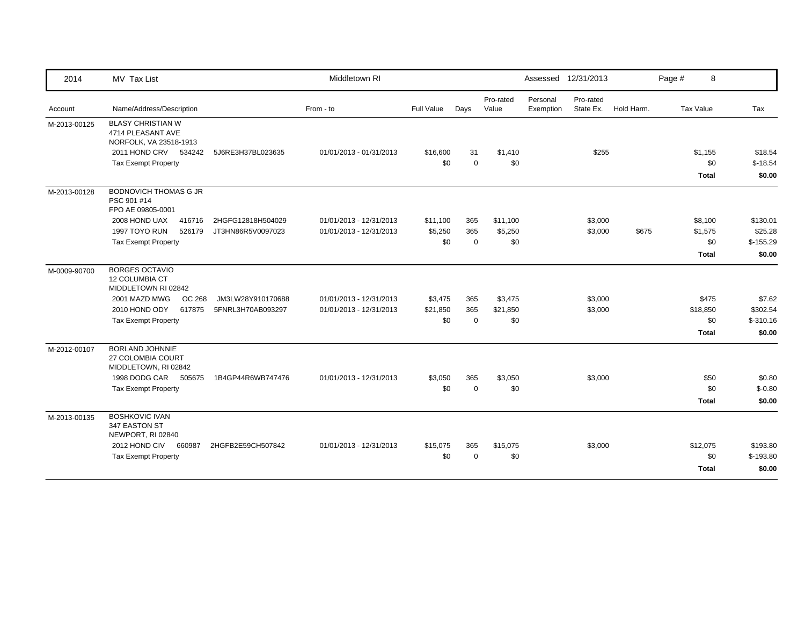| 2014         | MV Tax List                                                             |                   | Middletown RI           |            |             |                    |                       | Assessed 12/31/2013    |            | Page #<br>8  |            |
|--------------|-------------------------------------------------------------------------|-------------------|-------------------------|------------|-------------|--------------------|-----------------------|------------------------|------------|--------------|------------|
| Account      | Name/Address/Description                                                |                   | From - to               | Full Value | Days        | Pro-rated<br>Value | Personal<br>Exemption | Pro-rated<br>State Ex. | Hold Harm. | Tax Value    | Tax        |
| M-2013-00125 | <b>BLASY CHRISTIAN W</b><br>4714 PLEASANT AVE<br>NORFOLK, VA 23518-1913 |                   |                         |            |             |                    |                       |                        |            |              |            |
|              | 2011 HOND CRV 534242                                                    | 5J6RE3H37BL023635 | 01/01/2013 - 01/31/2013 | \$16,600   | 31          | \$1,410            |                       | \$255                  |            | \$1,155      | \$18.54    |
|              | <b>Tax Exempt Property</b>                                              |                   |                         | \$0        | $\Omega$    | \$0                |                       |                        |            | \$0          | $$-18.54$  |
|              |                                                                         |                   |                         |            |             |                    |                       |                        |            | <b>Total</b> | \$0.00     |
| M-2013-00128 | <b>BODNOVICH THOMAS G JR</b><br>PSC 901 #14<br>FPO AE 09805-0001        |                   |                         |            |             |                    |                       |                        |            |              |            |
|              | 2008 HOND UAX<br>416716                                                 | 2HGFG12818H504029 | 01/01/2013 - 12/31/2013 | \$11,100   | 365         | \$11,100           |                       | \$3,000                |            | \$8,100      | \$130.01   |
|              | 1997 TOYO RUN<br>526179                                                 | JT3HN86R5V0097023 | 01/01/2013 - 12/31/2013 | \$5,250    | 365         | \$5,250            |                       | \$3,000                | \$675      | \$1,575      | \$25.28    |
|              | <b>Tax Exempt Property</b>                                              |                   |                         | \$0        | $\mathbf 0$ | \$0                |                       |                        |            | \$0          | $$-155.29$ |
|              |                                                                         |                   |                         |            |             |                    |                       |                        |            | <b>Total</b> | \$0.00     |
| M-0009-90700 | <b>BORGES OCTAVIO</b><br><b>12 COLUMBIA CT</b><br>MIDDLETOWN RI 02842   |                   |                         |            |             |                    |                       |                        |            |              |            |
|              | 2001 MAZD MWG<br>OC 268                                                 | JM3LW28Y910170688 | 01/01/2013 - 12/31/2013 | \$3,475    | 365         | \$3,475            |                       | \$3,000                |            | \$475        | \$7.62     |
|              | 2010 HOND ODY<br>617875                                                 | 5FNRL3H70AB093297 | 01/01/2013 - 12/31/2013 | \$21,850   | 365         | \$21,850           |                       | \$3,000                |            | \$18,850     | \$302.54   |
|              | <b>Tax Exempt Property</b>                                              |                   |                         | \$0        | $\mathbf 0$ | \$0                |                       |                        |            | \$0          | $$-310.16$ |
|              |                                                                         |                   |                         |            |             |                    |                       |                        |            | <b>Total</b> | \$0.00     |
| M-2012-00107 | <b>BORLAND JOHNNIE</b><br>27 COLOMBIA COURT<br>MIDDLETOWN, RI 02842     |                   |                         |            |             |                    |                       |                        |            |              |            |
|              | 1998 DODG CAR<br>505675                                                 | 1B4GP44R6WB747476 | 01/01/2013 - 12/31/2013 | \$3,050    | 365         | \$3,050            |                       | \$3,000                |            | \$50         | \$0.80     |
|              | <b>Tax Exempt Property</b>                                              |                   |                         | \$0        | $\mathbf 0$ | \$0                |                       |                        |            | \$0          | $$-0.80$   |
|              |                                                                         |                   |                         |            |             |                    |                       |                        |            | <b>Total</b> | \$0.00     |
| M-2013-00135 | <b>BOSHKOVIC IVAN</b><br>347 EASTON ST<br>NEWPORT, RI 02840             |                   |                         |            |             |                    |                       |                        |            |              |            |
|              | 2012 HOND CIV<br>660987                                                 | 2HGFB2E59CH507842 | 01/01/2013 - 12/31/2013 | \$15,075   | 365         | \$15,075           |                       | \$3,000                |            | \$12,075     | \$193.80   |
|              | <b>Tax Exempt Property</b>                                              |                   |                         | \$0        | $\Omega$    | \$0                |                       |                        |            | \$0          | $$-193.80$ |
|              |                                                                         |                   |                         |            |             |                    |                       |                        |            | <b>Total</b> | \$0.00     |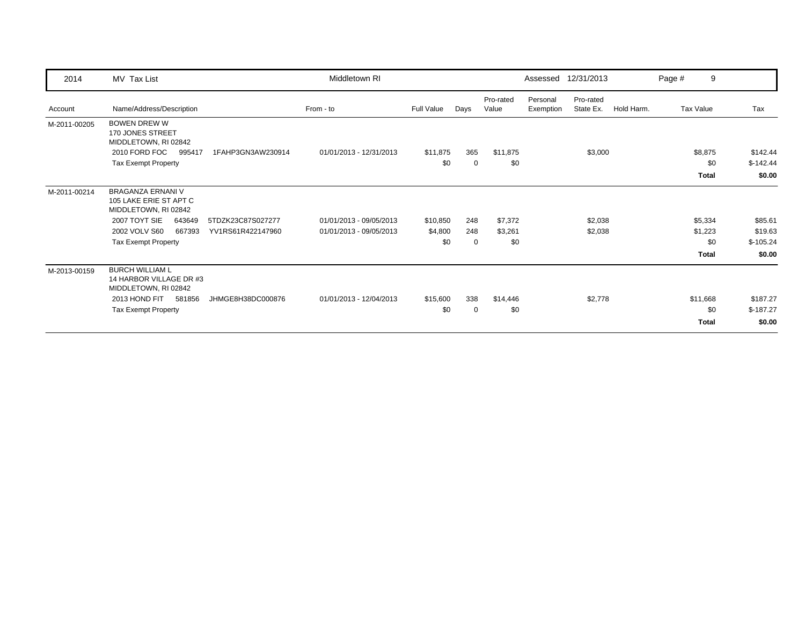| 2014         | MV Tax List                                                                |                   | Middletown RI           |                 |          |                    |                       | Assessed 12/31/2013    |            | Page # | 9                              |                                  |
|--------------|----------------------------------------------------------------------------|-------------------|-------------------------|-----------------|----------|--------------------|-----------------------|------------------------|------------|--------|--------------------------------|----------------------------------|
| Account      | Name/Address/Description                                                   |                   | From - to               | Full Value      | Days     | Pro-rated<br>Value | Personal<br>Exemption | Pro-rated<br>State Ex. | Hold Harm. |        | <b>Tax Value</b>               | Tax                              |
| M-2011-00205 | <b>BOWEN DREW W</b><br>170 JONES STREET<br>MIDDLETOWN, RI 02842            |                   |                         |                 |          |                    |                       |                        |            |        |                                |                                  |
|              | 2010 FORD FOC<br>995417<br><b>Tax Exempt Property</b>                      | 1FAHP3GN3AW230914 | 01/01/2013 - 12/31/2013 | \$11,875<br>\$0 | 365<br>0 | \$11,875<br>\$0    |                       | \$3,000                |            |        | \$8,875<br>\$0<br><b>Total</b> | \$142.44<br>$$-142.44$<br>\$0.00 |
| M-2011-00214 | <b>BRAGANZA ERNANI V</b><br>105 LAKE ERIE ST APT C<br>MIDDLETOWN, RI 02842 |                   |                         |                 |          |                    |                       |                        |            |        |                                |                                  |
|              | 2007 TOYT SIE<br>643649                                                    | 5TDZK23C87S027277 | 01/01/2013 - 09/05/2013 | \$10,850        | 248      | \$7,372            |                       | \$2,038                |            |        | \$5,334                        | \$85.61                          |
|              | 2002 VOLV S60<br>667393                                                    | YV1RS61R422147960 | 01/01/2013 - 09/05/2013 | \$4,800         | 248      | \$3,261            |                       | \$2,038                |            |        | \$1,223                        | \$19.63                          |
|              | <b>Tax Exempt Property</b>                                                 |                   |                         | \$0             | $\Omega$ | \$0                |                       |                        |            |        | \$0                            | $$-105.24$                       |
|              |                                                                            |                   |                         |                 |          |                    |                       |                        |            |        | <b>Total</b>                   | \$0.00                           |
| M-2013-00159 | <b>BURCH WILLIAM L</b><br>14 HARBOR VILLAGE DR #3<br>MIDDLETOWN, RI 02842  |                   |                         |                 |          |                    |                       |                        |            |        |                                |                                  |
|              | 2013 HOND FIT<br>581856                                                    | JHMGE8H38DC000876 | 01/01/2013 - 12/04/2013 | \$15,600        | 338      | \$14,446           |                       | \$2,778                |            |        | \$11,668                       | \$187.27                         |
|              | <b>Tax Exempt Property</b>                                                 |                   |                         | \$0             | 0        | \$0                |                       |                        |            |        | \$0                            | $$-187.27$                       |
|              |                                                                            |                   |                         |                 |          |                    |                       |                        |            |        | <b>Total</b>                   | \$0.00                           |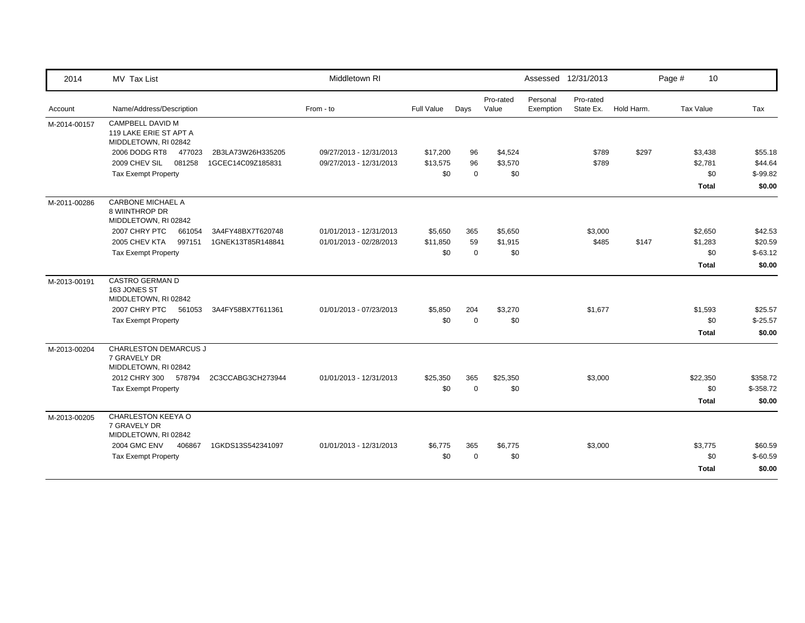| 2014         | MV Tax List                                                          |                   | Middletown RI           |            |             |                    |                       | Assessed 12/31/2013    |            | Page # | 10           |            |
|--------------|----------------------------------------------------------------------|-------------------|-------------------------|------------|-------------|--------------------|-----------------------|------------------------|------------|--------|--------------|------------|
| Account      | Name/Address/Description                                             |                   | From - to               | Full Value | Days        | Pro-rated<br>Value | Personal<br>Exemption | Pro-rated<br>State Ex. | Hold Harm. |        | Tax Value    | Tax        |
| M-2014-00157 | CAMPBELL DAVID M<br>119 LAKE ERIE ST APT A<br>MIDDLETOWN, RI 02842   |                   |                         |            |             |                    |                       |                        |            |        |              |            |
|              | 2006 DODG RT8<br>477023                                              | 2B3LA73W26H335205 | 09/27/2013 - 12/31/2013 | \$17,200   | 96          | \$4,524            |                       | \$789                  | \$297      |        | \$3,438      | \$55.18    |
|              | 2009 CHEV SIL<br>081258                                              | 1GCEC14C09Z185831 | 09/27/2013 - 12/31/2013 | \$13,575   | 96          | \$3,570            |                       | \$789                  |            |        | \$2,781      | \$44.64    |
|              | <b>Tax Exempt Property</b>                                           |                   |                         | \$0        | $\mathbf 0$ | \$0                |                       |                        |            |        | \$0          | $$-99.82$  |
|              |                                                                      |                   |                         |            |             |                    |                       |                        |            |        | <b>Total</b> | \$0.00     |
| M-2011-00286 | <b>CARBONE MICHAEL A</b><br>8 WIINTHROP DR<br>MIDDLETOWN, RI 02842   |                   |                         |            |             |                    |                       |                        |            |        |              |            |
|              | 2007 CHRY PTC<br>661054                                              | 3A4FY48BX7T620748 | 01/01/2013 - 12/31/2013 | \$5,650    | 365         | \$5,650            |                       | \$3,000                |            |        | \$2,650      | \$42.53    |
|              | 2005 CHEV KTA<br>997151                                              | 1GNEK13T85R148841 | 01/01/2013 - 02/28/2013 | \$11,850   | 59          | \$1,915            |                       | \$485                  | \$147      |        | \$1,283      | \$20.59    |
|              | <b>Tax Exempt Property</b>                                           |                   |                         | \$0        | $\mathbf 0$ | \$0                |                       |                        |            |        | \$0          | $$-63.12$  |
|              |                                                                      |                   |                         |            |             |                    |                       |                        |            |        | <b>Total</b> | \$0.00     |
| M-2013-00191 | <b>CASTRO GERMAN D</b><br>163 JONES ST<br>MIDDLETOWN, RI 02842       |                   |                         |            |             |                    |                       |                        |            |        |              |            |
|              | 2007 CHRY PTC<br>561053                                              | 3A4FY58BX7T611361 | 01/01/2013 - 07/23/2013 | \$5,850    | 204         | \$3,270            |                       | \$1,677                |            |        | \$1,593      | \$25.57    |
|              | <b>Tax Exempt Property</b>                                           |                   |                         | \$0        | $\Omega$    | \$0                |                       |                        |            |        | \$0          | $$-25.57$  |
|              |                                                                      |                   |                         |            |             |                    |                       |                        |            |        | <b>Total</b> | \$0.00     |
| M-2013-00204 | <b>CHARLESTON DEMARCUS J</b><br>7 GRAVELY DR<br>MIDDLETOWN, RI 02842 |                   |                         |            |             |                    |                       |                        |            |        |              |            |
|              | 2012 CHRY 300 578794                                                 | 2C3CCABG3CH273944 | 01/01/2013 - 12/31/2013 | \$25,350   | 365         | \$25,350           |                       | \$3,000                |            |        | \$22,350     | \$358.72   |
|              | <b>Tax Exempt Property</b>                                           |                   |                         | \$0        | $\Omega$    | \$0                |                       |                        |            |        | \$0          | $$-358.72$ |
|              |                                                                      |                   |                         |            |             |                    |                       |                        |            |        | <b>Total</b> | \$0.00     |
| M-2013-00205 | CHARLESTON KEEYA O<br>7 GRAVELY DR<br>MIDDLETOWN, RI 02842           |                   |                         |            |             |                    |                       |                        |            |        |              |            |
|              | <b>2004 GMC ENV</b><br>406867                                        | 1GKDS13S542341097 | 01/01/2013 - 12/31/2013 | \$6,775    | 365         | \$6,775            |                       | \$3,000                |            |        | \$3,775      | \$60.59    |
|              | <b>Tax Exempt Property</b>                                           |                   |                         | \$0        | $\Omega$    | \$0                |                       |                        |            |        | \$0          | $$-60.59$  |
|              |                                                                      |                   |                         |            |             |                    |                       |                        |            |        | <b>Total</b> | \$0.00     |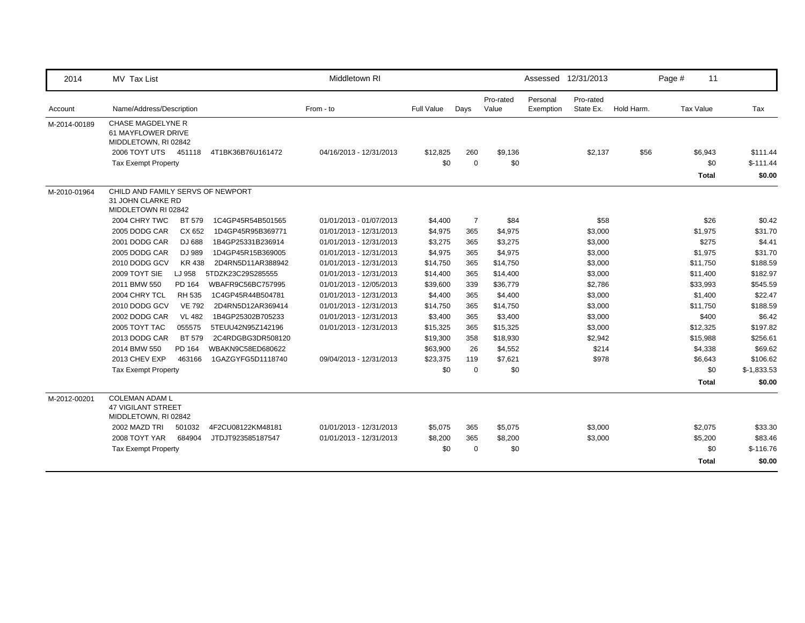| 2014         | MV Tax List                                                                   | Middletown RI           |            |             |                    |                       | Assessed 12/31/2013    |            | Page #    | 11           |              |
|--------------|-------------------------------------------------------------------------------|-------------------------|------------|-------------|--------------------|-----------------------|------------------------|------------|-----------|--------------|--------------|
| Account      | Name/Address/Description                                                      | From - to               | Full Value | Days        | Pro-rated<br>Value | Personal<br>Exemption | Pro-rated<br>State Ex. | Hold Harm. | Tax Value |              | Tax          |
| M-2014-00189 | <b>CHASE MAGDELYNE R</b><br>61 MAYFLOWER DRIVE<br>MIDDLETOWN, RI 02842        |                         |            |             |                    |                       |                        |            |           |              |              |
|              | 2006 TOYT UTS<br>451118<br>4T1BK36B76U161472                                  | 04/16/2013 - 12/31/2013 | \$12,825   | 260         | \$9,136            |                       | \$2,137                | \$56       |           | \$6,943      | \$111.44     |
|              | <b>Tax Exempt Property</b>                                                    |                         | \$0        | $\mathbf 0$ | \$0                |                       |                        |            |           | \$0          | $$-111.44$   |
|              |                                                                               |                         |            |             |                    |                       |                        |            |           | <b>Total</b> | \$0.00       |
| M-2010-01964 | CHILD AND FAMILY SERVS OF NEWPORT<br>31 JOHN CLARKE RD<br>MIDDLETOWN RI 02842 |                         |            |             |                    |                       |                        |            |           |              |              |
|              | 2004 CHRY TWC<br>1C4GP45R54B501565<br><b>BT 579</b>                           | 01/01/2013 - 01/07/2013 | \$4,400    | -7          | \$84               |                       | \$58                   |            |           | \$26         | \$0.42       |
|              | 2005 DODG CAR<br>CX 652<br>1D4GP45R95B369771                                  | 01/01/2013 - 12/31/2013 | \$4,975    | 365         | \$4,975            |                       | \$3,000                |            |           | \$1,975      | \$31.70      |
|              | 2001 DODG CAR<br>DJ 688<br>1B4GP25331B236914                                  | 01/01/2013 - 12/31/2013 | \$3,275    | 365         | \$3,275            |                       | \$3,000                |            |           | \$275        | \$4.41       |
|              | 2005 DODG CAR<br>1D4GP45R15B369005<br>DJ 989                                  | 01/01/2013 - 12/31/2013 | \$4,975    | 365         | \$4,975            |                       | \$3,000                |            |           | \$1,975      | \$31.70      |
|              | 2010 DODG GCV<br>KR 438<br>2D4RN5D11AR388942                                  | 01/01/2013 - 12/31/2013 | \$14,750   | 365         | \$14,750           |                       | \$3,000                |            |           | \$11,750     | \$188.59     |
|              | 2009 TOYT SIE<br>5TDZK23C29S285555<br>LJ 958                                  | 01/01/2013 - 12/31/2013 | \$14,400   | 365         | \$14,400           |                       | \$3,000                |            |           | \$11,400     | \$182.97     |
|              | 2011 BMW 550<br>WBAFR9C56BC757995<br>PD 164                                   | 01/01/2013 - 12/05/2013 | \$39,600   | 339         | \$36,779           |                       | \$2,786                |            |           | \$33,993     | \$545.59     |
|              | 2004 CHRY TCL<br><b>RH 535</b><br>1C4GP45R44B504781                           | 01/01/2013 - 12/31/2013 | \$4,400    | 365         | \$4,400            |                       | \$3,000                |            |           | \$1,400      | \$22.47      |
|              | 2010 DODG GCV<br><b>VE 792</b><br>2D4RN5D12AR369414                           | 01/01/2013 - 12/31/2013 | \$14,750   | 365         | \$14,750           |                       | \$3,000                |            |           | \$11,750     | \$188.59     |
|              | 2002 DODG CAR<br><b>VL 482</b><br>1B4GP25302B705233                           | 01/01/2013 - 12/31/2013 | \$3,400    | 365         | \$3,400            |                       | \$3,000                |            |           | \$400        | \$6.42       |
|              | 2005 TOYT TAC<br>055575<br>5TEUU42N95Z142196                                  | 01/01/2013 - 12/31/2013 | \$15,325   | 365         | \$15,325           |                       | \$3,000                |            |           | \$12,325     | \$197.82     |
|              | 2013 DODG CAR<br>BT 579<br>2C4RDGBG3DR508120                                  |                         | \$19,300   | 358         | \$18,930           |                       | \$2,942                |            |           | \$15,988     | \$256.61     |
|              | 2014 BMW 550<br>PD 164<br>WBAKN9C58ED680622                                   |                         | \$63,900   | 26          | \$4,552            |                       | \$214                  |            |           | \$4,338      | \$69.62      |
|              | 2013 CHEV EXP<br>1GAZGYFG5D1118740<br>463166                                  | 09/04/2013 - 12/31/2013 | \$23,375   | 119         | \$7,621            |                       | \$978                  |            |           | \$6,643      | \$106.62     |
|              | <b>Tax Exempt Property</b>                                                    |                         | \$0        | $\mathbf 0$ | \$0                |                       |                        |            |           | \$0          | $$-1,833.53$ |
|              |                                                                               |                         |            |             |                    |                       |                        |            |           | Total        | \$0.00       |
| M-2012-00201 | <b>COLEMAN ADAM L</b><br><b>47 VIGILANT STREET</b><br>MIDDLETOWN, RI 02842    |                         |            |             |                    |                       |                        |            |           |              |              |
|              | 2002 MAZD TRI<br>501032<br>4F2CU08122KM48181                                  | 01/01/2013 - 12/31/2013 | \$5,075    | 365         | \$5,075            |                       | \$3,000                |            |           | \$2,075      | \$33.30      |
|              | 2008 TOYT YAR<br>684904<br>JTDJT923585187547                                  | 01/01/2013 - 12/31/2013 | \$8,200    | 365         | \$8,200            |                       | \$3,000                |            |           | \$5,200      | \$83.46      |
|              | <b>Tax Exempt Property</b>                                                    |                         | \$0        | $\Omega$    | \$0                |                       |                        |            |           | \$0          | $$-116.76$   |
|              |                                                                               |                         |            |             |                    |                       |                        |            |           | <b>Total</b> | \$0.00       |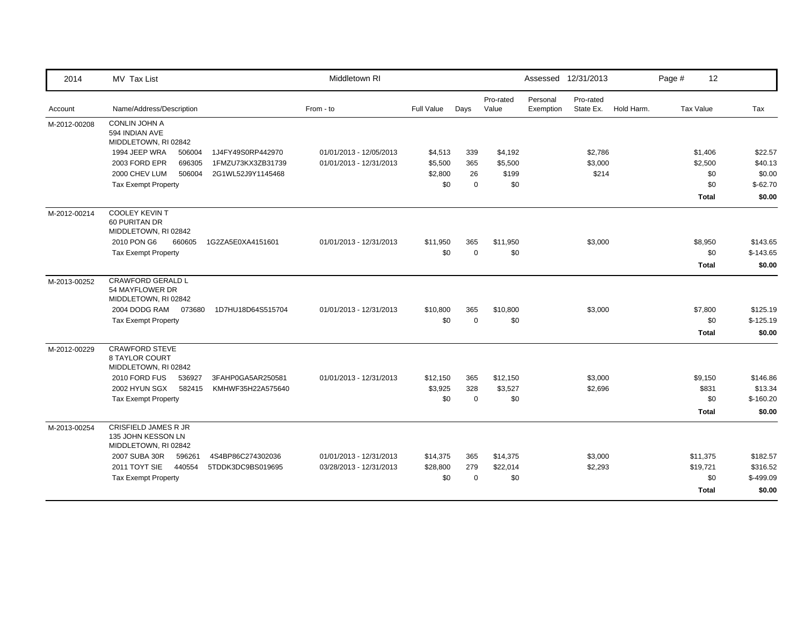| 2014         | MV Tax List                                                               | Middletown RI           |            |             |                    | Assessed 12/31/2013   |                        |            | Page # | 12           |            |
|--------------|---------------------------------------------------------------------------|-------------------------|------------|-------------|--------------------|-----------------------|------------------------|------------|--------|--------------|------------|
| Account      | Name/Address/Description                                                  | From - to               | Full Value | Days        | Pro-rated<br>Value | Personal<br>Exemption | Pro-rated<br>State Ex. | Hold Harm. |        | Tax Value    | Tax        |
| M-2012-00208 | <b>CONLIN JOHN A</b><br>594 INDIAN AVE<br>MIDDLETOWN, RI 02842            |                         |            |             |                    |                       |                        |            |        |              |            |
|              | 1994 JEEP WRA<br>506004<br>1J4FY49S0RP442970                              | 01/01/2013 - 12/05/2013 | \$4,513    | 339         | \$4,192            |                       | \$2,786                |            |        | \$1,406      | \$22.57    |
|              | 2003 FORD EPR<br>696305<br>1FMZU73KX3ZB31739                              | 01/01/2013 - 12/31/2013 | \$5,500    | 365         | \$5,500            |                       | \$3,000                |            |        | \$2,500      | \$40.13    |
|              | 2000 CHEV LUM<br>506004<br>2G1WL52J9Y1145468                              |                         | \$2,800    | 26          | \$199              |                       | \$214                  |            |        | \$0          | \$0.00     |
|              | <b>Tax Exempt Property</b>                                                |                         | \$0        | $\mathbf 0$ | \$0                |                       |                        |            |        | \$0          | $$-62.70$  |
|              |                                                                           |                         |            |             |                    |                       |                        |            |        | <b>Total</b> | \$0.00     |
| M-2012-00214 | <b>COOLEY KEVIN T</b><br>60 PURITAN DR<br>MIDDLETOWN, RI 02842            |                         |            |             |                    |                       |                        |            |        |              |            |
|              | 2010 PON G6<br>660605<br>1G2ZA5E0XA4151601                                | 01/01/2013 - 12/31/2013 | \$11,950   | 365         | \$11,950           |                       | \$3,000                |            |        | \$8,950      | \$143.65   |
|              | <b>Tax Exempt Property</b>                                                |                         | \$0        | $\mathbf 0$ | \$0                |                       |                        |            |        | \$0          | $$-143.65$ |
|              |                                                                           |                         |            |             |                    |                       |                        |            |        | <b>Total</b> | \$0.00     |
| M-2013-00252 | <b>CRAWFORD GERALD L</b><br>54 MAYFLOWER DR<br>MIDDLETOWN, RI 02842       |                         |            |             |                    |                       |                        |            |        |              |            |
|              | 2004 DODG RAM<br>073680<br>1D7HU18D64S515704                              | 01/01/2013 - 12/31/2013 | \$10,800   | 365         | \$10,800           |                       | \$3,000                |            |        | \$7,800      | \$125.19   |
|              | <b>Tax Exempt Property</b>                                                |                         | \$0        | $\mathbf 0$ | \$0                |                       |                        |            |        | \$0          | $$-125.19$ |
|              |                                                                           |                         |            |             |                    |                       |                        |            |        | <b>Total</b> | \$0.00     |
| M-2012-00229 | <b>CRAWFORD STEVE</b><br><b>8 TAYLOR COURT</b><br>MIDDLETOWN, RI 02842    |                         |            |             |                    |                       |                        |            |        |              |            |
|              | 2010 FORD FUS<br>536927<br>3FAHP0GA5AR250581                              | 01/01/2013 - 12/31/2013 | \$12,150   | 365         | \$12,150           |                       | \$3,000                |            |        | \$9,150      | \$146.86   |
|              | 2002 HYUN SGX<br>582415<br>KMHWF35H22A575640                              |                         | \$3,925    | 328         | \$3,527            |                       | \$2,696                |            |        | \$831        | \$13.34    |
|              | <b>Tax Exempt Property</b>                                                |                         | \$0        | $\mathbf 0$ | \$0                |                       |                        |            |        | \$0          | $$-160.20$ |
|              |                                                                           |                         |            |             |                    |                       |                        |            |        | <b>Total</b> | \$0.00     |
| M-2013-00254 | <b>CRISFIELD JAMES R JR</b><br>135 JOHN KESSON LN<br>MIDDLETOWN, RI 02842 |                         |            |             |                    |                       |                        |            |        |              |            |
|              | 2007 SUBA 30R<br>596261<br>4S4BP86C274302036                              | 01/01/2013 - 12/31/2013 | \$14,375   | 365         | \$14,375           |                       | \$3,000                |            |        | \$11,375     | \$182.57   |
|              | 2011 TOYT SIE<br>440554<br>5TDDK3DC9BS019695                              | 03/28/2013 - 12/31/2013 | \$28,800   | 279         | \$22,014           |                       | \$2,293                |            |        | \$19,721     | \$316.52   |
|              | <b>Tax Exempt Property</b>                                                |                         | \$0        | $\mathbf 0$ | \$0                |                       |                        |            |        | \$0          | $$-499.09$ |
|              |                                                                           |                         |            |             |                    |                       |                        |            |        | <b>Total</b> | \$0.00     |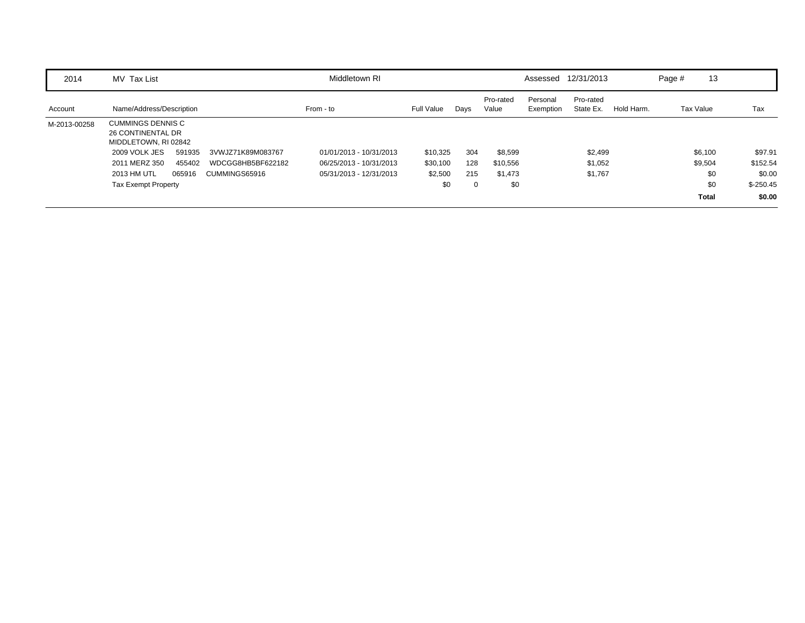| 2014         | MV Tax List                                                                  | Middletown RI           |            |      |                    | Assessed              | 12/31/2013             |            | Page #    | 13           |            |
|--------------|------------------------------------------------------------------------------|-------------------------|------------|------|--------------------|-----------------------|------------------------|------------|-----------|--------------|------------|
| Account      | Name/Address/Description                                                     | From - to               | Full Value | Days | Pro-rated<br>Value | Personal<br>Exemption | Pro-rated<br>State Ex. | Hold Harm. | Tax Value |              | Tax        |
| M-2013-00258 | <b>CUMMINGS DENNIS C</b><br><b>26 CONTINENTAL DR</b><br>MIDDLETOWN, RI 02842 |                         |            |      |                    |                       |                        |            |           |              |            |
|              | 2009 VOLK JES<br>591935<br>3VWJZ71K89M083767                                 | 01/01/2013 - 10/31/2013 | \$10,325   | 304  | \$8,599            |                       | \$2,499                |            |           | \$6,100      | \$97.91    |
|              | 2011 MERZ 350<br>WDCGG8HB5BF622182<br>455402                                 | 06/25/2013 - 10/31/2013 | \$30,100   | 128  | \$10,556           |                       | \$1,052                |            |           | \$9,504      | \$152.54   |
|              | 2013 HM UTL<br>065916<br>CUMMINGS65916                                       | 05/31/2013 - 12/31/2013 | \$2,500    | 215  | \$1,473            |                       | \$1,767                |            |           | \$0          | \$0.00     |
|              | <b>Tax Exempt Property</b>                                                   |                         | \$0        | 0    | \$0                |                       |                        |            |           | \$0          | $$-250.45$ |
|              |                                                                              |                         |            |      |                    |                       |                        |            |           | <b>Total</b> | \$0.00     |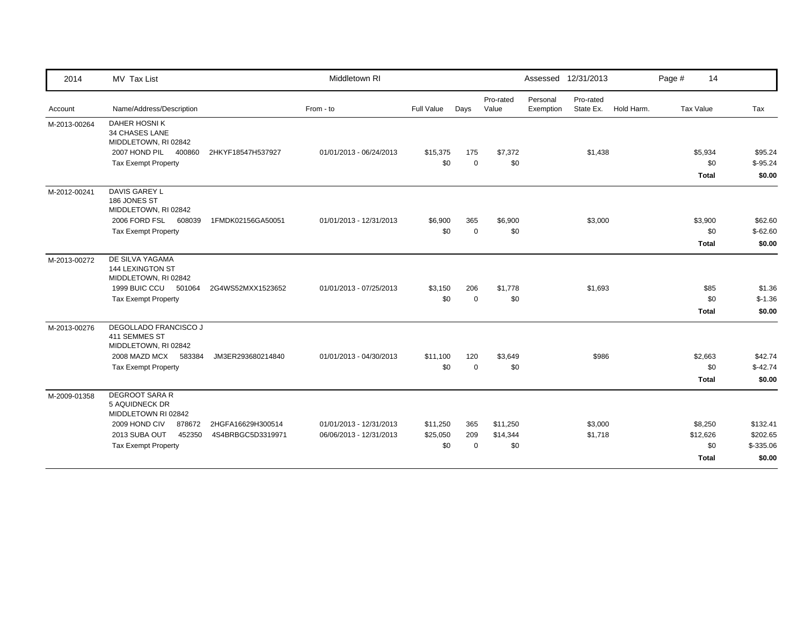| 2014         | MV Tax List                                                    |                   | Middletown RI           |            |             |                    |                       | Assessed 12/31/2013    |            | Page # | 14           |            |
|--------------|----------------------------------------------------------------|-------------------|-------------------------|------------|-------------|--------------------|-----------------------|------------------------|------------|--------|--------------|------------|
| Account      | Name/Address/Description                                       |                   | From - to               | Full Value | Days        | Pro-rated<br>Value | Personal<br>Exemption | Pro-rated<br>State Ex. | Hold Harm. |        | Tax Value    | Tax        |
| M-2013-00264 | DAHER HOSNIK<br><b>34 CHASES LANE</b><br>MIDDLETOWN, RI 02842  |                   |                         |            |             |                    |                       |                        |            |        |              |            |
|              | 2007 HOND PIL<br>400860                                        | 2HKYF18547H537927 | 01/01/2013 - 06/24/2013 | \$15,375   | 175         | \$7,372            |                       | \$1,438                |            |        | \$5,934      | \$95.24    |
|              | <b>Tax Exempt Property</b>                                     |                   |                         | \$0        | $\mathbf 0$ | \$0                |                       |                        |            |        | \$0          | $$-95.24$  |
|              |                                                                |                   |                         |            |             |                    |                       |                        |            |        | <b>Total</b> | \$0.00     |
| M-2012-00241 | DAVIS GAREY L<br>186 JONES ST<br>MIDDLETOWN, RI 02842          |                   |                         |            |             |                    |                       |                        |            |        |              |            |
|              | 2006 FORD FSL<br>608039                                        | 1FMDK02156GA50051 | 01/01/2013 - 12/31/2013 | \$6,900    | 365         | \$6,900            |                       | \$3,000                |            |        | \$3,900      | \$62.60    |
|              | <b>Tax Exempt Property</b>                                     |                   |                         | \$0        | $\mathbf 0$ | \$0                |                       |                        |            |        | \$0          | $$-62.60$  |
|              |                                                                |                   |                         |            |             |                    |                       |                        |            |        | <b>Total</b> | \$0.00     |
| M-2013-00272 | DE SILVA YAGAMA<br>144 LEXINGTON ST<br>MIDDLETOWN, RI 02842    |                   |                         |            |             |                    |                       |                        |            |        |              |            |
|              | 1999 BUIC CCU 501064                                           | 2G4WS52MXX1523652 | 01/01/2013 - 07/25/2013 | \$3,150    | 206         | \$1,778            |                       | \$1,693                |            |        | \$85         | \$1.36     |
|              | <b>Tax Exempt Property</b>                                     |                   |                         | \$0        | $\Omega$    | \$0                |                       |                        |            |        | \$0          | $$-1.36$   |
|              |                                                                |                   |                         |            |             |                    |                       |                        |            |        | <b>Total</b> | \$0.00     |
| M-2013-00276 | DEGOLLADO FRANCISCO J<br>411 SEMMES ST<br>MIDDLETOWN, RI 02842 |                   |                         |            |             |                    |                       |                        |            |        |              |            |
|              | 2008 MAZD MCX<br>583384                                        | JM3ER293680214840 | 01/01/2013 - 04/30/2013 | \$11,100   | 120         | \$3,649            |                       | \$986                  |            |        | \$2,663      | \$42.74    |
|              | <b>Tax Exempt Property</b>                                     |                   |                         | \$0        | $\mathbf 0$ | \$0                |                       |                        |            |        | \$0          | $$-42.74$  |
|              |                                                                |                   |                         |            |             |                    |                       |                        |            |        | <b>Total</b> | \$0.00     |
| M-2009-01358 | <b>DEGROOT SARA R</b><br>5 AQUIDNECK DR<br>MIDDLETOWN RI 02842 |                   |                         |            |             |                    |                       |                        |            |        |              |            |
|              | 2009 HOND CIV<br>878672                                        | 2HGFA16629H300514 | 01/01/2013 - 12/31/2013 | \$11,250   | 365         | \$11,250           |                       | \$3,000                |            |        | \$8,250      | \$132.41   |
|              | 2013 SUBA OUT<br>452350                                        | 4S4BRBGC5D3319971 | 06/06/2013 - 12/31/2013 | \$25,050   | 209         | \$14,344           |                       | \$1,718                |            |        | \$12,626     | \$202.65   |
|              | <b>Tax Exempt Property</b>                                     |                   |                         | \$0        | $\mathbf 0$ | \$0                |                       |                        |            |        | \$0          | $$-335.06$ |
|              |                                                                |                   |                         |            |             |                    |                       |                        |            |        | <b>Total</b> | \$0.00     |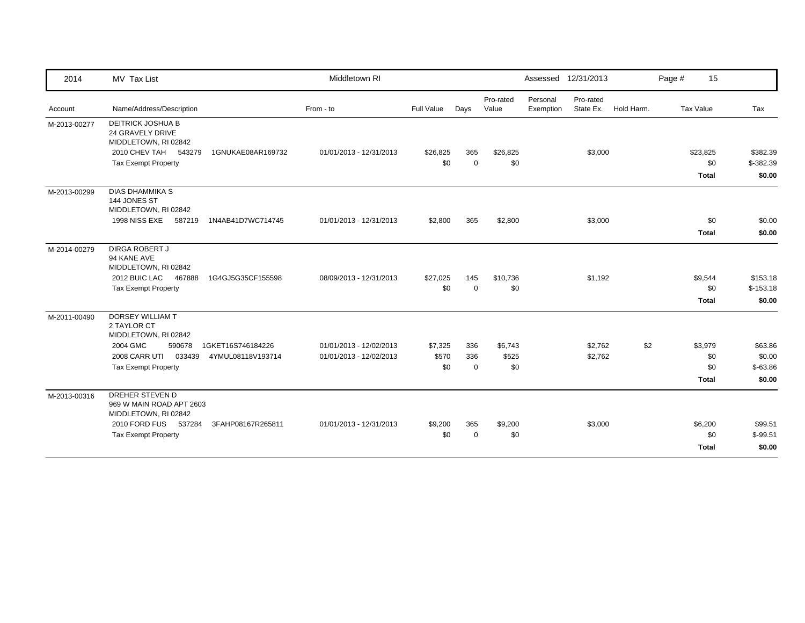| 2014         | MV Tax List                                                                                                            |                   | Middletown RI           |                 |                    |                    |                       | Assessed 12/31/2013    |            | Page # | 15                  |                        |
|--------------|------------------------------------------------------------------------------------------------------------------------|-------------------|-------------------------|-----------------|--------------------|--------------------|-----------------------|------------------------|------------|--------|---------------------|------------------------|
| Account      | Name/Address/Description                                                                                               |                   | From - to               | Full Value      | Days               | Pro-rated<br>Value | Personal<br>Exemption | Pro-rated<br>State Ex. | Hold Harm. |        | Tax Value           | Tax                    |
| M-2013-00277 | DEITRICK JOSHUA B<br>24 GRAVELY DRIVE<br>MIDDLETOWN, RI 02842<br>2010 CHEV TAH<br>543279<br><b>Tax Exempt Property</b> | 1GNUKAE08AR169732 | 01/01/2013 - 12/31/2013 | \$26,825<br>\$0 | 365<br>$\mathbf 0$ | \$26,825<br>\$0    |                       | \$3,000                |            |        | \$23,825<br>\$0     | \$382.39<br>\$-382.39  |
|              |                                                                                                                        |                   |                         |                 |                    |                    |                       |                        |            |        | <b>Total</b>        | \$0.00                 |
| M-2013-00299 | <b>DIAS DHAMMIKA S</b><br>144 JONES ST<br>MIDDLETOWN, RI 02842<br>1998 NISS EXE<br>587219                              | 1N4AB41D7WC714745 | 01/01/2013 - 12/31/2013 | \$2,800         | 365                | \$2,800            |                       | \$3,000                |            |        | \$0                 | \$0.00                 |
|              |                                                                                                                        |                   |                         |                 |                    |                    |                       |                        |            |        | <b>Total</b>        | \$0.00                 |
| M-2014-00279 | <b>DIRGA ROBERT J</b><br>94 KANE AVE<br>MIDDLETOWN, RI 02842                                                           |                   |                         |                 |                    |                    |                       |                        |            |        |                     |                        |
|              | 2012 BUIC LAC<br>467888<br><b>Tax Exempt Property</b>                                                                  | 1G4GJ5G35CF155598 | 08/09/2013 - 12/31/2013 | \$27,025<br>\$0 | 145<br>$\Omega$    | \$10,736<br>\$0    |                       | \$1,192                |            |        | \$9,544<br>\$0      | \$153.18<br>$$-153.18$ |
|              |                                                                                                                        |                   |                         |                 |                    |                    |                       |                        |            |        | Total               | \$0.00                 |
| M-2011-00490 | DORSEY WILLIAM T<br>2 TAYLOR CT<br>MIDDLETOWN, RI 02842                                                                |                   |                         |                 |                    |                    |                       |                        |            |        |                     |                        |
|              | 2004 GMC<br>590678                                                                                                     | 1GKET16S746184226 | 01/01/2013 - 12/02/2013 | \$7,325         | 336                | \$6,743            |                       | \$2,762                | \$2        |        | \$3,979             | \$63.86                |
|              | 2008 CARR UTI 033439                                                                                                   | 4YMUL08118V193714 | 01/01/2013 - 12/02/2013 | \$570           | 336                | \$525              |                       | \$2,762                |            |        | \$0                 | \$0.00                 |
|              | <b>Tax Exempt Property</b>                                                                                             |                   |                         | \$0             | $\mathbf 0$        | \$0                |                       |                        |            |        | \$0                 | $$-63.86$              |
|              |                                                                                                                        |                   |                         |                 |                    |                    |                       |                        |            |        | <b>Total</b>        | \$0.00                 |
| M-2013-00316 | DREHER STEVEN D<br>969 W MAIN ROAD APT 2603<br>MIDDLETOWN, RI 02842                                                    |                   |                         |                 |                    |                    |                       |                        |            |        |                     |                        |
|              | 2010 FORD FUS 537284                                                                                                   | 3FAHP08167R265811 | 01/01/2013 - 12/31/2013 | \$9,200         | 365                | \$9,200            |                       | \$3,000                |            |        | \$6,200             | \$99.51                |
|              | <b>Tax Exempt Property</b>                                                                                             |                   |                         | \$0             | $\mathbf 0$        | \$0                |                       |                        |            |        | \$0<br><b>Total</b> | $$-99.51$<br>\$0.00    |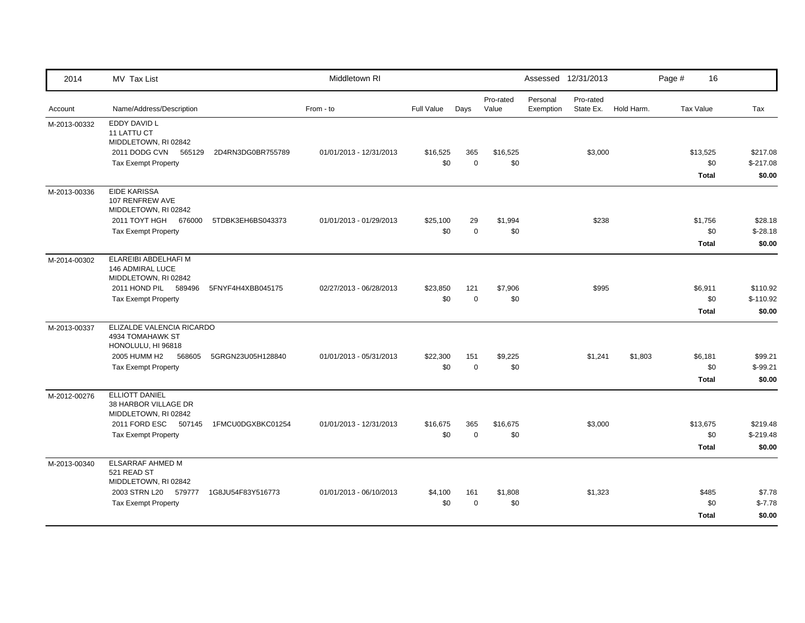| 2014         | MV Tax List                                                                                                      |                   | Middletown RI           |                   |                         |                    |                       | Assessed 12/31/2013    |            | Page #           | 16                             |                                  |
|--------------|------------------------------------------------------------------------------------------------------------------|-------------------|-------------------------|-------------------|-------------------------|--------------------|-----------------------|------------------------|------------|------------------|--------------------------------|----------------------------------|
| Account      | Name/Address/Description                                                                                         |                   | From - to               | <b>Full Value</b> | Days                    | Pro-rated<br>Value | Personal<br>Exemption | Pro-rated<br>State Ex. | Hold Harm. | <b>Tax Value</b> |                                | Tax                              |
| M-2013-00332 | <b>EDDY DAVID L</b><br>11 LATTU CT<br>MIDDLETOWN, RI 02842<br>2011 DODG CVN 565129<br><b>Tax Exempt Property</b> | 2D4RN3DG0BR755789 | 01/01/2013 - 12/31/2013 | \$16,525<br>\$0   | 365<br>$\mathbf 0$      | \$16,525<br>\$0    |                       | \$3,000                |            | \$13,525         | \$0                            | \$217.08<br>$$-217.08$           |
| M-2013-00336 | <b>EIDE KARISSA</b><br>107 RENFREW AVE<br>MIDDLETOWN, RI 02842                                                   |                   |                         |                   |                         |                    |                       |                        |            |                  | Total                          | \$0.00                           |
|              | 2011 TOYT HGH 676000<br><b>Tax Exempt Property</b>                                                               | 5TDBK3EH6BS043373 | 01/01/2013 - 01/29/2013 | \$25,100<br>\$0   | 29<br>$\mathbf 0$       | \$1,994<br>\$0     |                       | \$238                  |            |                  | \$1,756<br>\$0<br><b>Total</b> | \$28.18<br>$$-28.18$<br>\$0.00   |
| M-2014-00302 | ELAREIBI ABDELHAFI M<br>146 ADMIRAL LUCE<br>MIDDLETOWN, RI 02842<br>2011 HOND PIL<br>589496                      | 5FNYF4H4XBB045175 | 02/27/2013 - 06/28/2013 | \$23,850          | 121                     | \$7,906            |                       | \$995                  |            |                  | \$6,911                        | \$110.92                         |
|              | <b>Tax Exempt Property</b>                                                                                       |                   |                         | \$0               | $\mathbf 0$             | \$0                |                       |                        |            |                  | \$0<br><b>Total</b>            | $$-110.92$<br>\$0.00             |
| M-2013-00337 | ELIZALDE VALENCIA RICARDO<br>4934 TOMAHAWK ST<br>HONOLULU, HI 96818                                              |                   |                         |                   |                         |                    |                       |                        |            |                  |                                |                                  |
|              | 2005 HUMM H2<br>568605<br><b>Tax Exempt Property</b>                                                             | 5GRGN23U05H128840 | 01/01/2013 - 05/31/2013 | \$22,300<br>\$0   | 151<br>$\mathbf 0$      | \$9,225<br>\$0     |                       | \$1,241                | \$1,803    |                  | \$6,181<br>\$0<br><b>Total</b> | \$99.21<br>$$-99.21$<br>\$0.00   |
| M-2012-00276 | <b>ELLIOTT DANIEL</b><br>38 HARBOR VILLAGE DR<br>MIDDLETOWN, RI 02842                                            |                   |                         |                   |                         |                    |                       |                        |            |                  |                                |                                  |
|              | 2011 FORD ESC<br>507145<br><b>Tax Exempt Property</b>                                                            | 1FMCU0DGXBKC01254 | 01/01/2013 - 12/31/2013 | \$16,675<br>\$0   | 365<br>$\boldsymbol{0}$ | \$16,675<br>\$0    |                       | \$3,000                |            | \$13,675         | \$0<br><b>Total</b>            | \$219.48<br>$$-219.48$<br>\$0.00 |
| M-2013-00340 | ELSARRAF AHMED M<br>521 READ ST<br>MIDDLETOWN, RI 02842                                                          |                   |                         |                   |                         |                    |                       |                        |            |                  |                                |                                  |
|              | 2003 STRN L20<br>579777<br><b>Tax Exempt Property</b>                                                            | 1G8JU54F83Y516773 | 01/01/2013 - 06/10/2013 | \$4,100<br>\$0    | 161<br>$\Omega$         | \$1,808<br>\$0     |                       | \$1,323                |            |                  | \$485<br>\$0<br><b>Total</b>   | \$7.78<br>$$-7.78$<br>\$0.00     |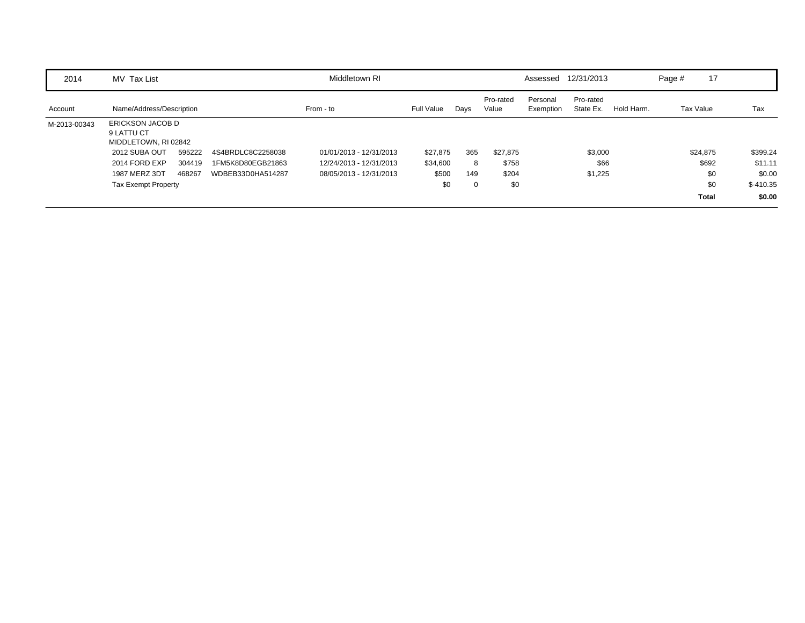| 2014         | MV Tax List                                                   |        |                   | Middletown RI           |            |      |                    | Assessed              | 12/31/2013             |            | Page #    | 17           |            |
|--------------|---------------------------------------------------------------|--------|-------------------|-------------------------|------------|------|--------------------|-----------------------|------------------------|------------|-----------|--------------|------------|
| Account      | Name/Address/Description                                      |        |                   | From - to               | Full Value | Days | Pro-rated<br>Value | Personal<br>Exemption | Pro-rated<br>State Ex. | Hold Harm. | Tax Value |              | Tax        |
| M-2013-00343 | <b>ERICKSON JACOB D</b><br>9 LATTU CT<br>MIDDLETOWN, RI 02842 |        |                   |                         |            |      |                    |                       |                        |            |           |              |            |
|              | 2012 SUBA OUT                                                 | 595222 | 4S4BRDLC8C2258038 | 01/01/2013 - 12/31/2013 | \$27,875   | 365  | \$27,875           |                       | \$3,000                |            |           | \$24,875     | \$399.24   |
|              | 2014 FORD EXP                                                 | 304419 | 1FM5K8D80EGB21863 | 12/24/2013 - 12/31/2013 | \$34,600   | 8    | \$758              |                       | \$66                   |            |           | \$692        | \$11.11    |
|              | 1987 MERZ 3DT                                                 | 468267 | WDBEB33D0HA514287 | 08/05/2013 - 12/31/2013 | \$500      | 149  | \$204              |                       | \$1,225                |            |           | \$0          | \$0.00     |
|              | <b>Tax Exempt Property</b>                                    |        |                   |                         | \$0        | 0    | \$0                |                       |                        |            |           | \$0          | $$-410.35$ |
|              |                                                               |        |                   |                         |            |      |                    |                       |                        |            |           | <b>Total</b> | \$0.00     |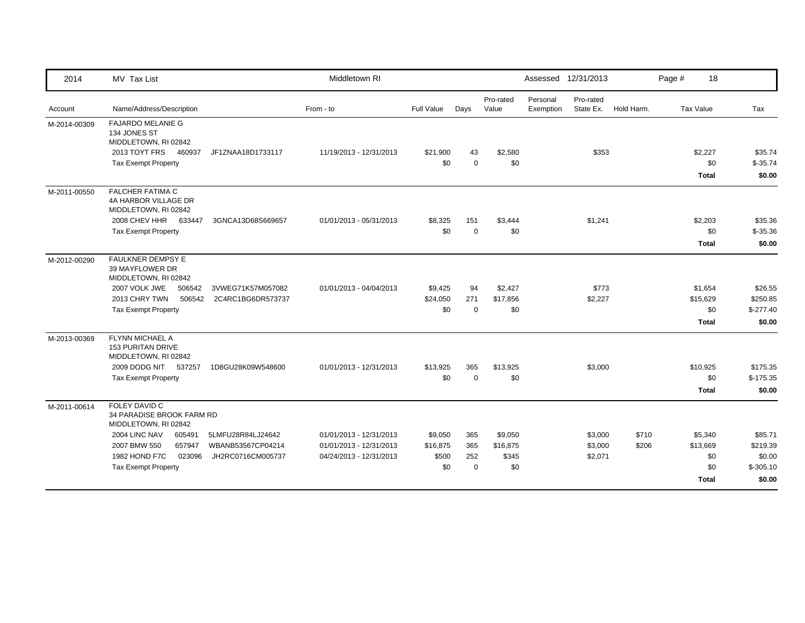| 2014         | MV Tax List                                                             |                   | Middletown RI           |            |             |                    |                       | Assessed 12/31/2013    |            | Page # | 18           |             |
|--------------|-------------------------------------------------------------------------|-------------------|-------------------------|------------|-------------|--------------------|-----------------------|------------------------|------------|--------|--------------|-------------|
| Account      | Name/Address/Description                                                |                   | From - to               | Full Value | Days        | Pro-rated<br>Value | Personal<br>Exemption | Pro-rated<br>State Ex. | Hold Harm. |        | Tax Value    | Tax         |
| M-2014-00309 | <b>FAJARDO MELANIE G</b><br>134 JONES ST<br>MIDDLETOWN, RI 02842        |                   |                         |            |             |                    |                       |                        |            |        |              |             |
|              | 2013 TOYT FRS<br>460937                                                 | JF1ZNAA18D1733117 | 11/19/2013 - 12/31/2013 | \$21,900   | 43          | \$2,580            |                       | \$353                  |            |        | \$2,227      | \$35.74     |
|              | <b>Tax Exempt Property</b>                                              |                   |                         | \$0        | $\Omega$    | \$0                |                       |                        |            |        | \$0          | $$-35.74$   |
|              |                                                                         |                   |                         |            |             |                    |                       |                        |            |        | <b>Total</b> | \$0.00      |
| M-2011-00550 | <b>FALCHER FATIMA C</b><br>4A HARBOR VILLAGE DR<br>MIDDLETOWN, RI 02842 |                   |                         |            |             |                    |                       |                        |            |        |              |             |
|              | 2008 CHEV HHR 633447                                                    | 3GNCA13D68S669657 | 01/01/2013 - 05/31/2013 | \$8,325    | 151         | \$3,444            |                       | \$1,241                |            |        | \$2,203      | \$35.36     |
|              | <b>Tax Exempt Property</b>                                              |                   |                         | \$0        | $\mathbf 0$ | \$0                |                       |                        |            |        | \$0          | $$-35.36$   |
|              |                                                                         |                   |                         |            |             |                    |                       |                        |            |        | <b>Total</b> | \$0.00      |
| M-2012-00290 | FAULKNER DEMPSY E<br>39 MAYFLOWER DR<br>MIDDLETOWN, RI 02842            |                   |                         |            |             |                    |                       |                        |            |        |              |             |
|              | 2007 VOLK JWE<br>506542                                                 | 3VWEG71K57M057082 | 01/01/2013 - 04/04/2013 | \$9,425    | 94          | \$2,427            |                       | \$773                  |            |        | \$1,654      | \$26.55     |
|              | 2013 CHRY TWN<br>506542                                                 | 2C4RC1BG6DR573737 |                         | \$24,050   | 271         | \$17,856           |                       | \$2,227                |            |        | \$15,629     | \$250.85    |
|              | <b>Tax Exempt Property</b>                                              |                   |                         | \$0        | $\mathbf 0$ | \$0                |                       |                        |            |        | \$0          | $$-277.40$  |
|              |                                                                         |                   |                         |            |             |                    |                       |                        |            |        | <b>Total</b> | \$0.00      |
| M-2013-00369 | FLYNN MICHAEL A<br><b>153 PURITAN DRIVE</b><br>MIDDLETOWN, RI 02842     |                   |                         |            |             |                    |                       |                        |            |        |              |             |
|              | 2009 DODG NIT 537257                                                    | 1D8GU28K09W548600 | 01/01/2013 - 12/31/2013 | \$13,925   | 365         | \$13,925           |                       | \$3,000                |            |        | \$10,925     | \$175.35    |
|              | <b>Tax Exempt Property</b>                                              |                   |                         | \$0        | $\Omega$    | \$0                |                       |                        |            |        | \$0          | $$-175.35$  |
|              |                                                                         |                   |                         |            |             |                    |                       |                        |            |        | <b>Total</b> | \$0.00      |
| M-2011-00614 | FOLEY DAVID C<br>34 PARADISE BROOK FARM RD<br>MIDDLETOWN, RI 02842      |                   |                         |            |             |                    |                       |                        |            |        |              |             |
|              | 2004 LINC NAV<br>605491                                                 | 5LMFU28R84LJ24642 | 01/01/2013 - 12/31/2013 | \$9,050    | 365         | \$9,050            |                       | \$3,000                | \$710      |        | \$5,340      | \$85.71     |
|              | 657947<br>2007 BMW 550                                                  | WBANB53567CP04214 | 01/01/2013 - 12/31/2013 | \$16,875   | 365         | \$16,875           |                       | \$3,000                | \$206      |        | \$13,669     | \$219.39    |
|              | <b>1982 HOND F7C</b><br>023096                                          | JH2RC0716CM005737 | 04/24/2013 - 12/31/2013 | \$500      | 252         | \$345              |                       | \$2,071                |            |        | \$0          | \$0.00      |
|              | <b>Tax Exempt Property</b>                                              |                   |                         | \$0        | $\Omega$    | \$0                |                       |                        |            |        | \$0          | $$ -305.10$ |
|              |                                                                         |                   |                         |            |             |                    |                       |                        |            |        | <b>Total</b> | \$0.00      |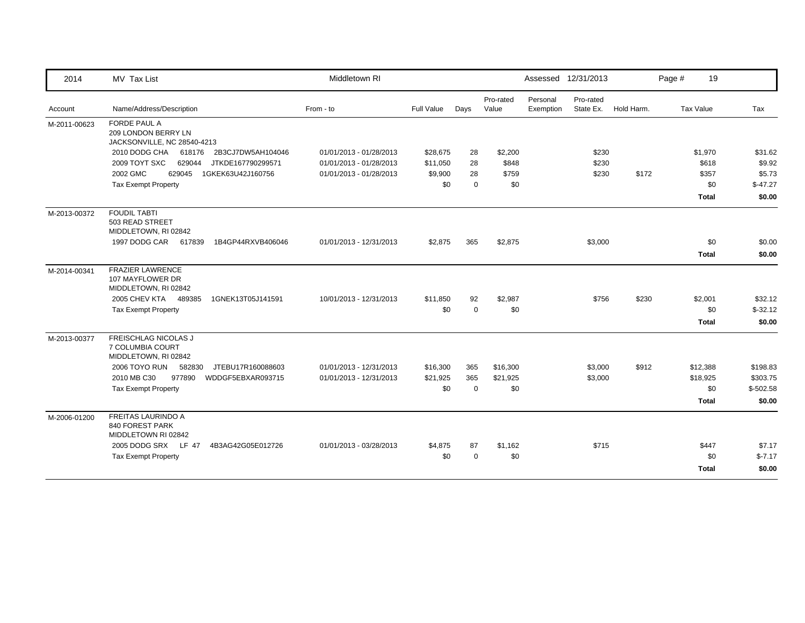| 2014         | MV Tax List                                                         | Middletown RI           |            |             |                    | Assessed 12/31/2013   |                        |            | Page #           | 19                |
|--------------|---------------------------------------------------------------------|-------------------------|------------|-------------|--------------------|-----------------------|------------------------|------------|------------------|-------------------|
| Account      | Name/Address/Description                                            | From - to               | Full Value | Days        | Pro-rated<br>Value | Personal<br>Exemption | Pro-rated<br>State Ex. | Hold Harm. | <b>Tax Value</b> | Tax               |
| M-2011-00623 | FORDE PAUL A<br>209 LONDON BERRY LN<br>JACKSONVILLE, NC 28540-4213  |                         |            |             |                    |                       |                        |            |                  |                   |
|              | 2010 DODG CHA<br>618176<br>2B3CJ7DW5AH104046                        | 01/01/2013 - 01/28/2013 | \$28,675   | 28          | \$2,200            |                       | \$230                  |            | \$1,970          | \$31.62           |
|              | 2009 TOYT SXC<br>629044<br>JTKDE167790299571                        | 01/01/2013 - 01/28/2013 | \$11,050   | 28          | \$848              |                       | \$230                  |            | \$618            | \$9.92            |
|              | 2002 GMC<br>629045<br>1GKEK63U42J160756                             | 01/01/2013 - 01/28/2013 | \$9,900    | 28          | \$759              |                       | \$230                  | \$172      | \$357            | \$5.73            |
|              | <b>Tax Exempt Property</b>                                          |                         | \$0        | $\Omega$    | \$0                |                       |                        |            |                  | \$0<br>$$-47.27$  |
|              |                                                                     |                         |            |             |                    |                       |                        |            | <b>Total</b>     | \$0.00            |
| M-2013-00372 | <b>FOUDIL TABTI</b><br>503 READ STREET<br>MIDDLETOWN, RI 02842      |                         |            |             |                    |                       |                        |            |                  |                   |
|              | 1997 DODG CAR<br>617839<br>1B4GP44RXVB406046                        | 01/01/2013 - 12/31/2013 | \$2,875    | 365         | \$2,875            |                       | \$3,000                |            |                  | \$0<br>\$0.00     |
|              |                                                                     |                         |            |             |                    |                       |                        |            | <b>Total</b>     | \$0.00            |
| M-2014-00341 | <b>FRAZIER LAWRENCE</b><br>107 MAYFLOWER DR<br>MIDDLETOWN, RI 02842 |                         |            |             |                    |                       |                        |            |                  |                   |
|              | 2005 CHEV KTA<br>489385<br>1GNEK13T05J141591                        | 10/01/2013 - 12/31/2013 | \$11,850   | 92          | \$2,987            |                       | \$756                  | \$230      | \$2,001          | \$32.12           |
|              | <b>Tax Exempt Property</b>                                          |                         | \$0        | $\mathbf 0$ | \$0                |                       |                        |            |                  | \$0<br>$$-32.12$  |
|              |                                                                     |                         |            |             |                    |                       |                        |            | <b>Total</b>     | \$0.00            |
| M-2013-00377 | FREISCHLAG NICOLAS J<br>7 COLUMBIA COURT<br>MIDDLETOWN, RI 02842    |                         |            |             |                    |                       |                        |            |                  |                   |
|              | 2006 TOYO RUN<br>582830<br>JTEBU17R160088603                        | 01/01/2013 - 12/31/2013 | \$16,300   | 365         | \$16,300           |                       | \$3,000                | \$912      | \$12,388         | \$198.83          |
|              | 2010 MB C30<br>977890<br>WDDGF5EBXAR093715                          | 01/01/2013 - 12/31/2013 | \$21,925   | 365         | \$21,925           |                       | \$3,000                |            | \$18,925         | \$303.75          |
|              | <b>Tax Exempt Property</b>                                          |                         | \$0        | $\Omega$    | \$0                |                       |                        |            |                  | \$0<br>$$-502.58$ |
|              |                                                                     |                         |            |             |                    |                       |                        |            | <b>Total</b>     | \$0.00            |
| M-2006-01200 | <b>FREITAS LAURINDO A</b><br>840 FOREST PARK<br>MIDDLETOWN RI 02842 |                         |            |             |                    |                       |                        |            |                  |                   |
|              | 2005 DODG SRX LF 47<br>4B3AG42G05E012726                            | 01/01/2013 - 03/28/2013 | \$4,875    | 87          | \$1,162            |                       | \$715                  |            | \$447            | \$7.17            |
|              | <b>Tax Exempt Property</b>                                          |                         | \$0        | $\Omega$    | \$0                |                       |                        |            |                  | \$0<br>$$-7.17$   |
|              |                                                                     |                         |            |             |                    |                       |                        |            | <b>Total</b>     | \$0.00            |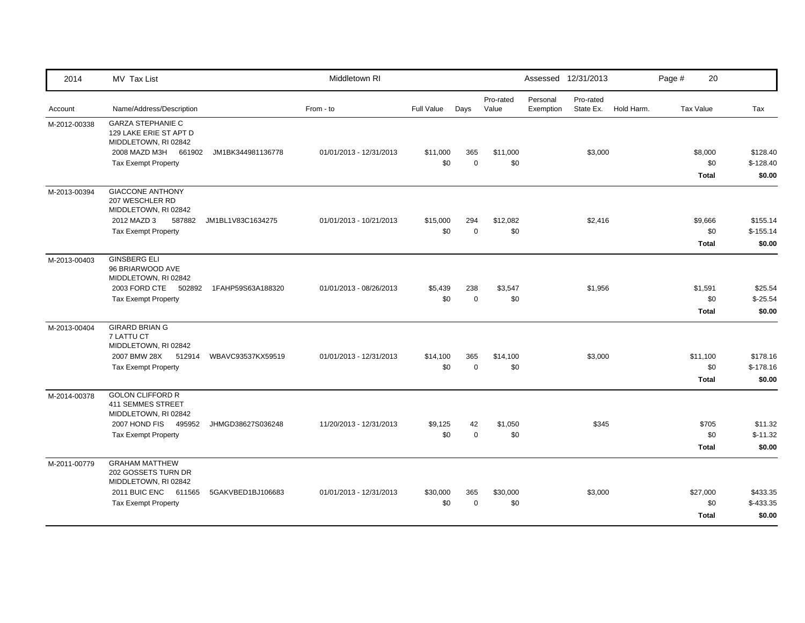| 2014         | MV Tax List                                                                                                                          |                   | Middletown RI           |                   |                    |                    |                       | Assessed 12/31/2013    |            | Page #           | 20                              |                                  |
|--------------|--------------------------------------------------------------------------------------------------------------------------------------|-------------------|-------------------------|-------------------|--------------------|--------------------|-----------------------|------------------------|------------|------------------|---------------------------------|----------------------------------|
| Account      | Name/Address/Description                                                                                                             |                   | From - to               | <b>Full Value</b> | Days               | Pro-rated<br>Value | Personal<br>Exemption | Pro-rated<br>State Ex. | Hold Harm. | <b>Tax Value</b> |                                 | Tax                              |
| M-2012-00338 | <b>GARZA STEPHANIE C</b><br>129 LAKE ERIE ST APT D<br>MIDDLETOWN, RI 02842<br>2008 MAZD M3H 661902<br><b>Tax Exempt Property</b>     | JM1BK344981136778 | 01/01/2013 - 12/31/2013 | \$11,000<br>\$0   | 365<br>$\mathbf 0$ | \$11,000<br>\$0    |                       | \$3,000                |            |                  | \$8,000<br>\$0<br><b>Total</b>  | \$128.40<br>$$-128.40$<br>\$0.00 |
| M-2013-00394 | <b>GIACCONE ANTHONY</b><br>207 WESCHLER RD<br>MIDDLETOWN, RI 02842<br>2012 MAZD 3<br>587882<br><b>Tax Exempt Property</b>            | JM1BL1V83C1634275 | 01/01/2013 - 10/21/2013 | \$15,000<br>\$0   | 294<br>$\mathbf 0$ | \$12,082<br>\$0    |                       | \$2,416                |            |                  | \$9,666<br>\$0<br><b>Total</b>  | \$155.14<br>$$-155.14$<br>\$0.00 |
| M-2013-00403 | <b>GINSBERG ELI</b><br>96 BRIARWOOD AVE<br>MIDDLETOWN, RI 02842<br>2003 FORD CTE 502892<br><b>Tax Exempt Property</b>                | 1FAHP59S63A188320 | 01/01/2013 - 08/26/2013 | \$5,439<br>\$0    | 238<br>$\mathbf 0$ | \$3,547<br>\$0     |                       | \$1,956                |            |                  | \$1,591<br>\$0<br>Total         | \$25.54<br>$$-25.54$<br>\$0.00   |
| M-2013-00404 | <b>GIRARD BRIAN G</b><br>7 LATTU CT<br>MIDDLETOWN, RI 02842<br>2007 BMW 28X<br>512914<br><b>Tax Exempt Property</b>                  | WBAVC93537KX59519 | 01/01/2013 - 12/31/2013 | \$14,100<br>\$0   | 365<br>$\mathbf 0$ | \$14,100<br>\$0    |                       | \$3,000                |            |                  | \$11,100<br>\$0<br><b>Total</b> | \$178.16<br>$$-178.16$<br>\$0.00 |
| M-2014-00378 | <b>GOLON CLIFFORD R</b><br><b>411 SEMMES STREET</b><br>MIDDLETOWN, RI 02842<br>2007 HOND FIS<br>495952<br><b>Tax Exempt Property</b> | JHMGD38627S036248 | 11/20/2013 - 12/31/2013 | \$9,125<br>\$0    | 42<br>$\mathbf 0$  | \$1,050<br>\$0     |                       | \$345                  |            |                  | \$705<br>\$0<br><b>Total</b>    | \$11.32<br>$$-11.32$<br>\$0.00   |
| M-2011-00779 | <b>GRAHAM MATTHEW</b><br>202 GOSSETS TURN DR<br>MIDDLETOWN, RI 02842<br>2011 BUIC ENC 611565<br><b>Tax Exempt Property</b>           | 5GAKVBED1BJ106683 | 01/01/2013 - 12/31/2013 | \$30,000<br>\$0   | 365<br>$\Omega$    | \$30,000<br>\$0    |                       | \$3,000                |            |                  | \$27,000<br>\$0<br><b>Total</b> | \$433.35<br>$$-433.35$<br>\$0.00 |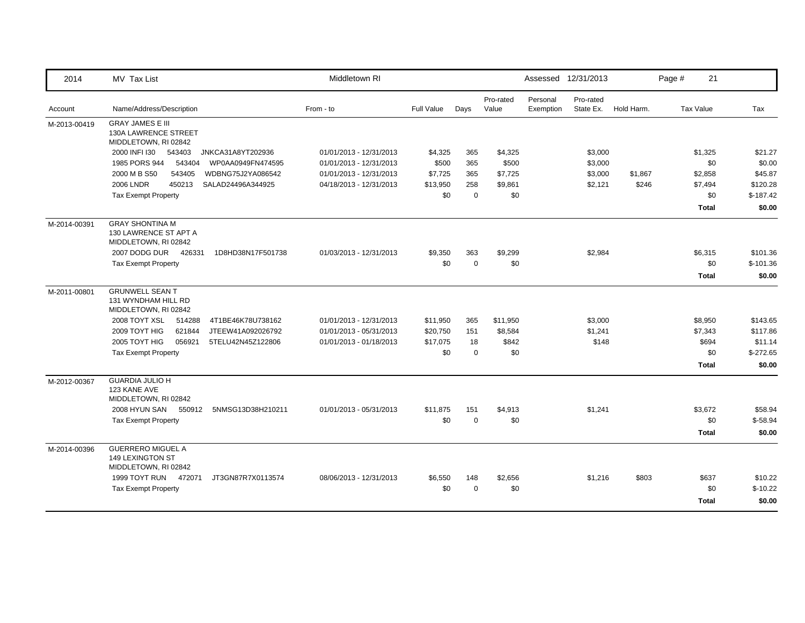| 2014         | MV Tax List                                                             | Middletown RI           |            |             |                    |                       | Assessed 12/31/2013    |            | Page #    | 21           |            |
|--------------|-------------------------------------------------------------------------|-------------------------|------------|-------------|--------------------|-----------------------|------------------------|------------|-----------|--------------|------------|
| Account      | Name/Address/Description                                                | From - to               | Full Value | Days        | Pro-rated<br>Value | Personal<br>Exemption | Pro-rated<br>State Ex. | Hold Harm. | Tax Value |              | Tax        |
| M-2013-00419 | <b>GRAY JAMES E III</b><br>130A LAWRENCE STREET<br>MIDDLETOWN, RI 02842 |                         |            |             |                    |                       |                        |            |           |              |            |
|              | 2000 INFI I30<br>543403<br>JNKCA31A8YT202936                            | 01/01/2013 - 12/31/2013 | \$4,325    | 365         | \$4,325            |                       | \$3,000                |            |           | \$1,325      | \$21.27    |
|              | 1985 PORS 944<br>543404<br>WP0AA0949FN474595                            | 01/01/2013 - 12/31/2013 | \$500      | 365         | \$500              |                       | \$3,000                |            |           | \$0          | \$0.00     |
|              | 2000 M B S50<br>543405<br>WDBNG75J2YA086542                             | 01/01/2013 - 12/31/2013 | \$7,725    | 365         | \$7,725            |                       | \$3,000                | \$1,867    |           | \$2,858      | \$45.87    |
|              | <b>2006 LNDR</b><br>450213<br>SALAD24496A344925                         | 04/18/2013 - 12/31/2013 | \$13,950   | 258         | \$9,861            |                       | \$2,121                | \$246      |           | \$7,494      | \$120.28   |
|              | <b>Tax Exempt Property</b>                                              |                         | \$0        | $\Omega$    | \$0                |                       |                        |            |           | \$0          | $$-187.42$ |
|              |                                                                         |                         |            |             |                    |                       |                        |            |           | Total        | \$0.00     |
| M-2014-00391 | <b>GRAY SHONTINA M</b><br>130 LAWRENCE ST APT A<br>MIDDLETOWN, RI 02842 |                         |            |             |                    |                       |                        |            |           |              |            |
|              | 2007 DODG DUR<br>1D8HD38N17F501738<br>426331                            | 01/03/2013 - 12/31/2013 | \$9,350    | 363         | \$9,299            |                       | \$2,984                |            |           | \$6,315      | \$101.36   |
|              | <b>Tax Exempt Property</b>                                              |                         | \$0        | $\mathbf 0$ | \$0                |                       |                        |            |           | \$0          | $$-101.36$ |
|              |                                                                         |                         |            |             |                    |                       |                        |            |           | <b>Total</b> | \$0.00     |
| M-2011-00801 | <b>GRUNWELL SEAN T</b><br>131 WYNDHAM HILL RD<br>MIDDLETOWN, RI 02842   |                         |            |             |                    |                       |                        |            |           |              |            |
|              | 2008 TOYT XSL<br>514288<br>4T1BE46K78U738162                            | 01/01/2013 - 12/31/2013 | \$11,950   | 365         | \$11,950           |                       | \$3,000                |            |           | \$8,950      | \$143.65   |
|              | 2009 TOYT HIG<br>621844<br>JTEEW41A092026792                            | 01/01/2013 - 05/31/2013 | \$20,750   | 151         | \$8,584            |                       | \$1,241                |            |           | \$7,343      | \$117.86   |
|              | 2005 TOYT HIG<br>056921<br>5TELU42N45Z122806                            | 01/01/2013 - 01/18/2013 | \$17,075   | 18          | \$842              |                       | \$148                  |            |           | \$694        | \$11.14    |
|              | <b>Tax Exempt Property</b>                                              |                         | \$0        | $\mathbf 0$ | \$0                |                       |                        |            |           | \$0          | $$-272.65$ |
|              |                                                                         |                         |            |             |                    |                       |                        |            |           | <b>Total</b> | \$0.00     |
| M-2012-00367 | <b>GUARDIA JULIO H</b><br>123 KANE AVE<br>MIDDLETOWN, RI 02842          |                         |            |             |                    |                       |                        |            |           |              |            |
|              | 2008 HYUN SAN<br>550912<br>5NMSG13D38H210211                            | 01/01/2013 - 05/31/2013 | \$11,875   | 151         | \$4,913            |                       | \$1,241                |            |           | \$3,672      | \$58.94    |
|              | <b>Tax Exempt Property</b>                                              |                         | \$0        | $\mathbf 0$ | \$0                |                       |                        |            |           | \$0          | $$-58.94$  |
|              |                                                                         |                         |            |             |                    |                       |                        |            |           | <b>Total</b> | \$0.00     |
| M-2014-00396 | <b>GUERRERO MIGUEL A</b><br>149 LEXINGTON ST<br>MIDDLETOWN, RI 02842    |                         |            |             |                    |                       |                        |            |           |              |            |
|              | 1999 TOYT RUN 472071<br>JT3GN87R7X0113574                               | 08/06/2013 - 12/31/2013 | \$6,550    | 148         | \$2,656            |                       | \$1,216                | \$803      |           | \$637        | \$10.22    |
|              | <b>Tax Exempt Property</b>                                              |                         | \$0        | $\Omega$    | \$0                |                       |                        |            |           | \$0          | $$-10.22$  |
|              |                                                                         |                         |            |             |                    |                       |                        |            |           | <b>Total</b> | \$0.00     |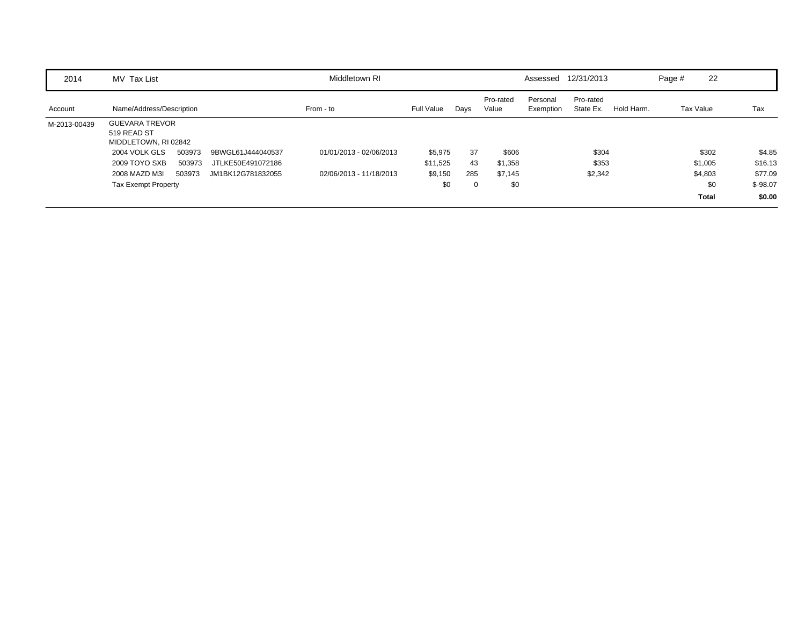| 2014         | MV Tax List                                                  | Middletown RI           |            |      |                    |                       | Assessed 12/31/2013    |            | Page #    | 22           |           |
|--------------|--------------------------------------------------------------|-------------------------|------------|------|--------------------|-----------------------|------------------------|------------|-----------|--------------|-----------|
| Account      | Name/Address/Description                                     | From - to               | Full Value | Days | Pro-rated<br>Value | Personal<br>Exemption | Pro-rated<br>State Ex. | Hold Harm. | Tax Value |              | Tax       |
| M-2013-00439 | <b>GUEVARA TREVOR</b><br>519 READ ST<br>MIDDLETOWN, RI 02842 |                         |            |      |                    |                       |                        |            |           |              |           |
|              | 503973<br>2004 VOLK GLS<br>9BWGL61J444040537                 | 01/01/2013 - 02/06/2013 | \$5,975    | 37   | \$606              |                       | \$304                  |            |           | \$302        | \$4.85    |
|              | 2009 TOYO SXB<br>JTLKE50E491072186<br>503973                 |                         | \$11,525   | 43   | \$1,358            |                       | \$353                  |            |           | \$1,005      | \$16.13   |
|              | 2008 MAZD M3I<br>503973<br>JM1BK12G781832055                 | 02/06/2013 - 11/18/2013 | \$9,150    | 285  | \$7,145            |                       | \$2,342                |            |           | \$4,803      | \$77.09   |
|              | <b>Tax Exempt Property</b>                                   |                         | \$0        | 0    | \$0                |                       |                        |            |           | \$0          | $$-98.07$ |
|              |                                                              |                         |            |      |                    |                       |                        |            |           | <b>Total</b> | \$0.00    |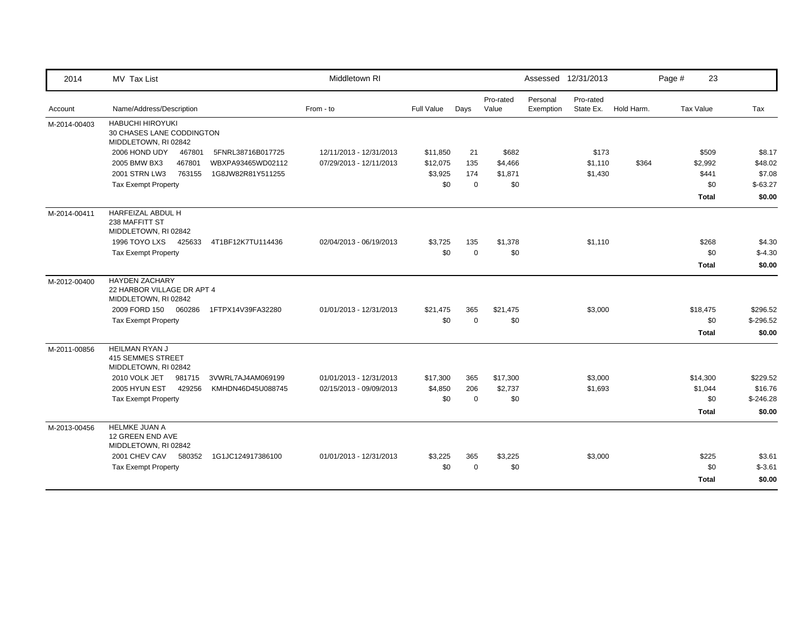| 2014         | MV Tax List                                                                  |                   | Middletown RI           |            |             |                    |                       | Assessed 12/31/2013    |            | Page # | 23               |            |
|--------------|------------------------------------------------------------------------------|-------------------|-------------------------|------------|-------------|--------------------|-----------------------|------------------------|------------|--------|------------------|------------|
| Account      | Name/Address/Description                                                     |                   | From - to               | Full Value | Days        | Pro-rated<br>Value | Personal<br>Exemption | Pro-rated<br>State Ex. | Hold Harm. |        | <b>Tax Value</b> | Tax        |
| M-2014-00403 | <b>HABUCHI HIROYUKI</b><br>30 CHASES LANE CODDINGTON<br>MIDDLETOWN, RI 02842 |                   |                         |            |             |                    |                       |                        |            |        |                  |            |
|              | 2006 HOND UDY<br>467801                                                      | 5FNRL38716B017725 | 12/11/2013 - 12/31/2013 | \$11,850   | 21          | \$682              |                       | \$173                  |            |        | \$509            | \$8.17     |
|              | 2005 BMW BX3<br>467801                                                       | WBXPA93465WD02112 | 07/29/2013 - 12/11/2013 | \$12,075   | 135         | \$4,466            |                       | \$1,110                | \$364      |        | \$2,992          | \$48.02    |
|              | 2001 STRN LW3<br>763155                                                      | 1G8JW82R81Y511255 |                         | \$3,925    | 174         | \$1,871            |                       | \$1,430                |            |        | \$441            | \$7.08     |
|              | <b>Tax Exempt Property</b>                                                   |                   |                         | \$0        | $\Omega$    | \$0                |                       |                        |            |        | \$0              | $$-63.27$  |
|              |                                                                              |                   |                         |            |             |                    |                       |                        |            |        | <b>Total</b>     | \$0.00     |
| M-2014-00411 | HARFEIZAL ABDUL H<br>238 MAFFITT ST<br>MIDDLETOWN, RI 02842                  |                   |                         |            |             |                    |                       |                        |            |        |                  |            |
|              | 1996 TOYO LXS<br>425633                                                      | 4T1BF12K7TU114436 | 02/04/2013 - 06/19/2013 | \$3,725    | 135         | \$1,378            |                       | \$1,110                |            |        | \$268            | \$4.30     |
|              | <b>Tax Exempt Property</b>                                                   |                   |                         | \$0        | $\mathbf 0$ | \$0                |                       |                        |            |        | \$0              | $$-4.30$   |
|              |                                                                              |                   |                         |            |             |                    |                       |                        |            |        | <b>Total</b>     | \$0.00     |
| M-2012-00400 | <b>HAYDEN ZACHARY</b><br>22 HARBOR VILLAGE DR APT 4<br>MIDDLETOWN, RI 02842  |                   |                         |            |             |                    |                       |                        |            |        |                  |            |
|              | 2009 FORD 150 060286                                                         | 1FTPX14V39FA32280 | 01/01/2013 - 12/31/2013 | \$21,475   | 365         | \$21,475           |                       | \$3,000                |            |        | \$18,475         | \$296.52   |
|              | <b>Tax Exempt Property</b>                                                   |                   |                         | \$0        | $\Omega$    | \$0                |                       |                        |            |        | \$0              | $$-296.52$ |
|              |                                                                              |                   |                         |            |             |                    |                       |                        |            |        | <b>Total</b>     | \$0.00     |
| M-2011-00856 | <b>HEILMAN RYAN J</b><br><b>415 SEMMES STREET</b><br>MIDDLETOWN, RI 02842    |                   |                         |            |             |                    |                       |                        |            |        |                  |            |
|              | 2010 VOLK JET<br>981715                                                      | 3VWRL7AJ4AM069199 | 01/01/2013 - 12/31/2013 | \$17,300   | 365         | \$17,300           |                       | \$3,000                |            |        | \$14,300         | \$229.52   |
|              | 2005 HYUN EST<br>429256                                                      | KMHDN46D45U088745 | 02/15/2013 - 09/09/2013 | \$4,850    | 206         | \$2,737            |                       | \$1,693                |            |        | \$1,044          | \$16.76    |
|              | <b>Tax Exempt Property</b>                                                   |                   |                         | \$0        | $\mathbf 0$ | \$0                |                       |                        |            |        | \$0              | $$-246.28$ |
|              |                                                                              |                   |                         |            |             |                    |                       |                        |            |        | <b>Total</b>     | \$0.00     |
| M-2013-00456 | <b>HELMKE JUAN A</b><br>12 GREEN END AVE<br>MIDDLETOWN, RI 02842             |                   |                         |            |             |                    |                       |                        |            |        |                  |            |
|              | 2001 CHEV CAV<br>580352                                                      | 1G1JC124917386100 | 01/01/2013 - 12/31/2013 | \$3,225    | 365         | \$3,225            |                       | \$3,000                |            |        | \$225            | \$3.61     |
|              | <b>Tax Exempt Property</b>                                                   |                   |                         | \$0        | $\Omega$    | \$0                |                       |                        |            |        | \$0              | $$-3.61$   |
|              |                                                                              |                   |                         |            |             |                    |                       |                        |            |        | <b>Total</b>     | \$0.00     |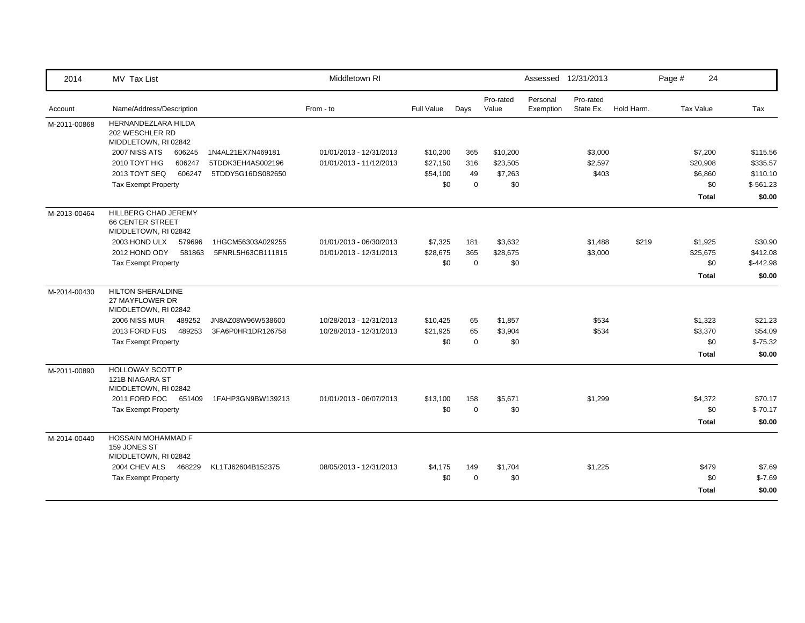| 2014         | MV Tax List                                                             |                   | Middletown RI           |                   |             |                    |                       | Assessed 12/31/2013    |            | Page # | 24               |            |
|--------------|-------------------------------------------------------------------------|-------------------|-------------------------|-------------------|-------------|--------------------|-----------------------|------------------------|------------|--------|------------------|------------|
| Account      | Name/Address/Description                                                |                   | From - to               | <b>Full Value</b> | Days        | Pro-rated<br>Value | Personal<br>Exemption | Pro-rated<br>State Ex. | Hold Harm. |        | <b>Tax Value</b> | Tax        |
| M-2011-00868 | HERNANDEZLARA HILDA<br>202 WESCHLER RD<br>MIDDLETOWN, RI 02842          |                   |                         |                   |             |                    |                       |                        |            |        |                  |            |
|              | 2007 NISS ATS<br>606245                                                 | 1N4AL21EX7N469181 | 01/01/2013 - 12/31/2013 | \$10,200          | 365         | \$10,200           |                       | \$3,000                |            |        | \$7,200          | \$115.56   |
|              | 2010 TOYT HIG<br>606247                                                 | 5TDDK3EH4AS002196 | 01/01/2013 - 11/12/2013 | \$27,150          | 316         | \$23,505           |                       | \$2,597                |            |        | \$20,908         | \$335.57   |
|              | 2013 TOYT SEQ<br>606247                                                 | 5TDDY5G16DS082650 |                         | \$54,100          | 49          | \$7,263            |                       | \$403                  |            |        | \$6,860          | \$110.10   |
|              | <b>Tax Exempt Property</b>                                              |                   |                         | \$0               | $\Omega$    | \$0                |                       |                        |            |        | \$0              | $$-561.23$ |
|              |                                                                         |                   |                         |                   |             |                    |                       |                        |            |        | <b>Total</b>     | \$0.00     |
| M-2013-00464 | HILLBERG CHAD JEREMY<br><b>66 CENTER STREET</b><br>MIDDLETOWN, RI 02842 |                   |                         |                   |             |                    |                       |                        |            |        |                  |            |
|              | 2003 HOND ULX<br>579696                                                 | 1HGCM56303A029255 | 01/01/2013 - 06/30/2013 | \$7,325           | 181         | \$3,632            |                       | \$1,488                | \$219      |        | \$1,925          | \$30.90    |
|              | 2012 HOND ODY<br>581863                                                 | 5FNRL5H63CB111815 | 01/01/2013 - 12/31/2013 | \$28,675          | 365         | \$28,675           |                       | \$3,000                |            |        | \$25,675         | \$412.08   |
|              | <b>Tax Exempt Property</b>                                              |                   |                         | \$0               | $\mathbf 0$ | \$0                |                       |                        |            |        | \$0              | $$-442.98$ |
|              |                                                                         |                   |                         |                   |             |                    |                       |                        |            |        | <b>Total</b>     | \$0.00     |
| M-2014-00430 | <b>HILTON SHERALDINE</b><br>27 MAYFLOWER DR<br>MIDDLETOWN, RI 02842     |                   |                         |                   |             |                    |                       |                        |            |        |                  |            |
|              | 2006 NISS MUR<br>489252                                                 | JN8AZ08W96W538600 | 10/28/2013 - 12/31/2013 | \$10,425          | 65          | \$1,857            |                       | \$534                  |            |        | \$1,323          | \$21.23    |
|              | 2013 FORD FUS<br>489253                                                 | 3FA6P0HR1DR126758 | 10/28/2013 - 12/31/2013 | \$21,925          | 65          | \$3,904            |                       | \$534                  |            |        | \$3,370          | \$54.09    |
|              | <b>Tax Exempt Property</b>                                              |                   |                         | \$0               | $\Omega$    | \$0                |                       |                        |            |        | \$0              | $$-75.32$  |
|              |                                                                         |                   |                         |                   |             |                    |                       |                        |            |        | <b>Total</b>     | \$0.00     |
| M-2011-00890 | <b>HOLLOWAY SCOTT P</b><br>121B NIAGARA ST<br>MIDDLETOWN, RI 02842      |                   |                         |                   |             |                    |                       |                        |            |        |                  |            |
|              | 2011 FORD FOC<br>651409                                                 | 1FAHP3GN9BW139213 | 01/01/2013 - 06/07/2013 | \$13,100          | 158         | \$5,671            |                       | \$1,299                |            |        | \$4,372          | \$70.17    |
|              | <b>Tax Exempt Property</b>                                              |                   |                         | \$0               | $\mathbf 0$ | \$0                |                       |                        |            |        | \$0              | $$-70.17$  |
|              |                                                                         |                   |                         |                   |             |                    |                       |                        |            |        | <b>Total</b>     | \$0.00     |
| M-2014-00440 | <b>HOSSAIN MOHAMMAD F</b><br>159 JONES ST<br>MIDDLETOWN, RI 02842       |                   |                         |                   |             |                    |                       |                        |            |        |                  |            |
|              | 2004 CHEV ALS<br>468229                                                 | KL1TJ62604B152375 | 08/05/2013 - 12/31/2013 | \$4,175           | 149         | \$1,704            |                       | \$1,225                |            |        | \$479            | \$7.69     |
|              | <b>Tax Exempt Property</b>                                              |                   |                         | \$0               | $\mathbf 0$ | \$0                |                       |                        |            |        | \$0              | $$-7.69$   |
|              |                                                                         |                   |                         |                   |             |                    |                       |                        |            |        | <b>Total</b>     | \$0.00     |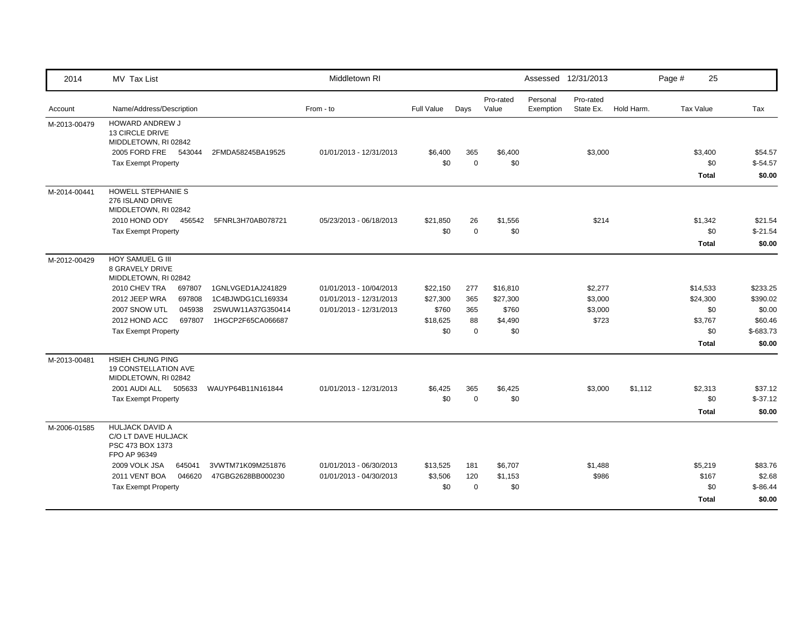| 2014         | MV Tax List                                                                                                                                                                                                  |                                                                                  | Middletown RI                                                                 |                                                  |                                     |                                                 | Assessed 12/31/2013   |                                        |            | Page # | 25                                                     |                                                                   |
|--------------|--------------------------------------------------------------------------------------------------------------------------------------------------------------------------------------------------------------|----------------------------------------------------------------------------------|-------------------------------------------------------------------------------|--------------------------------------------------|-------------------------------------|-------------------------------------------------|-----------------------|----------------------------------------|------------|--------|--------------------------------------------------------|-------------------------------------------------------------------|
| Account      | Name/Address/Description                                                                                                                                                                                     |                                                                                  | From - to                                                                     | Full Value                                       | Days                                | Pro-rated<br>Value                              | Personal<br>Exemption | Pro-rated<br>State Ex.                 | Hold Harm. |        | Tax Value                                              | Tax                                                               |
| M-2013-00479 | <b>HOWARD ANDREW J</b><br><b>13 CIRCLE DRIVE</b><br>MIDDLETOWN, RI 02842<br>2005 FORD FRE 543044<br><b>Tax Exempt Property</b>                                                                               | 2FMDA58245BA19525                                                                | 01/01/2013 - 12/31/2013                                                       | \$6,400<br>\$0                                   | 365<br>$\mathbf 0$                  | \$6,400<br>\$0                                  |                       | \$3,000                                |            |        | \$3,400<br>\$0<br><b>Total</b>                         | \$54.57<br>$$-54.57$<br>\$0.00                                    |
| M-2014-00441 | <b>HOWELL STEPHANIE S</b><br>276 ISLAND DRIVE<br>MIDDLETOWN, RI 02842<br>2010 HOND ODY 456542<br><b>Tax Exempt Property</b>                                                                                  | 5FNRL3H70AB078721                                                                | 05/23/2013 - 06/18/2013                                                       | \$21,850<br>\$0                                  | 26<br>$\mathbf 0$                   | \$1,556<br>\$0                                  |                       | \$214                                  |            |        | \$1,342<br>\$0<br><b>Total</b>                         | \$21.54<br>$$-21.54$<br>\$0.00                                    |
| M-2012-00429 | HOY SAMUEL G III<br><b>8 GRAVELY DRIVE</b><br>MIDDLETOWN, RI 02842<br>2010 CHEV TRA<br>697807<br>2012 JEEP WRA<br>697808<br>045938<br>2007 SNOW UTL<br>2012 HOND ACC<br>697807<br><b>Tax Exempt Property</b> | 1GNLVGED1AJ241829<br>1C4BJWDG1CL169334<br>2SWUW11A37G350414<br>1HGCP2F65CA066687 | 01/01/2013 - 10/04/2013<br>01/01/2013 - 12/31/2013<br>01/01/2013 - 12/31/2013 | \$22,150<br>\$27,300<br>\$760<br>\$18,625<br>\$0 | 277<br>365<br>365<br>88<br>$\Omega$ | \$16,810<br>\$27,300<br>\$760<br>\$4,490<br>\$0 |                       | \$2,277<br>\$3,000<br>\$3,000<br>\$723 |            |        | \$14,533<br>\$24,300<br>\$0<br>\$3,767<br>\$0<br>Total | \$233.25<br>\$390.02<br>\$0.00<br>\$60.46<br>$$-683.73$<br>\$0.00 |
| M-2013-00481 | HSIEH CHUNG PING<br>19 CONSTELLATION AVE<br>MIDDLETOWN, RI 02842<br>2001 AUDI ALL 505633<br><b>Tax Exempt Property</b>                                                                                       | WAUYP64B11N161844                                                                | 01/01/2013 - 12/31/2013                                                       | \$6,425<br>\$0                                   | 365<br>$\mathbf 0$                  | \$6,425<br>\$0                                  |                       | \$3,000                                | \$1,112    |        | \$2,313<br>\$0<br><b>Total</b>                         | \$37.12<br>$$-37.12$<br>\$0.00                                    |
| M-2006-01585 | <b>HULJACK DAVID A</b><br>C/O LT DAVE HULJACK<br>PSC 473 BOX 1373<br>FPO AP 96349<br>2009 VOLK JSA<br>645041<br>2011 VENT BOA<br>046620<br><b>Tax Exempt Property</b>                                        | 3VWTM71K09M251876<br>47GBG2628BB000230                                           | 01/01/2013 - 06/30/2013<br>01/01/2013 - 04/30/2013                            | \$13,525<br>\$3,506<br>\$0                       | 181<br>120<br>$\mathbf 0$           | \$6,707<br>\$1,153<br>\$0                       |                       | \$1,488<br>\$986                       |            |        | \$5,219<br>\$167<br>\$0<br><b>Total</b>                | \$83.76<br>\$2.68<br>$$ -86.44$<br>\$0.00                         |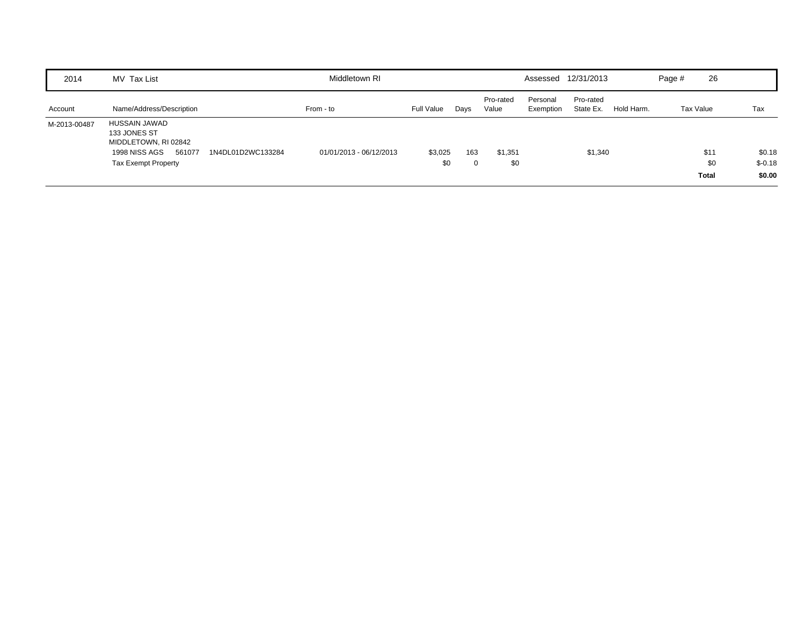| 2014         | MV Tax List                                                                                                    |                   | Middletown RI           |                |          |                    |                       | Assessed 12/31/2013    |            | Page #    | 26                          |                              |
|--------------|----------------------------------------------------------------------------------------------------------------|-------------------|-------------------------|----------------|----------|--------------------|-----------------------|------------------------|------------|-----------|-----------------------------|------------------------------|
| Account      | Name/Address/Description                                                                                       |                   | From - to               | Full Value     | Days     | Pro-rated<br>Value | Personal<br>Exemption | Pro-rated<br>State Ex. | Hold Harm. | Tax Value |                             | Tax                          |
| M-2013-00487 | HUSSAIN JAWAD<br>133 JONES ST<br>MIDDLETOWN, RI 02842<br>561077<br>1998 NISS AGS<br><b>Tax Exempt Property</b> | 1N4DL01D2WC133284 | 01/01/2013 - 06/12/2013 | \$3,025<br>\$0 | 163<br>0 | \$1,351<br>\$0     |                       | \$1,340                |            |           | \$11<br>\$0<br><b>Total</b> | \$0.18<br>$$-0.18$<br>\$0.00 |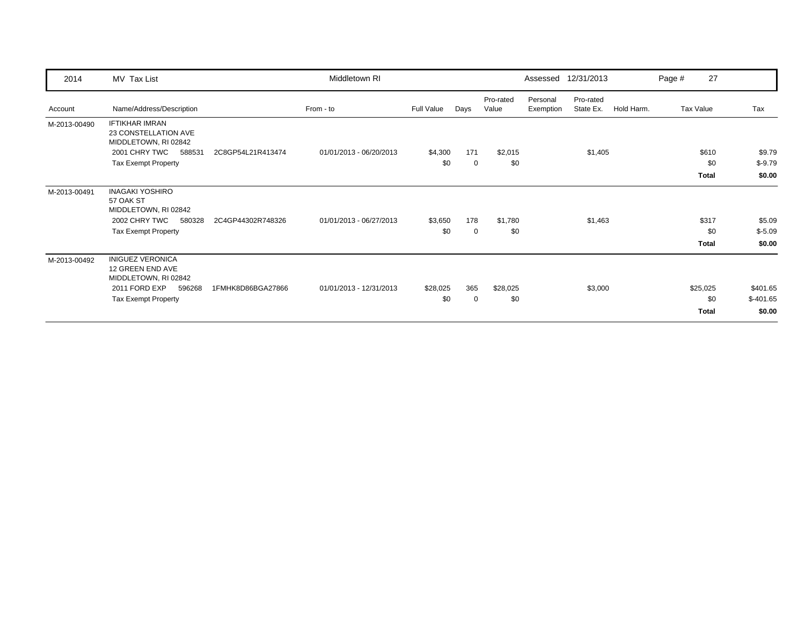| 2014         | MV Tax List                                                           |                   | Middletown RI           |            |      |                    |                       | Assessed 12/31/2013    |            | Page # | 27           |            |
|--------------|-----------------------------------------------------------------------|-------------------|-------------------------|------------|------|--------------------|-----------------------|------------------------|------------|--------|--------------|------------|
| Account      | Name/Address/Description                                              |                   | From - to               | Full Value | Days | Pro-rated<br>Value | Personal<br>Exemption | Pro-rated<br>State Ex. | Hold Harm. |        | Tax Value    | Tax        |
| M-2013-00490 | <b>IFTIKHAR IMRAN</b><br>23 CONSTELLATION AVE<br>MIDDLETOWN, RI 02842 |                   |                         |            |      |                    |                       |                        |            |        |              |            |
|              | 2001 CHRY TWC<br>588531                                               | 2C8GP54L21R413474 | 01/01/2013 - 06/20/2013 | \$4,300    | 171  | \$2,015            |                       | \$1,405                |            |        | \$610        | \$9.79     |
|              | <b>Tax Exempt Property</b>                                            |                   |                         | \$0        | 0    | \$0                |                       |                        |            |        | \$0          | $$-9.79$   |
|              |                                                                       |                   |                         |            |      |                    |                       |                        |            |        | Total        | \$0.00     |
| M-2013-00491 | <b>INAGAKI YOSHIRO</b><br>57 OAK ST<br>MIDDLETOWN, RI 02842           |                   |                         |            |      |                    |                       |                        |            |        |              |            |
|              | 2002 CHRY TWC<br>580328                                               | 2C4GP44302R748326 | 01/01/2013 - 06/27/2013 | \$3,650    | 178  | \$1,780            |                       | \$1,463                |            |        | \$317        | \$5.09     |
|              | <b>Tax Exempt Property</b>                                            |                   |                         | \$0        | 0    | \$0                |                       |                        |            |        | \$0          | $$-5.09$   |
|              |                                                                       |                   |                         |            |      |                    |                       |                        |            |        | Total        | \$0.00     |
| M-2013-00492 | <b>INIGUEZ VERONICA</b><br>12 GREEN END AVE<br>MIDDLETOWN, RI 02842   |                   |                         |            |      |                    |                       |                        |            |        |              |            |
|              | 2011 FORD EXP<br>596268                                               | 1FMHK8D86BGA27866 | 01/01/2013 - 12/31/2013 | \$28,025   | 365  | \$28,025           |                       | \$3,000                |            |        | \$25,025     | \$401.65   |
|              | <b>Tax Exempt Property</b>                                            |                   |                         | \$0        | 0    | \$0                |                       |                        |            |        | \$0          | $$-401.65$ |
|              |                                                                       |                   |                         |            |      |                    |                       |                        |            |        | <b>Total</b> | \$0.00     |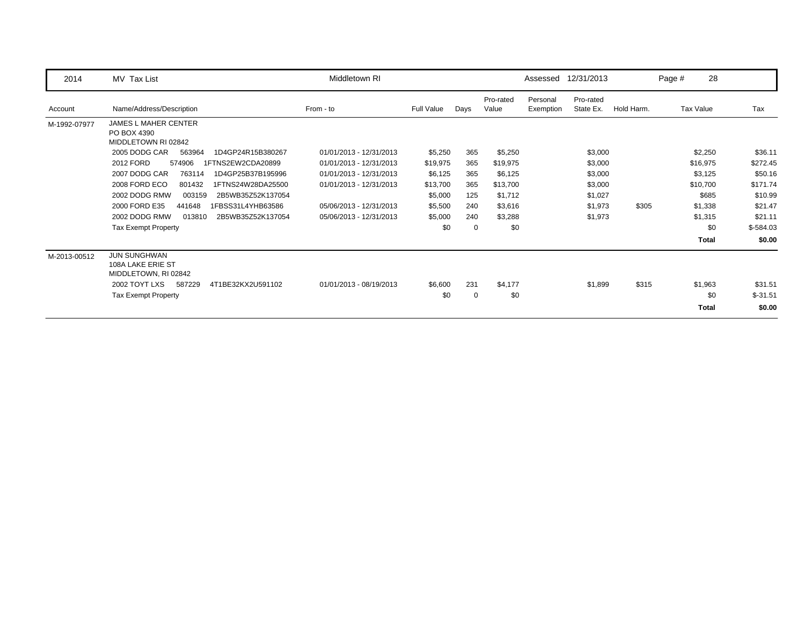| 2014         | MV Tax List                                                       | Middletown RI           |                   |      |                    |                       | Assessed 12/31/2013    |            | Page # | 28           |            |
|--------------|-------------------------------------------------------------------|-------------------------|-------------------|------|--------------------|-----------------------|------------------------|------------|--------|--------------|------------|
| Account      | Name/Address/Description                                          | From - to               | <b>Full Value</b> | Days | Pro-rated<br>Value | Personal<br>Exemption | Pro-rated<br>State Ex. | Hold Harm. |        | Tax Value    | Tax        |
| M-1992-07977 | <b>JAMES L MAHER CENTER</b><br>PO BOX 4390<br>MIDDLETOWN RI 02842 |                         |                   |      |                    |                       |                        |            |        |              |            |
|              | 2005 DODG CAR<br>563964<br>1D4GP24R15B380267                      | 01/01/2013 - 12/31/2013 | \$5,250           | 365  | \$5,250            |                       | \$3,000                |            |        | \$2,250      | \$36.11    |
|              | 2012 FORD<br>574906<br>1FTNS2EW2CDA20899                          | 01/01/2013 - 12/31/2013 | \$19,975          | 365  | \$19,975           |                       | \$3,000                |            |        | \$16,975     | \$272.45   |
|              | 2007 DODG CAR<br>763114<br>1D4GP25B37B195996                      | 01/01/2013 - 12/31/2013 | \$6,125           | 365  | \$6,125            |                       | \$3,000                |            |        | \$3,125      | \$50.16    |
|              | 2008 FORD ECO<br>801432<br>1FTNS24W28DA25500                      | 01/01/2013 - 12/31/2013 | \$13,700          | 365  | \$13,700           |                       | \$3,000                |            |        | \$10,700     | \$171.74   |
|              | 2002 DODG RMW<br>2B5WB35Z52K137054<br>003159                      |                         | \$5,000           | 125  | \$1,712            |                       | \$1,027                |            |        | \$685        | \$10.99    |
|              | 2000 FORD E35<br>441648<br>1FBSS31L4YHB63586                      | 05/06/2013 - 12/31/2013 | \$5,500           | 240  | \$3,616            |                       | \$1,973                | \$305      |        | \$1,338      | \$21.47    |
|              | 2002 DODG RMW<br>013810<br>2B5WB35Z52K137054                      | 05/06/2013 - 12/31/2013 | \$5,000           | 240  | \$3,288            |                       | \$1,973                |            |        | \$1,315      | \$21.11    |
|              | <b>Tax Exempt Property</b>                                        |                         | \$0               | 0    | \$0                |                       |                        |            |        | \$0          | $$-584.03$ |
|              |                                                                   |                         |                   |      |                    |                       |                        |            |        | <b>Total</b> | \$0.00     |
| M-2013-00512 | <b>JUN SUNGHWAN</b><br>108A LAKE ERIE ST<br>MIDDLETOWN, RI 02842  |                         |                   |      |                    |                       |                        |            |        |              |            |
|              | 2002 TOYT LXS<br>587229<br>4T1BE32KX2U591102                      | 01/01/2013 - 08/19/2013 | \$6,600           | 231  | \$4,177            |                       | \$1,899                | \$315      |        | \$1,963      | \$31.51    |
|              | <b>Tax Exempt Property</b>                                        |                         | \$0               | 0    | \$0                |                       |                        |            |        | \$0          | $$-31.51$  |
|              |                                                                   |                         |                   |      |                    |                       |                        |            |        | <b>Total</b> | \$0.00     |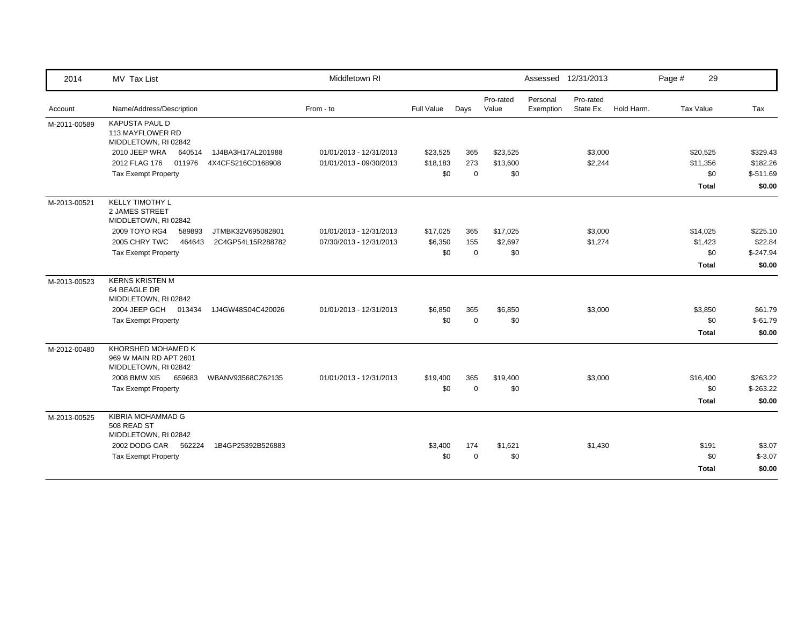| 2014         | MV Tax List                                                          |                   | Middletown RI           |            |             |                    |                       | Assessed 12/31/2013    |            | Page # | 29           |            |
|--------------|----------------------------------------------------------------------|-------------------|-------------------------|------------|-------------|--------------------|-----------------------|------------------------|------------|--------|--------------|------------|
| Account      | Name/Address/Description                                             |                   | From - to               | Full Value | Days        | Pro-rated<br>Value | Personal<br>Exemption | Pro-rated<br>State Ex. | Hold Harm. |        | Tax Value    | Tax        |
| M-2011-00589 | <b>KAPUSTA PAUL D</b><br>113 MAYFLOWER RD<br>MIDDLETOWN, RI 02842    |                   |                         |            |             |                    |                       |                        |            |        |              |            |
|              | 2010 JEEP WRA<br>640514                                              | 1J4BA3H17AL201988 | 01/01/2013 - 12/31/2013 | \$23,525   | 365         | \$23,525           |                       | \$3,000                |            |        | \$20,525     | \$329.43   |
|              | 2012 FLAG 176<br>011976                                              | 4X4CFS216CD168908 | 01/01/2013 - 09/30/2013 | \$18,183   | 273         | \$13,600           |                       | \$2,244                |            |        | \$11,356     | \$182.26   |
|              | <b>Tax Exempt Property</b>                                           |                   |                         | \$0        | $\Omega$    | \$0                |                       |                        |            |        | \$0          | $$-511.69$ |
|              |                                                                      |                   |                         |            |             |                    |                       |                        |            |        | <b>Total</b> | \$0.00     |
| M-2013-00521 | <b>KELLY TIMOTHY L</b><br>2 JAMES STREET<br>MIDDLETOWN, RI 02842     |                   |                         |            |             |                    |                       |                        |            |        |              |            |
|              | 2009 TOYO RG4<br>589893                                              | JTMBK32V695082801 | 01/01/2013 - 12/31/2013 | \$17,025   | 365         | \$17,025           |                       | \$3,000                |            |        | \$14,025     | \$225.10   |
|              | 2005 CHRY TWC<br>464643                                              | 2C4GP54L15R288782 | 07/30/2013 - 12/31/2013 | \$6,350    | 155         | \$2,697            |                       | \$1,274                |            |        | \$1,423      | \$22.84    |
|              | <b>Tax Exempt Property</b>                                           |                   |                         | \$0        | $\mathbf 0$ | \$0                |                       |                        |            |        | \$0          | $$-247.94$ |
|              |                                                                      |                   |                         |            |             |                    |                       |                        |            |        | <b>Total</b> | \$0.00     |
| M-2013-00523 | <b>KERNS KRISTEN M</b><br>64 BEAGLE DR<br>MIDDLETOWN, RI 02842       |                   |                         |            |             |                    |                       |                        |            |        |              |            |
|              | 2004 JEEP GCH<br>013434                                              | 1J4GW48S04C420026 | 01/01/2013 - 12/31/2013 | \$6,850    | 365         | \$6,850            |                       | \$3,000                |            |        | \$3,850      | \$61.79    |
|              | <b>Tax Exempt Property</b>                                           |                   |                         | \$0        | $\mathbf 0$ | \$0                |                       |                        |            |        | \$0          | $$-61.79$  |
|              |                                                                      |                   |                         |            |             |                    |                       |                        |            |        | <b>Total</b> | \$0.00     |
| M-2012-00480 | KHORSHED MOHAMED K<br>969 W MAIN RD APT 2601<br>MIDDLETOWN, RI 02842 |                   |                         |            |             |                    |                       |                        |            |        |              |            |
|              | 2008 BMW XI5<br>659683                                               | WBANV93568CZ62135 | 01/01/2013 - 12/31/2013 | \$19,400   | 365         | \$19,400           |                       | \$3,000                |            |        | \$16,400     | \$263.22   |
|              | <b>Tax Exempt Property</b>                                           |                   |                         | \$0        | $\Omega$    | \$0                |                       |                        |            |        | \$0          | $$-263.22$ |
|              |                                                                      |                   |                         |            |             |                    |                       |                        |            |        | <b>Total</b> | \$0.00     |
| M-2013-00525 | KIBRIA MOHAMMAD G<br>508 READ ST<br>MIDDLETOWN, RI 02842             |                   |                         |            |             |                    |                       |                        |            |        |              |            |
|              | 2002 DODG CAR 562224                                                 | 1B4GP25392B526883 |                         | \$3,400    | 174         | \$1,621            |                       | \$1,430                |            |        | \$191        | \$3.07     |
|              | <b>Tax Exempt Property</b>                                           |                   |                         | \$0        | $\Omega$    | \$0                |                       |                        |            |        | \$0          | $$-3.07$   |
|              |                                                                      |                   |                         |            |             |                    |                       |                        |            |        | <b>Total</b> | \$0.00     |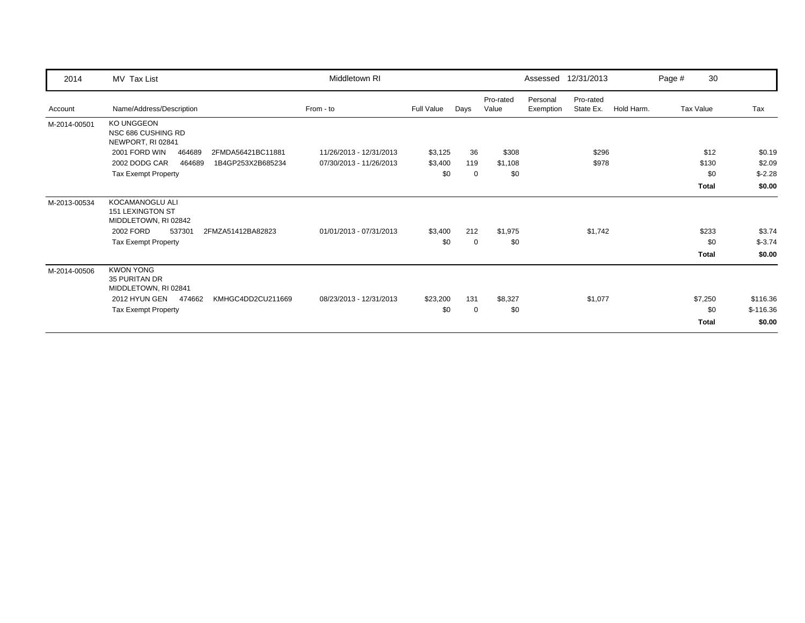| 2014         | MV Tax List                                                 | Middletown RI           |            |      |                    |                       | Assessed 12/31/2013    |            | Page # | 30               |            |
|--------------|-------------------------------------------------------------|-------------------------|------------|------|--------------------|-----------------------|------------------------|------------|--------|------------------|------------|
| Account      | Name/Address/Description                                    | From - to               | Full Value | Days | Pro-rated<br>Value | Personal<br>Exemption | Pro-rated<br>State Ex. | Hold Harm. |        | <b>Tax Value</b> | Tax        |
| M-2014-00501 | KO UNGGEON<br>NSC 686 CUSHING RD<br>NEWPORT, RI 02841       |                         |            |      |                    |                       |                        |            |        |                  |            |
|              | 2001 FORD WIN<br>464689<br>2FMDA56421BC11881                | 11/26/2013 - 12/31/2013 | \$3,125    | 36   | \$308              |                       | \$296                  |            |        | \$12             | \$0.19     |
|              | 2002 DODG CAR<br>464689<br>1B4GP253X2B685234                | 07/30/2013 - 11/26/2013 | \$3,400    | 119  | \$1,108            |                       | \$978                  |            |        | \$130            | \$2.09     |
|              | <b>Tax Exempt Property</b>                                  |                         | \$0        | 0    | \$0                |                       |                        |            |        | \$0              | $$-2.28$   |
|              |                                                             |                         |            |      |                    |                       |                        |            |        | <b>Total</b>     | \$0.00     |
| M-2013-00534 | KOCAMANOGLU ALI<br>151 LEXINGTON ST<br>MIDDLETOWN, RI 02842 |                         |            |      |                    |                       |                        |            |        |                  |            |
|              | 2002 FORD<br>537301<br>2FMZA51412BA82823                    | 01/01/2013 - 07/31/2013 | \$3,400    | 212  | \$1,975            |                       | \$1,742                |            |        | \$233            | \$3.74     |
|              | <b>Tax Exempt Property</b>                                  |                         | \$0        | 0    | \$0                |                       |                        |            |        | \$0              | $$ -3.74$  |
|              |                                                             |                         |            |      |                    |                       |                        |            |        | <b>Total</b>     | \$0.00     |
| M-2014-00506 | <b>KWON YONG</b><br>35 PURITAN DR<br>MIDDLETOWN, RI 02841   |                         |            |      |                    |                       |                        |            |        |                  |            |
|              | 2012 HYUN GEN<br>474662<br>KMHGC4DD2CU211669                | 08/23/2013 - 12/31/2013 | \$23,200   | 131  | \$8,327            |                       | \$1,077                |            |        | \$7,250          | \$116.36   |
|              | Tax Exempt Property                                         |                         | \$0        | 0    | \$0                |                       |                        |            |        | \$0              | $$-116.36$ |
|              |                                                             |                         |            |      |                    |                       |                        |            |        | <b>Total</b>     | \$0.00     |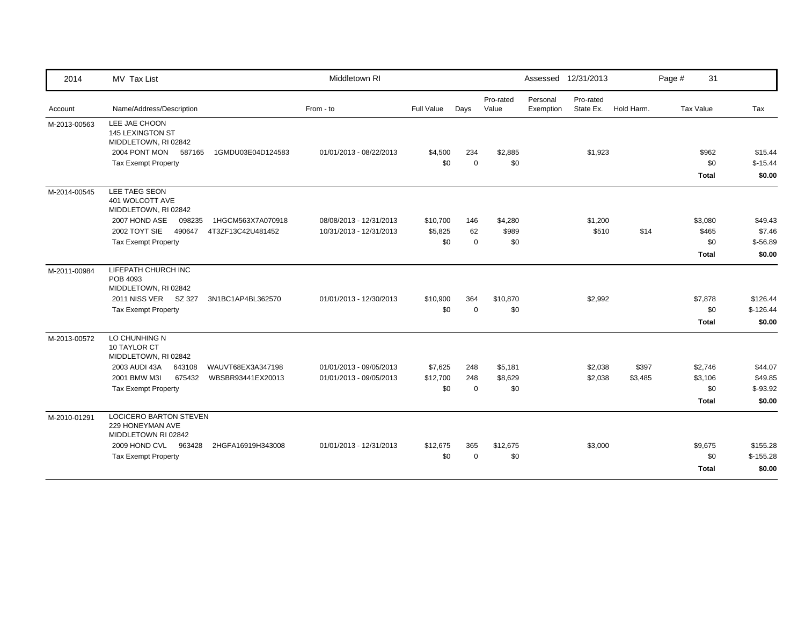| 2014         | MV Tax List                                                              | Middletown RI           |            |             |                    |                       | Assessed 12/31/2013    |            | 31<br>Page #        |                     |
|--------------|--------------------------------------------------------------------------|-------------------------|------------|-------------|--------------------|-----------------------|------------------------|------------|---------------------|---------------------|
| Account      | Name/Address/Description                                                 | From - to               | Full Value | Days        | Pro-rated<br>Value | Personal<br>Exemption | Pro-rated<br>State Ex. | Hold Harm. | Tax Value           | Tax                 |
| M-2013-00563 | LEE JAE CHOON<br>145 LEXINGTON ST<br>MIDDLETOWN, RI 02842                |                         |            |             |                    |                       |                        |            |                     |                     |
|              | 2004 PONT MON 587165<br>1GMDU03E04D124583                                | 01/01/2013 - 08/22/2013 | \$4,500    | 234         | \$2,885            |                       | \$1,923                |            | \$962               | \$15.44             |
|              | <b>Tax Exempt Property</b>                                               |                         | \$0        | $\Omega$    | \$0                |                       |                        |            | \$0<br><b>Total</b> | $$-15.44$<br>\$0.00 |
| M-2014-00545 | LEE TAEG SEON<br>401 WOLCOTT AVE<br>MIDDLETOWN, RI 02842                 |                         |            |             |                    |                       |                        |            |                     |                     |
|              | 2007 HOND ASE<br>098235<br>1HGCM563X7A070918                             | 08/08/2013 - 12/31/2013 | \$10,700   | 146         | \$4,280            |                       | \$1,200                |            | \$3,080             | \$49.43             |
|              | 2002 TOYT SIE<br>490647<br>4T3ZF13C42U481452                             | 10/31/2013 - 12/31/2013 | \$5,825    | 62          | \$989              |                       | \$510                  | \$14       | \$465               | \$7.46              |
|              | <b>Tax Exempt Property</b>                                               |                         | \$0        | $\mathbf 0$ | \$0                |                       |                        |            | \$0                 | $$-56.89$           |
|              |                                                                          |                         |            |             |                    |                       |                        |            | <b>Total</b>        | \$0.00              |
| M-2011-00984 | LIFEPATH CHURCH INC<br>POB 4093<br>MIDDLETOWN, RI 02842                  |                         |            |             |                    |                       |                        |            |                     |                     |
|              | 2011 NISS VER SZ 327<br>3N1BC1AP4BL362570                                | 01/01/2013 - 12/30/2013 | \$10,900   | 364         | \$10,870           |                       | \$2,992                |            | \$7,878             | \$126.44            |
|              | <b>Tax Exempt Property</b>                                               |                         | \$0        | $\Omega$    | \$0                |                       |                        |            | \$0                 | $$-126.44$          |
|              |                                                                          |                         |            |             |                    |                       |                        |            | <b>Total</b>        | \$0.00              |
| M-2013-00572 | LO CHUNHING N<br>10 TAYLOR CT<br>MIDDLETOWN, RI 02842                    |                         |            |             |                    |                       |                        |            |                     |                     |
|              | 2003 AUDI 43A<br>643108<br>WAUVT68EX3A347198                             | 01/01/2013 - 09/05/2013 | \$7,625    | 248         | \$5,181            |                       | \$2,038                | \$397      | \$2,746             | \$44.07             |
|              | 2001 BMW M3I<br>675432<br>WBSBR93441EX20013                              | 01/01/2013 - 09/05/2013 | \$12,700   | 248         | \$8,629            |                       | \$2,038                | \$3,485    | \$3,106             | \$49.85             |
|              | <b>Tax Exempt Property</b>                                               |                         | \$0        | $\Omega$    | \$0                |                       |                        |            | \$0                 | $$-93.92$           |
|              |                                                                          |                         |            |             |                    |                       |                        |            | <b>Total</b>        | \$0.00              |
| M-2010-01291 | <b>LOCICERO BARTON STEVEN</b><br>229 HONEYMAN AVE<br>MIDDLETOWN RI 02842 |                         |            |             |                    |                       |                        |            |                     |                     |
|              | 2009 HOND CVL 963428<br>2HGFA16919H343008                                | 01/01/2013 - 12/31/2013 | \$12,675   | 365         | \$12,675           |                       | \$3,000                |            | \$9,675             | \$155.28            |
|              | <b>Tax Exempt Property</b>                                               |                         | \$0        | $\Omega$    | \$0                |                       |                        |            | \$0                 | $$-155.28$          |
|              |                                                                          |                         |            |             |                    |                       |                        |            | <b>Total</b>        | \$0.00              |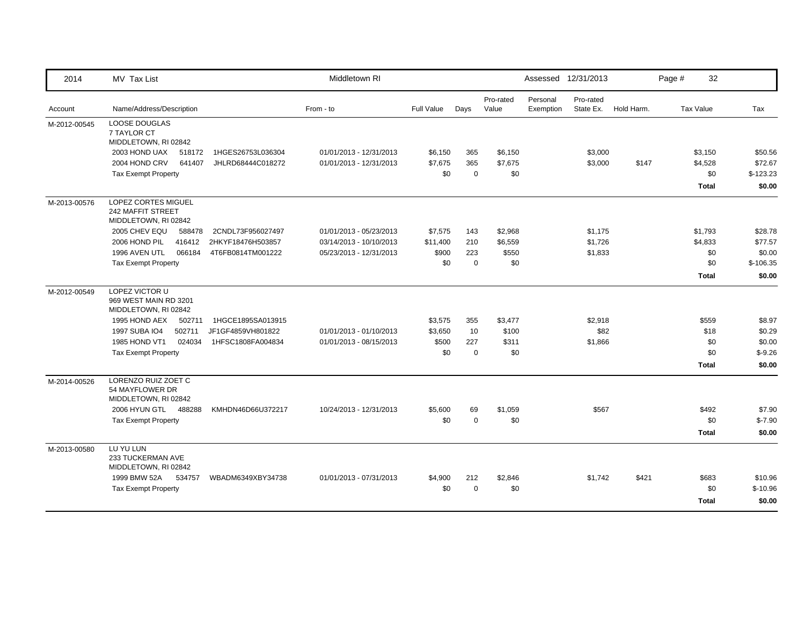| 2014         | MV Tax List                                                                    |                   | Middletown RI           |                   |             |                    |                       | Assessed 12/31/2013    |            | Page #<br>32     |            |
|--------------|--------------------------------------------------------------------------------|-------------------|-------------------------|-------------------|-------------|--------------------|-----------------------|------------------------|------------|------------------|------------|
| Account      | Name/Address/Description                                                       |                   | From - to               | <b>Full Value</b> | Days        | Pro-rated<br>Value | Personal<br>Exemption | Pro-rated<br>State Ex. | Hold Harm. | <b>Tax Value</b> | Tax        |
| M-2012-00545 | <b>LOOSE DOUGLAS</b><br>7 TAYLOR CT<br>MIDDLETOWN, RI 02842                    |                   |                         |                   |             |                    |                       |                        |            |                  |            |
|              | 2003 HOND UAX<br>518172                                                        | 1HGES26753L036304 | 01/01/2013 - 12/31/2013 | \$6,150           | 365         | \$6,150            |                       | \$3,000                |            | \$3,150          | \$50.56    |
|              | 2004 HOND CRV<br>641407                                                        | JHLRD68444C018272 | 01/01/2013 - 12/31/2013 | \$7,675           | 365         | \$7,675            |                       | \$3,000                | \$147      | \$4,528          | \$72.67    |
|              | <b>Tax Exempt Property</b>                                                     |                   |                         | \$0               | $\mathbf 0$ | \$0                |                       |                        |            | \$0              | $$-123.23$ |
|              |                                                                                |                   |                         |                   |             |                    |                       |                        |            | <b>Total</b>     | \$0.00     |
| M-2013-00576 | <b>LOPEZ CORTES MIGUEL</b><br><b>242 MAFFIT STREET</b><br>MIDDLETOWN, RI 02842 |                   |                         |                   |             |                    |                       |                        |            |                  |            |
|              | 2005 CHEV EQU<br>588478                                                        | 2CNDL73F956027497 | 01/01/2013 - 05/23/2013 | \$7,575           | 143         | \$2,968            |                       | \$1,175                |            | \$1,793          | \$28.78    |
|              | 2006 HOND PIL<br>416412                                                        | 2HKYF18476H503857 | 03/14/2013 - 10/10/2013 | \$11,400          | 210         | \$6,559            |                       | \$1,726                |            | \$4,833          | \$77.57    |
|              | 1996 AVEN UTL<br>066184                                                        | 4T6FB0814TM001222 | 05/23/2013 - 12/31/2013 | \$900             | 223         | \$550              |                       | \$1,833                |            | \$0              | \$0.00     |
|              | <b>Tax Exempt Property</b>                                                     |                   |                         | \$0               | $\Omega$    | \$0                |                       |                        |            | \$0              | $$-106.35$ |
|              |                                                                                |                   |                         |                   |             |                    |                       |                        |            | <b>Total</b>     | \$0.00     |
| M-2012-00549 | LOPEZ VICTOR U<br>969 WEST MAIN RD 3201<br>MIDDLETOWN, RI 02842                |                   |                         |                   |             |                    |                       |                        |            |                  |            |
|              | 1995 HOND AEX<br>502711                                                        | 1HGCE1895SA013915 |                         | \$3,575           | 355         | \$3,477            |                       | \$2,918                |            | \$559            | \$8.97     |
|              | 502711<br><b>1997 SUBA IO4</b>                                                 | JF1GF4859VH801822 | 01/01/2013 - 01/10/2013 | \$3,650           | 10          | \$100              |                       | \$82                   |            | \$18             | \$0.29     |
|              | 1985 HOND VT1<br>024034                                                        | 1HFSC1808FA004834 | 01/01/2013 - 08/15/2013 | \$500             | 227         | \$311              |                       | \$1,866                |            | \$0              | \$0.00     |
|              | <b>Tax Exempt Property</b>                                                     |                   |                         | \$0               | $\mathbf 0$ | \$0                |                       |                        |            | \$0              | $$-9.26$   |
|              |                                                                                |                   |                         |                   |             |                    |                       |                        |            | <b>Total</b>     | \$0.00     |
| M-2014-00526 | LORENZO RUIZ ZOET C<br>54 MAYFLOWER DR<br>MIDDLETOWN, RI 02842                 |                   |                         |                   |             |                    |                       |                        |            |                  |            |
|              | 2006 HYUN GTL 488288                                                           | KMHDN46D66U372217 | 10/24/2013 - 12/31/2013 | \$5,600           | 69          | \$1,059            |                       | \$567                  |            | \$492            | \$7.90     |
|              | <b>Tax Exempt Property</b>                                                     |                   |                         | \$0               | $\mathbf 0$ | \$0                |                       |                        |            | \$0              | $$-7.90$   |
|              |                                                                                |                   |                         |                   |             |                    |                       |                        |            | <b>Total</b>     | \$0.00     |
| M-2013-00580 | LU YU LUN<br>233 TUCKERMAN AVE<br>MIDDLETOWN, RI 02842                         |                   |                         |                   |             |                    |                       |                        |            |                  |            |
|              | 1999 BMW 52A<br>534757                                                         | WBADM6349XBY34738 | 01/01/2013 - 07/31/2013 | \$4,900           | 212         | \$2,846            |                       | \$1,742                | \$421      | \$683            | \$10.96    |
|              | Tax Exempt Property                                                            |                   |                         | \$0               | $\Omega$    | \$0                |                       |                        |            | \$0              | $$-10.96$  |
|              |                                                                                |                   |                         |                   |             |                    |                       |                        |            | <b>Total</b>     | \$0.00     |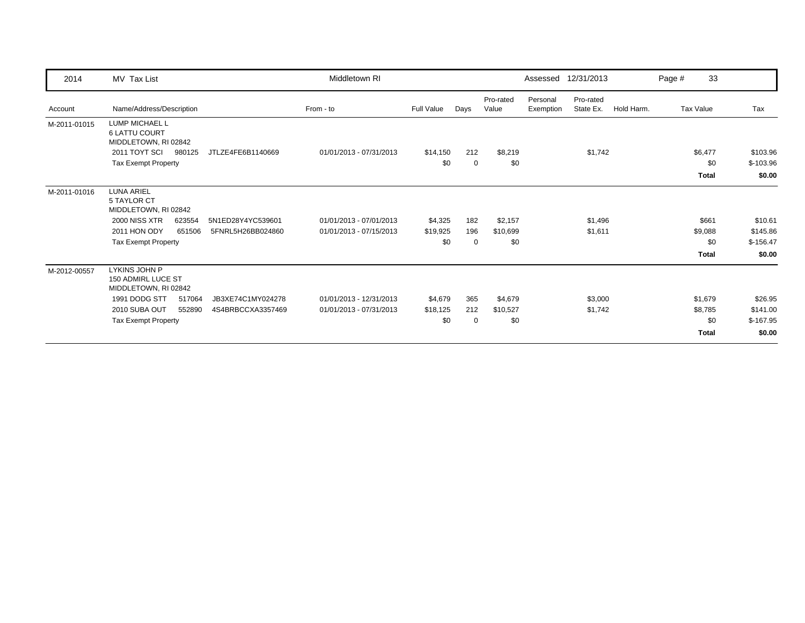| 2014         | MV Tax List                                                    |                   | Middletown RI           |            |          |                    |                       | Assessed 12/31/2013    |            | Page # | 33           |            |
|--------------|----------------------------------------------------------------|-------------------|-------------------------|------------|----------|--------------------|-----------------------|------------------------|------------|--------|--------------|------------|
| Account      | Name/Address/Description                                       |                   | From - to               | Full Value | Days     | Pro-rated<br>Value | Personal<br>Exemption | Pro-rated<br>State Ex. | Hold Harm. |        | Tax Value    | Tax        |
| M-2011-01015 | LUMP MICHAEL L<br><b>6 LATTU COURT</b><br>MIDDLETOWN, RI 02842 |                   |                         |            |          |                    |                       |                        |            |        |              |            |
|              | 2011 TOYT SCI<br>980125                                        | JTLZE4FE6B1140669 | 01/01/2013 - 07/31/2013 | \$14,150   | 212      | \$8,219            |                       | \$1,742                |            |        | \$6,477      | \$103.96   |
|              | <b>Tax Exempt Property</b>                                     |                   |                         | \$0        | 0        | \$0                |                       |                        |            |        | \$0          | $$-103.96$ |
|              |                                                                |                   |                         |            |          |                    |                       |                        |            |        | <b>Total</b> | \$0.00     |
| M-2011-01016 | <b>LUNA ARIEL</b><br>5 TAYLOR CT<br>MIDDLETOWN, RI 02842       |                   |                         |            |          |                    |                       |                        |            |        |              |            |
|              | 2000 NISS XTR<br>623554                                        | 5N1ED28Y4YC539601 | 01/01/2013 - 07/01/2013 | \$4,325    | 182      | \$2,157            |                       | \$1,496                |            |        | \$661        | \$10.61    |
|              | 2011 HON ODY<br>651506                                         | 5FNRL5H26BB024860 | 01/01/2013 - 07/15/2013 | \$19,925   | 196      | \$10,699           |                       | \$1,611                |            |        | \$9,088      | \$145.86   |
|              | <b>Tax Exempt Property</b>                                     |                   |                         | \$0        | $\Omega$ | \$0                |                       |                        |            |        | \$0          | $$-156.47$ |
|              |                                                                |                   |                         |            |          |                    |                       |                        |            |        | <b>Total</b> | \$0.00     |
| M-2012-00557 | LYKINS JOHN P<br>150 ADMIRL LUCE ST<br>MIDDLETOWN, RI 02842    |                   |                         |            |          |                    |                       |                        |            |        |              |            |
|              | 1991 DODG STT<br>517064                                        | JB3XE74C1MY024278 | 01/01/2013 - 12/31/2013 | \$4,679    | 365      | \$4,679            |                       | \$3,000                |            |        | \$1,679      | \$26.95    |
|              | 2010 SUBA OUT<br>552890                                        | 4S4BRBCCXA3357469 | 01/01/2013 - 07/31/2013 | \$18,125   | 212      | \$10,527           |                       | \$1,742                |            |        | \$8,785      | \$141.00   |
|              | <b>Tax Exempt Property</b>                                     |                   |                         | \$0        | 0        | \$0                |                       |                        |            |        | \$0          | $$-167.95$ |
|              |                                                                |                   |                         |            |          |                    |                       |                        |            |        | <b>Total</b> | \$0.00     |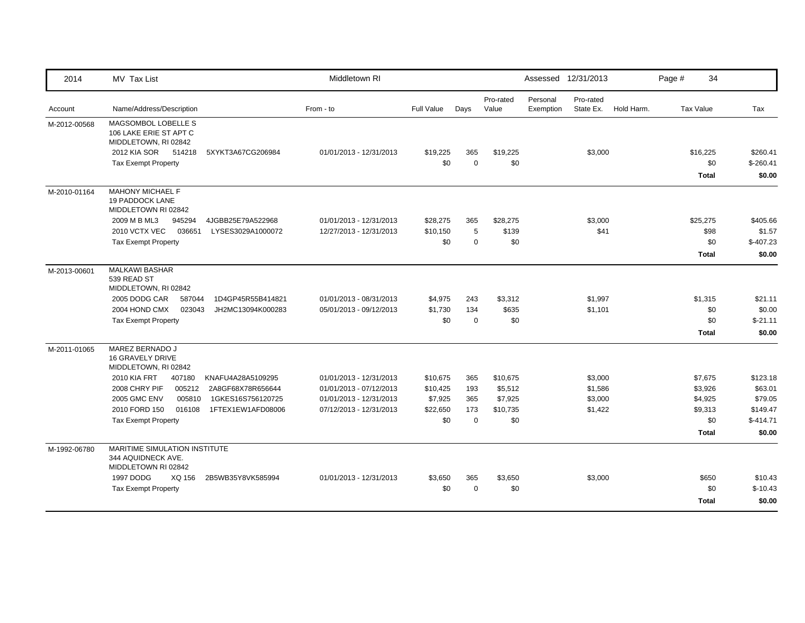| 2014         | MV Tax List                                                                                                                                                                                                                                                                                                  | Middletown RI                                                                                            |                                                    |                                         |                                                   | Assessed 12/31/2013   |                                          |            | Page # | 34                                                              |                                                                    |
|--------------|--------------------------------------------------------------------------------------------------------------------------------------------------------------------------------------------------------------------------------------------------------------------------------------------------------------|----------------------------------------------------------------------------------------------------------|----------------------------------------------------|-----------------------------------------|---------------------------------------------------|-----------------------|------------------------------------------|------------|--------|-----------------------------------------------------------------|--------------------------------------------------------------------|
| Account      | Name/Address/Description                                                                                                                                                                                                                                                                                     | From - to                                                                                                | <b>Full Value</b>                                  | Days                                    | Pro-rated<br>Value                                | Personal<br>Exemption | Pro-rated<br>State Ex.                   | Hold Harm. |        | Tax Value                                                       | Tax                                                                |
| M-2012-00568 | MAGSOMBOL LOBELLE S<br>106 LAKE ERIE ST APT C<br>MIDDLETOWN, RI 02842<br>2012 KIA SOR<br>514218<br>5XYKT3A67CG206984<br><b>Tax Exempt Property</b>                                                                                                                                                           | 01/01/2013 - 12/31/2013                                                                                  | \$19,225<br>\$0                                    | 365<br>$\mathbf 0$                      | \$19,225<br>\$0                                   |                       | \$3,000                                  |            |        | \$16,225<br>\$0<br><b>Total</b>                                 | \$260.41<br>$$-260.41$<br>\$0.00                                   |
| M-2010-01164 | <b>MAHONY MICHAEL F</b><br>19 PADDOCK LANE<br>MIDDLETOWN RI 02842<br>2009 M B ML3<br>945294<br>4JGBB25E79A522968<br>2010 VCTX VEC<br>036651<br>LYSES3029A1000072<br><b>Tax Exempt Property</b>                                                                                                               | 01/01/2013 - 12/31/2013<br>12/27/2013 - 12/31/2013                                                       | \$28,275<br>\$10,150<br>\$0                        | 365<br>5<br>$\Omega$                    | \$28,275<br>\$139<br>\$0                          |                       | \$3,000<br>\$41                          |            |        | \$25,275<br>\$98<br>\$0<br>Total                                | \$405.66<br>\$1.57<br>$$-407.23$<br>\$0.00                         |
| M-2013-00601 | <b>MALKAWI BASHAR</b><br>539 READ ST<br>MIDDLETOWN, RI 02842<br>2005 DODG CAR<br>587044<br>1D4GP45R55B414821<br>2004 HOND CMX<br>023043<br>JH2MC13094K000283<br><b>Tax Exempt Property</b>                                                                                                                   | 01/01/2013 - 08/31/2013<br>05/01/2013 - 09/12/2013                                                       | \$4,975<br>\$1,730<br>\$0                          | 243<br>134<br>$\mathbf 0$               | \$3,312<br>\$635<br>\$0                           |                       | \$1,997<br>\$1,101                       |            |        | \$1,315<br>\$0<br>\$0<br><b>Total</b>                           | \$21.11<br>\$0.00<br>$$-21.11$<br>\$0.00                           |
| M-2011-01065 | MAREZ BERNADO J<br><b>16 GRAVELY DRIVE</b><br>MIDDLETOWN, RI 02842<br><b>2010 KIA FRT</b><br>407180<br>KNAFU4A28A5109295<br>2008 CHRY PIF<br>005212<br>2A8GF68X78R656644<br><b>2005 GMC ENV</b><br>005810<br>1GKES16S756120725<br>2010 FORD 150<br>016108<br>1FTEX1EW1AFD08006<br><b>Tax Exempt Property</b> | 01/01/2013 - 12/31/2013<br>01/01/2013 - 07/12/2013<br>01/01/2013 - 12/31/2013<br>07/12/2013 - 12/31/2013 | \$10,675<br>\$10,425<br>\$7,925<br>\$22,650<br>\$0 | 365<br>193<br>365<br>173<br>$\mathbf 0$ | \$10,675<br>\$5,512<br>\$7,925<br>\$10,735<br>\$0 |                       | \$3,000<br>\$1,586<br>\$3,000<br>\$1,422 |            |        | \$7,675<br>\$3,926<br>\$4,925<br>\$9,313<br>\$0<br><b>Total</b> | \$123.18<br>\$63.01<br>\$79.05<br>\$149.47<br>$$-414.71$<br>\$0.00 |
| M-1992-06780 | MARITIME SIMULATION INSTITUTE<br>344 AQUIDNECK AVE.<br>MIDDLETOWN RI 02842<br>1997 DODG<br>XQ 156<br>2B5WB35Y8VK585994<br><b>Tax Exempt Property</b>                                                                                                                                                         | 01/01/2013 - 12/31/2013                                                                                  | \$3,650<br>\$0                                     | 365<br>$\mathbf 0$                      | \$3,650<br>\$0                                    |                       | \$3,000                                  |            |        | \$650<br>\$0<br>Total                                           | \$10.43<br>$$-10.43$<br>\$0.00                                     |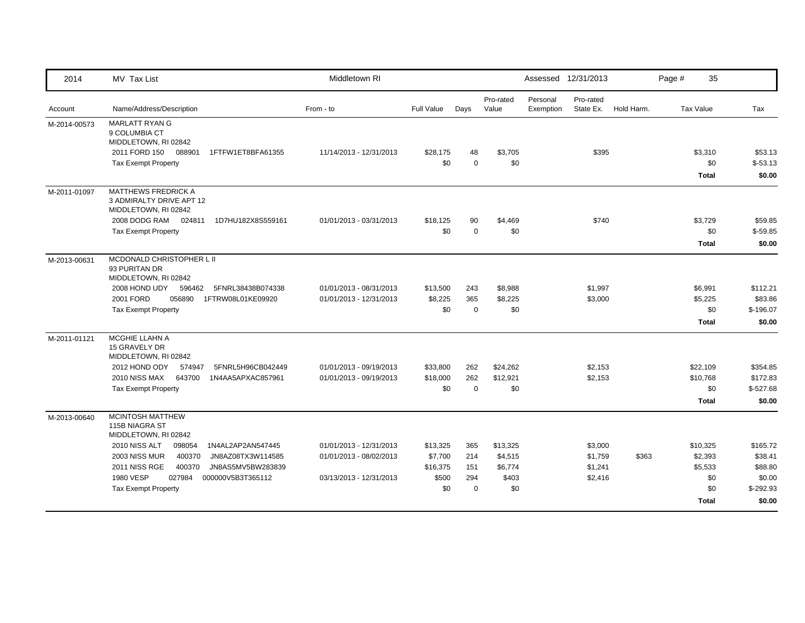| 2014         | MV Tax List                                                                                                                                                                                                                                                                                               | Middletown RI                                                                 |                                                 |                                      |                                                | Assessed 12/31/2013   |                                          |            | Page # | 35                                                    |                                                                  |
|--------------|-----------------------------------------------------------------------------------------------------------------------------------------------------------------------------------------------------------------------------------------------------------------------------------------------------------|-------------------------------------------------------------------------------|-------------------------------------------------|--------------------------------------|------------------------------------------------|-----------------------|------------------------------------------|------------|--------|-------------------------------------------------------|------------------------------------------------------------------|
| Account      | Name/Address/Description                                                                                                                                                                                                                                                                                  | From - to                                                                     | Full Value                                      | Days                                 | Pro-rated<br>Value                             | Personal<br>Exemption | Pro-rated<br>State Ex.                   | Hold Harm. |        | Tax Value                                             | Tax                                                              |
| M-2014-00573 | <b>MARLATT RYAN G</b><br>9 COLUMBIA CT<br>MIDDLETOWN, RI 02842<br>2011 FORD 150 088901<br>1FTFW1ET8BFA61355<br><b>Tax Exempt Property</b>                                                                                                                                                                 | 11/14/2013 - 12/31/2013                                                       | \$28,175<br>\$0                                 | 48<br>$\mathbf 0$                    | \$3,705<br>\$0                                 |                       | \$395                                    |            |        | \$3,310<br>\$0<br><b>Total</b>                        | \$53.13<br>$$-53.13$<br>\$0.00                                   |
| M-2011-01097 | <b>MATTHEWS FREDRICK A</b><br>3 ADMIRALTY DRIVE APT 12<br>MIDDLETOWN, RI 02842<br>2008 DODG RAM 024811<br>1D7HU182X8S559161<br><b>Tax Exempt Property</b>                                                                                                                                                 | 01/01/2013 - 03/31/2013                                                       | \$18,125<br>\$0                                 | 90<br>$\mathbf 0$                    | \$4,469<br>\$0                                 |                       | \$740                                    |            |        | \$3,729<br>\$0<br><b>Total</b>                        | \$59.85<br>$$-59.85$<br>\$0.00                                   |
| M-2013-00631 | MCDONALD CHRISTOPHER L II<br>93 PURITAN DR<br>MIDDLETOWN, RI 02842<br>2008 HOND UDY<br>596462<br>5FNRL38438B074338<br>2001 FORD<br>056890<br>1FTRW08L01KE09920<br><b>Tax Exempt Property</b>                                                                                                              | 01/01/2013 - 08/31/2013<br>01/01/2013 - 12/31/2013                            | \$13,500<br>\$8,225<br>\$0                      | 243<br>365<br>$\mathbf 0$            | \$8,988<br>\$8,225<br>\$0                      |                       | \$1,997<br>\$3,000                       |            |        | \$6,991<br>\$5,225<br>\$0<br><b>Total</b>             | \$112.21<br>\$83.86<br>$$-196.07$<br>\$0.00                      |
| M-2011-01121 | MCGHIE LLAHN A<br>15 GRAVELY DR<br>MIDDLETOWN, RI 02842<br>2012 HOND ODY<br>574947<br>5FNRL5H96CB042449<br>2010 NISS MAX<br>643700<br>1N4AA5APXAC857961<br><b>Tax Exempt Property</b>                                                                                                                     | 01/01/2013 - 09/19/2013<br>01/01/2013 - 09/19/2013                            | \$33,800<br>\$18,000<br>\$0                     | 262<br>262<br>$\Omega$               | \$24,262<br>\$12,921<br>\$0                    |                       | \$2,153<br>\$2,153                       |            |        | \$22,109<br>\$10,768<br>\$0<br>Total                  | \$354.85<br>\$172.83<br>$$-527.68$<br>\$0.00                     |
| M-2013-00640 | <b>MCINTOSH MATTHEW</b><br>115B NIAGRA ST<br>MIDDLETOWN, RI 02842<br>2010 NISS ALT<br>098054<br>1N4AL2AP2AN547445<br><b>2003 NISS MUR</b><br>400370<br>JN8AZ08TX3W114585<br><b>2011 NISS RGE</b><br>400370<br>JN8AS5MV5BW283839<br>1980 VESP<br>027984<br>000000V5B3T365112<br><b>Tax Exempt Property</b> | 01/01/2013 - 12/31/2013<br>01/01/2013 - 08/02/2013<br>03/13/2013 - 12/31/2013 | \$13,325<br>\$7,700<br>\$16,375<br>\$500<br>\$0 | 365<br>214<br>151<br>294<br>$\Omega$ | \$13,325<br>\$4,515<br>\$6,774<br>\$403<br>\$0 |                       | \$3,000<br>\$1,759<br>\$1,241<br>\$2,416 | \$363      |        | \$10,325<br>\$2,393<br>\$5,533<br>\$0<br>\$0<br>Total | \$165.72<br>\$38.41<br>\$88.80<br>\$0.00<br>$$-292.93$<br>\$0.00 |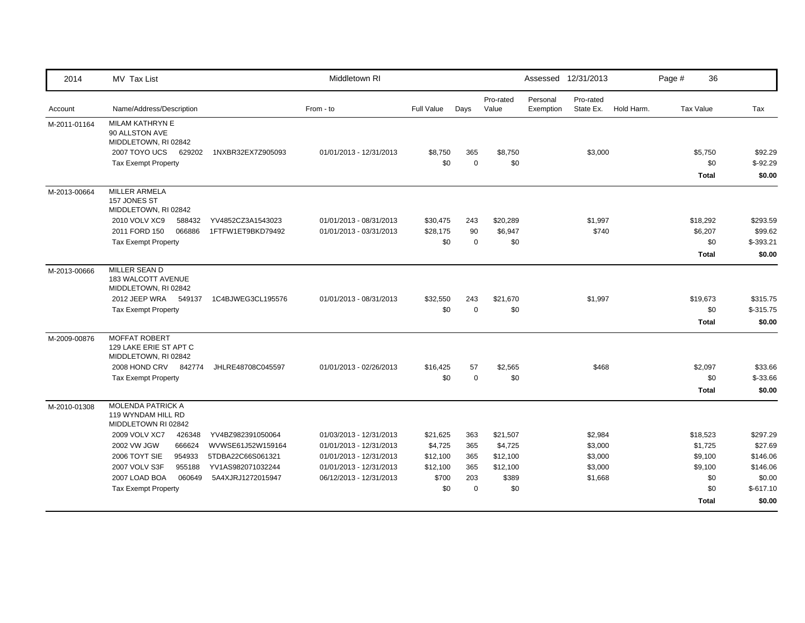| 2014         | MV Tax List                                                                                                                                                                                                                              |                                                                                                       | Middletown RI                                                                                                                       |                                                             |                                             |                                                             | Assessed 12/31/2013   |                                                     |            | Page # | 36                                                               |                                                                               |
|--------------|------------------------------------------------------------------------------------------------------------------------------------------------------------------------------------------------------------------------------------------|-------------------------------------------------------------------------------------------------------|-------------------------------------------------------------------------------------------------------------------------------------|-------------------------------------------------------------|---------------------------------------------|-------------------------------------------------------------|-----------------------|-----------------------------------------------------|------------|--------|------------------------------------------------------------------|-------------------------------------------------------------------------------|
| Account      | Name/Address/Description                                                                                                                                                                                                                 |                                                                                                       | From - to                                                                                                                           | Full Value                                                  | Days                                        | Pro-rated<br>Value                                          | Personal<br>Exemption | Pro-rated<br>State Ex.                              | Hold Harm. |        | Tax Value                                                        | Tax                                                                           |
| M-2011-01164 | MILAM KATHRYN E<br>90 ALLSTON AVE<br>MIDDLETOWN, RI 02842<br><b>2007 TOYO UCS</b><br>629202<br><b>Tax Exempt Property</b>                                                                                                                | 1NXBR32EX7Z905093                                                                                     | 01/01/2013 - 12/31/2013                                                                                                             | \$8,750<br>\$0                                              | 365<br>$\mathbf 0$                          | \$8,750<br>\$0                                              |                       | \$3,000                                             |            |        | \$5,750<br>\$0<br><b>Total</b>                                   | \$92.29<br>$$-92.29$<br>\$0.00                                                |
| M-2013-00664 | <b>MILLER ARMELA</b><br>157 JONES ST<br>MIDDLETOWN, RI 02842<br>2010 VOLV XC9<br>588432<br>2011 FORD 150<br>066886<br><b>Tax Exempt Property</b>                                                                                         | YV4852CZ3A1543023<br>1FTFW1ET9BKD79492                                                                | 01/01/2013 - 08/31/2013<br>01/01/2013 - 03/31/2013                                                                                  | \$30,475<br>\$28,175<br>\$0                                 | 243<br>90<br>$\mathbf 0$                    | \$20,289<br>\$6,947<br>\$0                                  |                       | \$1,997<br>\$740                                    |            |        | \$18,292<br>\$6,207<br>\$0<br>Total                              | \$293.59<br>\$99.62<br>$$-393.21$<br>\$0.00                                   |
| M-2013-00666 | MILLER SEAN D<br>183 WALCOTT AVENUE<br>MIDDLETOWN, RI 02842<br>2012 JEEP WRA 549137<br><b>Tax Exempt Property</b>                                                                                                                        | 1C4BJWEG3CL195576                                                                                     | 01/01/2013 - 08/31/2013                                                                                                             | \$32,550<br>\$0                                             | 243<br>$\mathbf 0$                          | \$21,670<br>\$0                                             |                       | \$1,997                                             |            |        | \$19,673<br>\$0<br><b>Total</b>                                  | \$315.75<br>$$-315.75$<br>\$0.00                                              |
| M-2009-00876 | <b>MOFFAT ROBERT</b><br>129 LAKE ERIE ST APT C<br>MIDDLETOWN, RI 02842<br>2008 HOND CRV 842774<br><b>Tax Exempt Property</b>                                                                                                             | JHLRE48708C045597                                                                                     | 01/01/2013 - 02/26/2013                                                                                                             | \$16,425<br>\$0                                             | 57<br>$\mathbf 0$                           | \$2,565<br>\$0                                              |                       | \$468                                               |            |        | \$2,097<br>\$0<br><b>Total</b>                                   | \$33.66<br>\$-33.66<br>\$0.00                                                 |
| M-2010-01308 | <b>MOLENDA PATRICK A</b><br>119 WYNDAM HILL RD<br>MIDDLETOWN RI 02842<br>2009 VOLV XC7<br>426348<br>2002 VW JGW<br>666624<br>2006 TOYT SIE<br>954933<br>2007 VOLV S3F<br>955188<br>2007 LOAD BOA<br>060649<br><b>Tax Exempt Property</b> | YV4BZ982391050064<br>WVWSE61J52W159164<br>5TDBA22C66S061321<br>YV1AS982071032244<br>5A4XJRJ1272015947 | 01/03/2013 - 12/31/2013<br>01/01/2013 - 12/31/2013<br>01/01/2013 - 12/31/2013<br>01/01/2013 - 12/31/2013<br>06/12/2013 - 12/31/2013 | \$21,625<br>\$4,725<br>\$12,100<br>\$12,100<br>\$700<br>\$0 | 363<br>365<br>365<br>365<br>203<br>$\Omega$ | \$21,507<br>\$4,725<br>\$12,100<br>\$12,100<br>\$389<br>\$0 |                       | \$2,984<br>\$3,000<br>\$3,000<br>\$3,000<br>\$1,668 |            |        | \$18,523<br>\$1,725<br>\$9,100<br>\$9,100<br>\$0<br>\$0<br>Total | \$297.29<br>\$27.69<br>\$146.06<br>\$146.06<br>\$0.00<br>$$-617.10$<br>\$0.00 |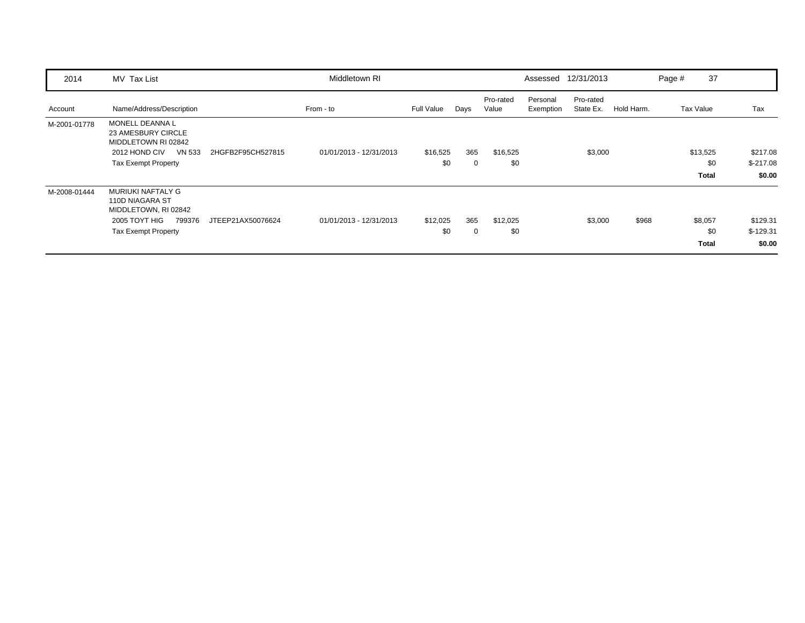| 2014         | MV Tax List                                                                                                                        |                   | Middletown RI           |                   |          |                    |                       | Assessed 12/31/2013    |            | Page # | 37                              |                                  |
|--------------|------------------------------------------------------------------------------------------------------------------------------------|-------------------|-------------------------|-------------------|----------|--------------------|-----------------------|------------------------|------------|--------|---------------------------------|----------------------------------|
| Account      | Name/Address/Description                                                                                                           |                   | From - to               | <b>Full Value</b> | Days     | Pro-rated<br>Value | Personal<br>Exemption | Pro-rated<br>State Ex. | Hold Harm. |        | Tax Value                       | Tax                              |
| M-2001-01778 | <b>MONELL DEANNAL</b><br>23 AMESBURY CIRCLE<br>MIDDLETOWN RI 02842<br>2012 HOND CIV<br><b>VN 533</b><br><b>Tax Exempt Property</b> | 2HGFB2F95CH527815 | 01/01/2013 - 12/31/2013 | \$16,525<br>\$0   | 365<br>0 | \$16,525<br>\$0    |                       | \$3,000                |            |        | \$13,525<br>\$0<br><b>Total</b> | \$217.08<br>$$-217.08$<br>\$0.00 |
| M-2008-01444 | MURIUKI NAFTALY G<br>110D NIAGARA ST<br>MIDDLETOWN, RI 02842<br>2005 TOYT HIG<br>799376<br><b>Tax Exempt Property</b>              | JTEEP21AX50076624 | 01/01/2013 - 12/31/2013 | \$12,025<br>\$0   | 365<br>0 | \$12,025<br>\$0    |                       | \$3,000                | \$968      |        | \$8,057<br>\$0<br><b>Total</b>  | \$129.31<br>$$-129.31$<br>\$0.00 |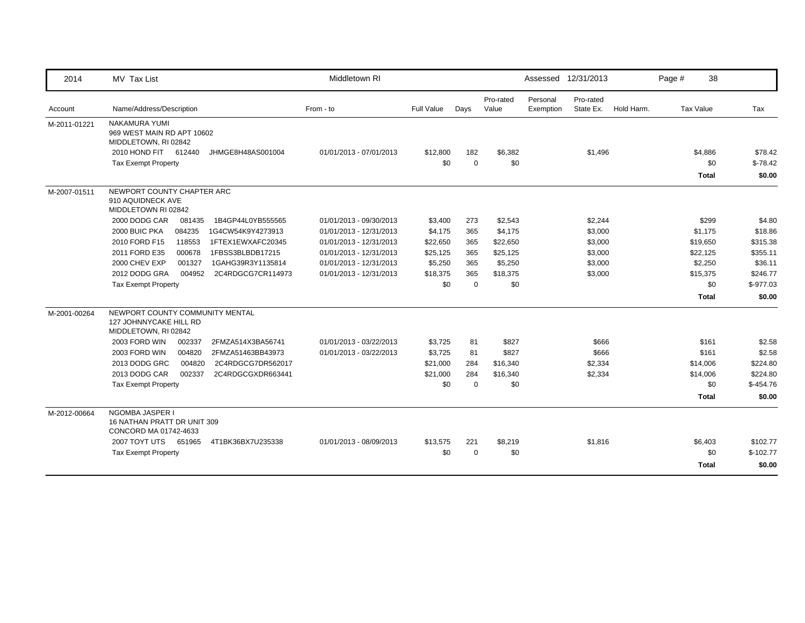| 2014         | MV Tax List                                                                       | Middletown RI           |            |             |                    |                       | Assessed 12/31/2013    |            | Page # | 38           |            |
|--------------|-----------------------------------------------------------------------------------|-------------------------|------------|-------------|--------------------|-----------------------|------------------------|------------|--------|--------------|------------|
| Account      | Name/Address/Description                                                          | From - to               | Full Value | Days        | Pro-rated<br>Value | Personal<br>Exemption | Pro-rated<br>State Ex. | Hold Harm. |        | Tax Value    | Tax        |
| M-2011-01221 | NAKAMURA YUMI<br>969 WEST MAIN RD APT 10602<br>MIDDLETOWN, RI 02842               |                         |            |             |                    |                       |                        |            |        |              |            |
|              | 2010 HOND FIT 612440<br>JHMGE8H48AS001004                                         | 01/01/2013 - 07/01/2013 | \$12,800   | 182         | \$6,382            |                       | \$1,496                |            |        | \$4,886      | \$78.42    |
|              | <b>Tax Exempt Property</b>                                                        |                         | \$0        | $\mathbf 0$ | \$0                |                       |                        |            |        | \$0          | $$-78.42$  |
|              |                                                                                   |                         |            |             |                    |                       |                        |            |        | <b>Total</b> | \$0.00     |
| M-2007-01511 | NEWPORT COUNTY CHAPTER ARC<br>910 AQUIDNECK AVE<br>MIDDLETOWN RI 02842            |                         |            |             |                    |                       |                        |            |        |              |            |
|              | 2000 DODG CAR<br>1B4GP44L0YB555565<br>081435                                      | 01/01/2013 - 09/30/2013 | \$3,400    | 273         | \$2,543            |                       | \$2,244                |            |        | \$299        | \$4.80     |
|              | 2000 BUIC PKA<br>084235<br>1G4CW54K9Y4273913                                      | 01/01/2013 - 12/31/2013 | \$4,175    | 365         | \$4,175            |                       | \$3,000                |            |        | \$1,175      | \$18.86    |
|              | 2010 FORD F15<br>118553<br>1FTEX1EWXAFC20345                                      | 01/01/2013 - 12/31/2013 | \$22,650   | 365         | \$22,650           |                       | \$3,000                |            |        | \$19,650     | \$315.38   |
|              | 2011 FORD E35<br>000678<br>1FBSS3BLBDB17215                                       | 01/01/2013 - 12/31/2013 | \$25,125   | 365         | \$25,125           |                       | \$3,000                |            |        | \$22,125     | \$355.11   |
|              | 2000 CHEV EXP<br>001327<br>1GAHG39R3Y1135814                                      | 01/01/2013 - 12/31/2013 | \$5,250    | 365         | \$5,250            |                       | \$3,000                |            |        | \$2,250      | \$36.11    |
|              | 2012 DODG GRA<br>2C4RDGCG7CR114973<br>004952                                      | 01/01/2013 - 12/31/2013 | \$18,375   | 365         | \$18,375           |                       | \$3,000                |            |        | \$15,375     | \$246.77   |
|              | <b>Tax Exempt Property</b>                                                        |                         | \$0        | $\mathbf 0$ | \$0                |                       |                        |            |        | \$0          | $$-977.03$ |
|              |                                                                                   |                         |            |             |                    |                       |                        |            |        | <b>Total</b> | \$0.00     |
| M-2001-00264 | NEWPORT COUNTY COMMUNITY MENTAL<br>127 JOHNNYCAKE HILL RD<br>MIDDLETOWN, RI 02842 |                         |            |             |                    |                       |                        |            |        |              |            |
|              | 2003 FORD WIN<br>002337<br>2FMZA514X3BA56741                                      | 01/01/2013 - 03/22/2013 | \$3,725    | 81          | \$827              |                       | \$666                  |            |        | \$161        | \$2.58     |
|              | 2003 FORD WIN<br>004820<br>2FMZA51463BB43973                                      | 01/01/2013 - 03/22/2013 | \$3,725    | 81          | \$827              |                       | \$666                  |            |        | \$161        | \$2.58     |
|              | 2013 DODG GRC<br>004820<br>2C4RDGCG7DR562017                                      |                         | \$21,000   | 284         | \$16,340           |                       | \$2,334                |            |        | \$14,006     | \$224.80   |
|              | 2013 DODG CAR<br>002337<br>2C4RDGCGXDR663441                                      |                         | \$21,000   | 284         | \$16,340           |                       | \$2,334                |            |        | \$14,006     | \$224.80   |
|              | <b>Tax Exempt Property</b>                                                        |                         | \$0        | $\Omega$    | \$0                |                       |                        |            |        | \$0          | $$-454.76$ |
|              |                                                                                   |                         |            |             |                    |                       |                        |            |        | <b>Total</b> | \$0.00     |
| M-2012-00664 | NGOMBA JASPER I<br>16 NATHAN PRATT DR UNIT 309<br>CONCORD MA 01742-4633           |                         |            |             |                    |                       |                        |            |        |              |            |
|              | 2007 TOYT UTS 651965<br>4T1BK36BX7U235338                                         | 01/01/2013 - 08/09/2013 | \$13,575   | 221         | \$8,219            |                       | \$1,816                |            |        | \$6,403      | \$102.77   |
|              | <b>Tax Exempt Property</b>                                                        |                         | \$0        | $\mathbf 0$ | \$0                |                       |                        |            |        | \$0          | $$-102.77$ |
|              |                                                                                   |                         |            |             |                    |                       |                        |            |        | <b>Total</b> | \$0.00     |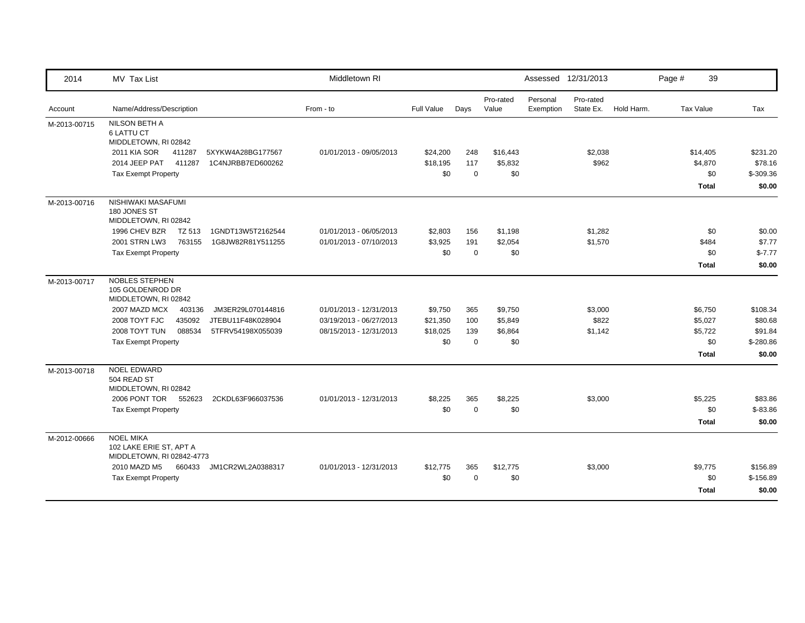| 2014         | MV Tax List                                                              | Middletown RI           |            |             |                    |                       | Assessed 12/31/2013    |            | Page # | 39               |            |
|--------------|--------------------------------------------------------------------------|-------------------------|------------|-------------|--------------------|-----------------------|------------------------|------------|--------|------------------|------------|
| Account      | Name/Address/Description                                                 | From - to               | Full Value | Days        | Pro-rated<br>Value | Personal<br>Exemption | Pro-rated<br>State Ex. | Hold Harm. |        | <b>Tax Value</b> | Tax        |
| M-2013-00715 | <b>NILSON BETH A</b><br><b>6 LATTU CT</b><br>MIDDLETOWN, RI 02842        |                         |            |             |                    |                       |                        |            |        |                  |            |
|              | 2011 KIA SOR<br>411287<br>5XYKW4A28BG177567                              | 01/01/2013 - 09/05/2013 | \$24,200   | 248         | \$16,443           |                       | \$2,038                |            |        | \$14,405         | \$231.20   |
|              | 2014 JEEP PAT<br>411287<br>1C4NJRBB7ED600262                             |                         | \$18,195   | 117         | \$5,832            |                       | \$962                  |            |        | \$4,870          | \$78.16    |
|              | <b>Tax Exempt Property</b>                                               |                         | \$0        | $\mathbf 0$ | \$0                |                       |                        |            |        | \$0              | \$-309.36  |
|              |                                                                          |                         |            |             |                    |                       |                        |            |        | <b>Total</b>     | \$0.00     |
| M-2013-00716 | NISHIWAKI MASAFUMI<br>180 JONES ST<br>MIDDLETOWN, RI 02842               |                         |            |             |                    |                       |                        |            |        |                  |            |
|              | 1996 CHEV BZR<br>TZ 513<br>1GNDT13W5T2162544                             | 01/01/2013 - 06/05/2013 | \$2,803    | 156         | \$1,198            |                       | \$1,282                |            |        | \$0              | \$0.00     |
|              | 2001 STRN LW3<br>763155<br>1G8JW82R81Y511255                             | 01/01/2013 - 07/10/2013 | \$3,925    | 191         | \$2,054            |                       | \$1,570                |            |        | \$484            | \$7.77     |
|              | <b>Tax Exempt Property</b>                                               |                         | \$0        | $\mathbf 0$ | \$0                |                       |                        |            |        | \$0              | $$-7.77$   |
|              |                                                                          |                         |            |             |                    |                       |                        |            |        | <b>Total</b>     | \$0.00     |
| M-2013-00717 | NOBLES STEPHEN<br>105 GOLDENROD DR<br>MIDDLETOWN, RI 02842               |                         |            |             |                    |                       |                        |            |        |                  |            |
|              | 2007 MAZD MCX<br>403136<br>JM3ER29L070144816                             | 01/01/2013 - 12/31/2013 | \$9,750    | 365         | \$9,750            |                       | \$3,000                |            |        | \$6,750          | \$108.34   |
|              | 2008 TOYT FJC<br>435092<br>JTEBU11F48K028904                             | 03/19/2013 - 06/27/2013 | \$21,350   | 100         | \$5,849            |                       | \$822                  |            |        | \$5,027          | \$80.68    |
|              | 2008 TOYT TUN<br>088534<br>5TFRV54198X055039                             | 08/15/2013 - 12/31/2013 | \$18,025   | 139         | \$6,864            |                       | \$1,142                |            |        | \$5,722          | \$91.84    |
|              | <b>Tax Exempt Property</b>                                               |                         | \$0        | $\mathbf 0$ | \$0                |                       |                        |            |        | \$0              | $$-280.86$ |
|              |                                                                          |                         |            |             |                    |                       |                        |            |        | <b>Total</b>     | \$0.00     |
| M-2013-00718 | <b>NOEL EDWARD</b><br>504 READ ST<br>MIDDLETOWN, RI 02842                |                         |            |             |                    |                       |                        |            |        |                  |            |
|              | 2006 PONT TOR 552623<br>2CKDL63F966037536                                | 01/01/2013 - 12/31/2013 | \$8,225    | 365         | \$8,225            |                       | \$3,000                |            |        | \$5,225          | \$83.86    |
|              | <b>Tax Exempt Property</b>                                               |                         | \$0        | $\mathbf 0$ | \$0                |                       |                        |            |        | \$0              | $$-83.86$  |
|              |                                                                          |                         |            |             |                    |                       |                        |            |        | <b>Total</b>     | \$0.00     |
| M-2012-00666 | <b>NOEL MIKA</b><br>102 LAKE ERIE ST, APT A<br>MIDDLETOWN, RI 02842-4773 |                         |            |             |                    |                       |                        |            |        |                  |            |
|              | 2010 MAZD M5<br>660433<br>JM1CR2WL2A0388317                              | 01/01/2013 - 12/31/2013 | \$12,775   | 365         | \$12,775           |                       | \$3,000                |            |        | \$9,775          | \$156.89   |
|              | <b>Tax Exempt Property</b>                                               |                         | \$0        | $\mathbf 0$ | \$0                |                       |                        |            |        | \$0              | $$-156.89$ |
|              |                                                                          |                         |            |             |                    |                       |                        |            |        | <b>Total</b>     | \$0.00     |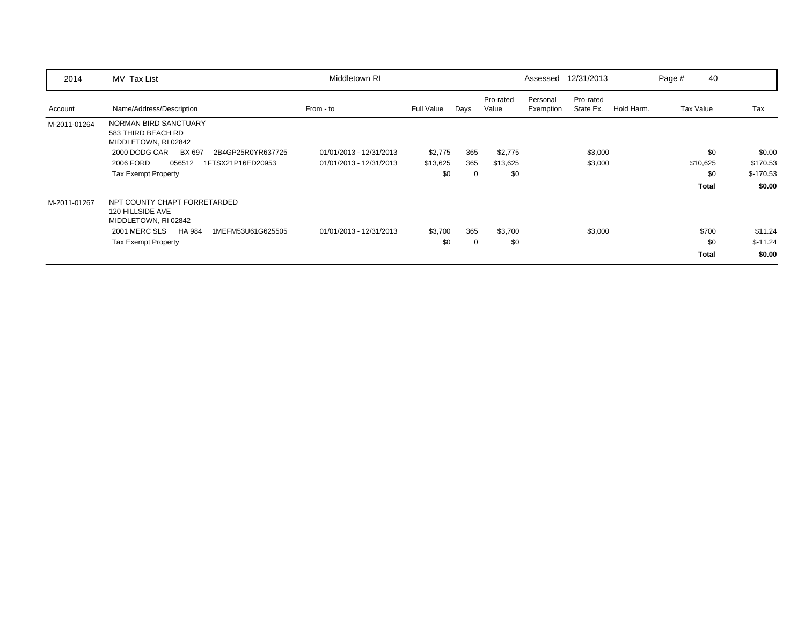| 2014         | MV Tax List                                                                                                            | Middletown RI                                      |                            |                 |                            |                       | Assessed 12/31/2013    |            | Page # | 40                           |                                  |
|--------------|------------------------------------------------------------------------------------------------------------------------|----------------------------------------------------|----------------------------|-----------------|----------------------------|-----------------------|------------------------|------------|--------|------------------------------|----------------------------------|
| Account      | Name/Address/Description                                                                                               | From - to                                          | <b>Full Value</b>          | Days            | Pro-rated<br>Value         | Personal<br>Exemption | Pro-rated<br>State Ex. | Hold Harm. |        | Tax Value                    | Tax                              |
| M-2011-01264 | NORMAN BIRD SANCTUARY<br>583 THIRD BEACH RD<br>MIDDLETOWN, RI 02842                                                    |                                                    |                            |                 |                            |                       |                        |            |        |                              |                                  |
|              | 2000 DODG CAR<br>BX 697<br>2B4GP25R0YR637725<br>2006 FORD<br>056512<br>1FTSX21P16ED20953<br><b>Tax Exempt Property</b> | 01/01/2013 - 12/31/2013<br>01/01/2013 - 12/31/2013 | \$2,775<br>\$13,625<br>\$0 | 365<br>365<br>0 | \$2,775<br>\$13,625<br>\$0 |                       | \$3,000<br>\$3,000     |            |        | \$0<br>\$10,625<br>\$0       | \$0.00<br>\$170.53<br>$$-170.53$ |
| M-2011-01267 | NPT COUNTY CHAPT FORRETARDED<br>120 HILLSIDE AVE<br>MIDDLETOWN, RI 02842                                               |                                                    |                            |                 |                            |                       |                        |            |        | <b>Total</b>                 | \$0.00                           |
|              | 2001 MERC SLS<br>HA 984<br>1MEFM53U61G625505<br><b>Tax Exempt Property</b>                                             | 01/01/2013 - 12/31/2013                            | \$3,700<br>\$0             | 365<br>0        | \$3,700<br>\$0             |                       | \$3,000                |            |        | \$700<br>\$0<br><b>Total</b> | \$11.24<br>$$-11.24$<br>\$0.00   |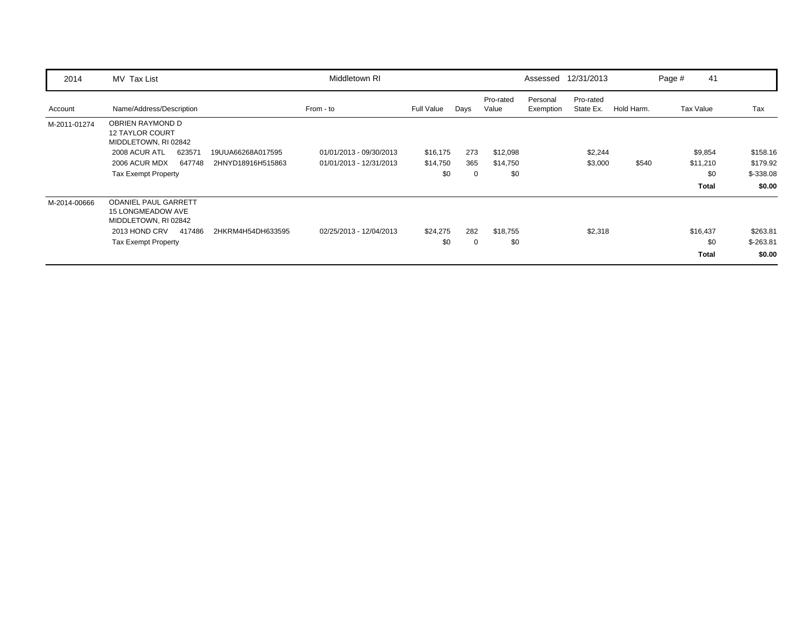| 2014         | MV Tax List                                                                                                                                                   | Middletown RI           |                 |          |                    |                       | Assessed 12/31/2013    |            | Page #    | 41                              |                                  |
|--------------|---------------------------------------------------------------------------------------------------------------------------------------------------------------|-------------------------|-----------------|----------|--------------------|-----------------------|------------------------|------------|-----------|---------------------------------|----------------------------------|
| Account      | Name/Address/Description                                                                                                                                      | From - to               | Full Value      | Days     | Pro-rated<br>Value | Personal<br>Exemption | Pro-rated<br>State Ex. | Hold Harm. | Tax Value |                                 | Tax                              |
| M-2011-01274 | <b>OBRIEN RAYMOND D</b><br><b>12 TAYLOR COURT</b><br>MIDDLETOWN, RI 02842                                                                                     |                         |                 |          |                    |                       |                        |            |           |                                 |                                  |
|              | 2008 ACUR ATL<br>623571<br>19UUA66268A017595                                                                                                                  | 01/01/2013 - 09/30/2013 | \$16,175        | 273      | \$12,098           |                       | \$2,244                |            |           | \$9,854                         | \$158.16                         |
|              | 2006 ACUR MDX<br>647748<br>2HNYD18916H515863                                                                                                                  | 01/01/2013 - 12/31/2013 | \$14,750        | 365      | \$14,750           |                       | \$3,000                | \$540      |           | \$11,210                        | \$179.92                         |
|              | <b>Tax Exempt Property</b>                                                                                                                                    |                         | \$0             | 0        | \$0                |                       |                        |            |           | \$0                             | $$-338.08$                       |
|              |                                                                                                                                                               |                         |                 |          |                    |                       |                        |            |           | <b>Total</b>                    | \$0.00                           |
| M-2014-00666 | <b>ODANIEL PAUL GARRETT</b><br><b>15 LONGMEADOW AVE</b><br>MIDDLETOWN, RI 02842<br>2013 HOND CRV<br>417486<br>2HKRM4H54DH633595<br><b>Tax Exempt Property</b> | 02/25/2013 - 12/04/2013 | \$24,275<br>\$0 | 282<br>0 | \$18,755<br>\$0    |                       | \$2,318                |            |           | \$16,437<br>\$0<br><b>Total</b> | \$263.81<br>$$-263.81$<br>\$0.00 |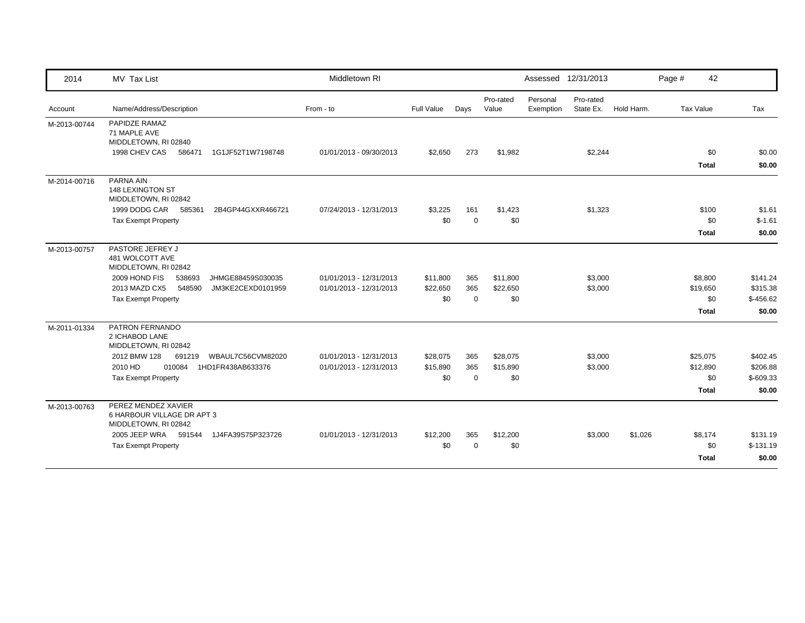| 2014         | MV Tax List                                                               | Middletown RI           |                   |             |                    |                       | Assessed 12/31/2013    |            | Page #    | 42                  |                  |
|--------------|---------------------------------------------------------------------------|-------------------------|-------------------|-------------|--------------------|-----------------------|------------------------|------------|-----------|---------------------|------------------|
| Account      | Name/Address/Description                                                  | From - to               | <b>Full Value</b> | Days        | Pro-rated<br>Value | Personal<br>Exemption | Pro-rated<br>State Ex. | Hold Harm. | Tax Value |                     | Tax              |
| M-2013-00744 | PAPIDZE RAMAZ<br>71 MAPLE AVE<br>MIDDLETOWN, RI 02840                     |                         |                   |             |                    |                       |                        |            |           |                     |                  |
|              | 1998 CHEV CAS<br>586471<br>1G1JF52T1W7198748                              | 01/01/2013 - 09/30/2013 | \$2,650           | 273         | \$1,982            |                       | \$2,244                |            |           | \$0<br><b>Total</b> | \$0.00<br>\$0.00 |
| M-2014-00716 | PARNA AIN<br>148 LEXINGTON ST<br>MIDDLETOWN, RI 02842                     |                         |                   |             |                    |                       |                        |            |           |                     |                  |
|              | 1999 DODG CAR 585361<br>2B4GP44GXXR466721                                 | 07/24/2013 - 12/31/2013 | \$3,225           | 161         | \$1,423            |                       | \$1,323                |            |           | \$100               | \$1.61           |
|              | <b>Tax Exempt Property</b>                                                |                         | \$0               | $\mathbf 0$ | \$0                |                       |                        |            |           | \$0                 | $$-1.61$         |
|              |                                                                           |                         |                   |             |                    |                       |                        |            |           | <b>Total</b>        | \$0.00           |
| M-2013-00757 | PASTORE JEFREY J<br>481 WOLCOTT AVE<br>MIDDLETOWN, RI 02842               |                         |                   |             |                    |                       |                        |            |           |                     |                  |
|              | 2009 HOND FIS<br>538693<br>JHMGE88459S030035                              | 01/01/2013 - 12/31/2013 | \$11,800          | 365         | \$11,800           |                       | \$3,000                |            |           | \$8,800             | \$141.24         |
|              | 2013 MAZD CX5<br>548590<br>JM3KE2CEXD0101959                              | 01/01/2013 - 12/31/2013 | \$22,650          | 365         | \$22,650           |                       | \$3,000                |            |           | \$19,650            | \$315.38         |
|              | <b>Tax Exempt Property</b>                                                |                         | \$0               | $\mathbf 0$ | \$0                |                       |                        |            |           | \$0                 | $$-456.62$       |
|              |                                                                           |                         |                   |             |                    |                       |                        |            |           | <b>Total</b>        | \$0.00           |
| M-2011-01334 | PATRON FERNANDO<br>2 ICHABOD LANE<br>MIDDLETOWN, RI 02842                 |                         |                   |             |                    |                       |                        |            |           |                     |                  |
|              | 2012 BMW 128<br>691219<br>WBAUL7C56CVM82020                               | 01/01/2013 - 12/31/2013 | \$28,075          | 365         | \$28,075           |                       | \$3,000                |            |           | \$25,075            | \$402.45         |
|              | 2010 HD<br>010084<br>1HD1FR438AB633376                                    | 01/01/2013 - 12/31/2013 | \$15,890          | 365         | \$15,890           |                       | \$3,000                |            |           | \$12,890            | \$206.88         |
|              | <b>Tax Exempt Property</b>                                                |                         | \$0               | $\mathbf 0$ | \$0                |                       |                        |            |           | \$0                 | $$-609.33$       |
|              |                                                                           |                         |                   |             |                    |                       |                        |            |           | Total               | \$0.00           |
| M-2013-00763 | PEREZ MENDEZ XAVIER<br>6 HARBOUR VILLAGE DR APT 3<br>MIDDLETOWN, RI 02842 |                         |                   |             |                    |                       |                        |            |           |                     |                  |
|              | 2005 JEEP WRA 591544<br>1J4FA39S75P323726                                 | 01/01/2013 - 12/31/2013 | \$12,200          | 365         | \$12,200           |                       | \$3,000                | \$1,026    |           | \$8,174             | \$131.19         |
|              | <b>Tax Exempt Property</b>                                                |                         | \$0               | $\Omega$    | \$0                |                       |                        |            |           | \$0                 | $$-131.19$       |
|              |                                                                           |                         |                   |             |                    |                       |                        |            |           | Total               | \$0.00           |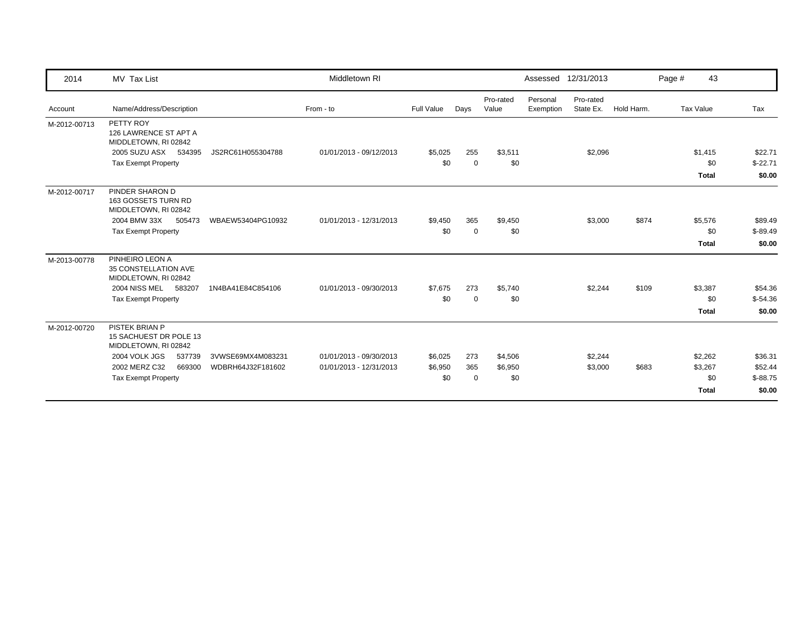| 2014         | MV Tax List                                                      |                   | Middletown RI           |            |             |                    |                       | Assessed 12/31/2013    |            | Page # | 43           |           |
|--------------|------------------------------------------------------------------|-------------------|-------------------------|------------|-------------|--------------------|-----------------------|------------------------|------------|--------|--------------|-----------|
| Account      | Name/Address/Description                                         |                   | From - to               | Full Value | Days        | Pro-rated<br>Value | Personal<br>Exemption | Pro-rated<br>State Ex. | Hold Harm. |        | Tax Value    | Tax       |
| M-2012-00713 | PETTY ROY<br>126 LAWRENCE ST APT A<br>MIDDLETOWN, RI 02842       |                   |                         |            |             |                    |                       |                        |            |        |              |           |
|              | 2005 SUZU ASX 534395                                             | JS2RC61H055304788 | 01/01/2013 - 09/12/2013 | \$5,025    | 255         | \$3,511            |                       | \$2,096                |            |        | \$1,415      | \$22.71   |
|              | <b>Tax Exempt Property</b>                                       |                   |                         | \$0        | $\mathbf 0$ | \$0                |                       |                        |            |        | \$0          | $$-22.71$ |
|              |                                                                  |                   |                         |            |             |                    |                       |                        |            |        | <b>Total</b> | \$0.00    |
| M-2012-00717 | PINDER SHARON D<br>163 GOSSETS TURN RD<br>MIDDLETOWN, RI 02842   |                   |                         |            |             |                    |                       |                        |            |        |              |           |
|              | 2004 BMW 33X<br>505473                                           | WBAEW53404PG10932 | 01/01/2013 - 12/31/2013 | \$9,450    | 365         | \$9,450            |                       | \$3,000                | \$874      |        | \$5,576      | \$89.49   |
|              | <b>Tax Exempt Property</b>                                       |                   |                         | \$0        | $\mathbf 0$ | \$0                |                       |                        |            |        | \$0          | $$-89.49$ |
|              |                                                                  |                   |                         |            |             |                    |                       |                        |            |        | <b>Total</b> | \$0.00    |
| M-2013-00778 | PINHEIRO LEON A<br>35 CONSTELLATION AVE<br>MIDDLETOWN, RI 02842  |                   |                         |            |             |                    |                       |                        |            |        |              |           |
|              | 2004 NISS MEL<br>583207                                          | 1N4BA41E84C854106 | 01/01/2013 - 09/30/2013 | \$7,675    | 273         | \$5,740            |                       | \$2,244                | \$109      |        | \$3,387      | \$54.36   |
|              | <b>Tax Exempt Property</b>                                       |                   |                         | \$0        | $\mathbf 0$ | \$0                |                       |                        |            |        | \$0          | $$-54.36$ |
|              |                                                                  |                   |                         |            |             |                    |                       |                        |            |        | <b>Total</b> | \$0.00    |
| M-2012-00720 | PISTEK BRIAN P<br>15 SACHUEST DR POLE 13<br>MIDDLETOWN, RI 02842 |                   |                         |            |             |                    |                       |                        |            |        |              |           |
|              | 2004 VOLK JGS<br>537739                                          | 3VWSE69MX4M083231 | 01/01/2013 - 09/30/2013 | \$6,025    | 273         | \$4,506            |                       | \$2,244                |            |        | \$2,262      | \$36.31   |
|              | 2002 MERZ C32<br>669300                                          | WDBRH64J32F181602 | 01/01/2013 - 12/31/2013 | \$6,950    | 365         | \$6,950            |                       | \$3,000                | \$683      |        | \$3,267      | \$52.44   |
|              | <b>Tax Exempt Property</b>                                       |                   |                         | \$0        | $\mathbf 0$ | \$0                |                       |                        |            |        | \$0          | $$-88.75$ |
|              |                                                                  |                   |                         |            |             |                    |                       |                        |            |        | <b>Total</b> | \$0.00    |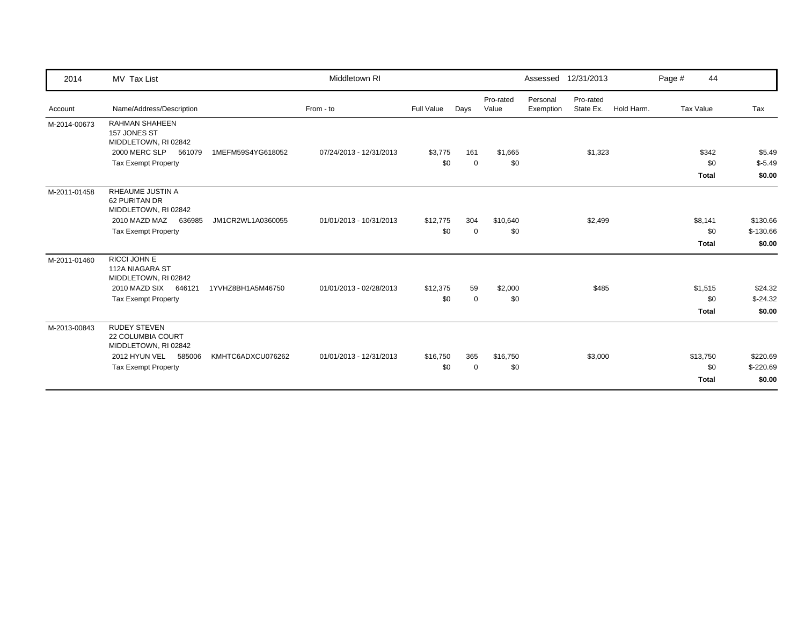| 2014         | MV Tax List                                                                                                               |                   | Middletown RI           |                 |                    |                    |                       | Assessed 12/31/2013    |            | Page # | 44                              |                                  |
|--------------|---------------------------------------------------------------------------------------------------------------------------|-------------------|-------------------------|-----------------|--------------------|--------------------|-----------------------|------------------------|------------|--------|---------------------------------|----------------------------------|
| Account      | Name/Address/Description                                                                                                  |                   | From - to               | Full Value      | Days               | Pro-rated<br>Value | Personal<br>Exemption | Pro-rated<br>State Ex. | Hold Harm. |        | Tax Value                       | Tax                              |
| M-2014-00673 | <b>RAHMAN SHAHEEN</b><br>157 JONES ST<br>MIDDLETOWN, RI 02842<br>2000 MERC SLP<br>561079<br><b>Tax Exempt Property</b>    | 1MEFM59S4YG618052 | 07/24/2013 - 12/31/2013 | \$3,775<br>\$0  | 161<br>$\mathbf 0$ | \$1,665<br>\$0     |                       | \$1,323                |            |        | \$342<br>\$0<br><b>Total</b>    | \$5.49<br>$$-5.49$<br>\$0.00     |
| M-2011-01458 | <b>RHEAUME JUSTIN A</b><br>62 PURITAN DR<br>MIDDLETOWN, RI 02842<br>2010 MAZD MAZ<br>636985<br><b>Tax Exempt Property</b> | JM1CR2WL1A0360055 | 01/01/2013 - 10/31/2013 | \$12,775<br>\$0 | 304<br>$\mathbf 0$ | \$10,640<br>\$0    |                       | \$2,499                |            |        | \$8,141<br>\$0<br><b>Total</b>  | \$130.66<br>$$-130.66$<br>\$0.00 |
| M-2011-01460 | RICCI JOHN E<br>112A NIAGARA ST<br>MIDDLETOWN, RI 02842<br>2010 MAZD SIX<br>646121<br><b>Tax Exempt Property</b>          | 1YVHZ8BH1A5M46750 | 01/01/2013 - 02/28/2013 | \$12,375<br>\$0 | 59<br>$\mathbf 0$  | \$2,000<br>\$0     |                       | \$485                  |            |        | \$1,515<br>\$0<br><b>Total</b>  | \$24.32<br>$$-24.32$<br>\$0.00   |
| M-2013-00843 | <b>RUDEY STEVEN</b><br>22 COLUMBIA COURT<br>MIDDLETOWN, RI 02842<br>2012 HYUN VEL<br>585006<br>Tax Exempt Property        | KMHTC6ADXCU076262 | 01/01/2013 - 12/31/2013 | \$16,750<br>\$0 | 365<br>0           | \$16,750<br>\$0    |                       | \$3,000                |            |        | \$13,750<br>\$0<br><b>Total</b> | \$220.69<br>$$-220.69$<br>\$0.00 |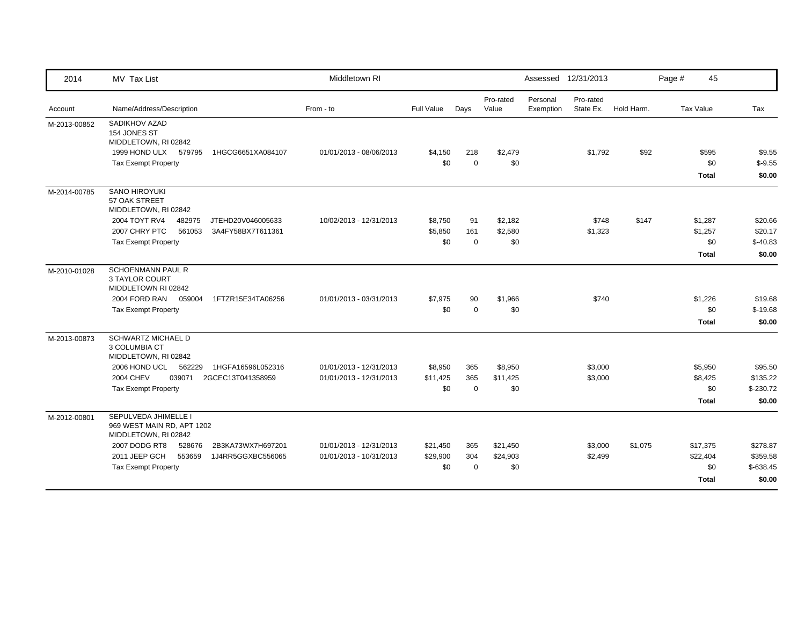| 2014         | MV Tax List                                                                                        | Middletown RI           |            |             |                    | Assessed 12/31/2013   |                        |            | Page #<br>45        |                    |
|--------------|----------------------------------------------------------------------------------------------------|-------------------------|------------|-------------|--------------------|-----------------------|------------------------|------------|---------------------|--------------------|
| Account      | Name/Address/Description                                                                           | From - to               | Full Value | Days        | Pro-rated<br>Value | Personal<br>Exemption | Pro-rated<br>State Ex. | Hold Harm. | <b>Tax Value</b>    | Tax                |
| M-2013-00852 | SADIKHOV AZAD<br>154 JONES ST<br>MIDDLETOWN, RI 02842<br>1HGCG6651XA084107<br>1999 HOND ULX 579795 | 01/01/2013 - 08/06/2013 | \$4,150    | 218         | \$2,479            |                       | \$1,792                | \$92       | \$595               | \$9.55             |
|              | <b>Tax Exempt Property</b>                                                                         |                         | \$0        | $\mathbf 0$ | \$0                |                       |                        |            | \$0<br><b>Total</b> | $$-9.55$<br>\$0.00 |
| M-2014-00785 | <b>SANO HIROYUKI</b><br>57 OAK STREET<br>MIDDLETOWN, RI 02842                                      |                         |            |             |                    |                       |                        |            |                     |                    |
|              | 2004 TOYT RV4<br>482975<br>JTEHD20V046005633                                                       | 10/02/2013 - 12/31/2013 | \$8,750    | 91          | \$2,182            |                       | \$748                  | \$147      | \$1,287             | \$20.66            |
|              | 2007 CHRY PTC<br>561053<br>3A4FY58BX7T611361                                                       |                         | \$5,850    | 161         | \$2,580            |                       | \$1,323                |            | \$1,257             | \$20.17            |
|              | <b>Tax Exempt Property</b>                                                                         |                         | \$0        | $\mathbf 0$ | \$0                |                       |                        |            | \$0                 | $$-40.83$          |
|              |                                                                                                    |                         |            |             |                    |                       |                        |            | <b>Total</b>        | \$0.00             |
| M-2010-01028 | <b>SCHOENMANN PAUL R</b><br>3 TAYLOR COURT<br>MIDDLETOWN RI 02842                                  |                         |            |             |                    |                       |                        |            |                     |                    |
|              | 2004 FORD RAN<br>1FTZR15E34TA06256<br>059004                                                       | 01/01/2013 - 03/31/2013 | \$7,975    | 90          | \$1,966            |                       | \$740                  |            | \$1,226             | \$19.68            |
|              | <b>Tax Exempt Property</b>                                                                         |                         | \$0        | $\mathbf 0$ | \$0                |                       |                        |            | \$0                 | $$-19.68$          |
|              |                                                                                                    |                         |            |             |                    |                       |                        |            | <b>Total</b>        | \$0.00             |
| M-2013-00873 | <b>SCHWARTZ MICHAEL D</b><br>3 COLUMBIA CT<br>MIDDLETOWN, RI 02842                                 |                         |            |             |                    |                       |                        |            |                     |                    |
|              | 2006 HOND UCL<br>562229<br>1HGFA16596L052316                                                       | 01/01/2013 - 12/31/2013 | \$8,950    | 365         | \$8,950            |                       | \$3,000                |            | \$5,950             | \$95.50            |
|              | <b>2004 CHEV</b><br>039071<br>2GCEC13T041358959                                                    | 01/01/2013 - 12/31/2013 | \$11,425   | 365         | \$11,425           |                       | \$3,000                |            | \$8,425             | \$135.22           |
|              | <b>Tax Exempt Property</b>                                                                         |                         | \$0        | $\mathbf 0$ | \$0                |                       |                        |            | \$0                 | $$-230.72$         |
|              |                                                                                                    |                         |            |             |                    |                       |                        |            | <b>Total</b>        | \$0.00             |
| M-2012-00801 | SEPULVEDA JHIMELLE I<br>969 WEST MAIN RD, APT 1202<br>MIDDLETOWN, RI 02842                         |                         |            |             |                    |                       |                        |            |                     |                    |
|              | 2007 DODG RT8<br>528676<br>2B3KA73WX7H697201                                                       | 01/01/2013 - 12/31/2013 | \$21,450   | 365         | \$21,450           |                       | \$3,000                | \$1,075    | \$17,375            | \$278.87           |
|              | 2011 JEEP GCH<br>553659<br>1J4RR5GGXBC556065                                                       | 01/01/2013 - 10/31/2013 | \$29,900   | 304         | \$24,903           |                       | \$2,499                |            | \$22,404            | \$359.58           |
|              | <b>Tax Exempt Property</b>                                                                         |                         | \$0        | $\mathbf 0$ | \$0                |                       |                        |            | \$0                 | $$-638.45$         |
|              |                                                                                                    |                         |            |             |                    |                       |                        |            | <b>Total</b>        | \$0.00             |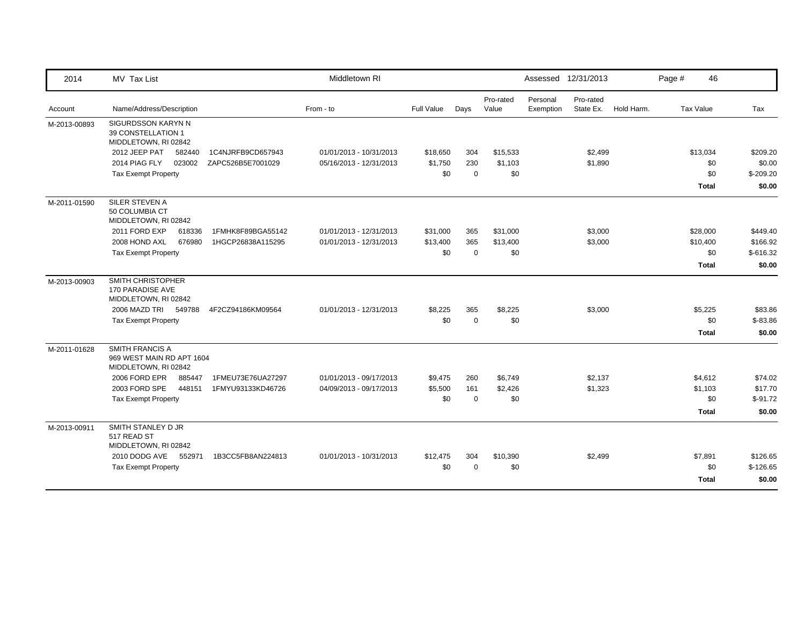| 2014         | MV Tax List                                                          |                   | Middletown RI           |                   |             |                    | Assessed 12/31/2013   |                        |            | Page #    | 46           |            |
|--------------|----------------------------------------------------------------------|-------------------|-------------------------|-------------------|-------------|--------------------|-----------------------|------------------------|------------|-----------|--------------|------------|
| Account      | Name/Address/Description                                             |                   | From - to               | <b>Full Value</b> | Days        | Pro-rated<br>Value | Personal<br>Exemption | Pro-rated<br>State Ex. | Hold Harm. | Tax Value |              | Tax        |
| M-2013-00893 | SIGURDSSON KARYN N<br>39 CONSTELLATION 1<br>MIDDLETOWN, RI 02842     |                   |                         |                   |             |                    |                       |                        |            |           |              |            |
|              | 2012 JEEP PAT<br>582440                                              | 1C4NJRFB9CD657943 | 01/01/2013 - 10/31/2013 | \$18,650          | 304         | \$15,533           |                       | \$2,499                |            |           | \$13,034     | \$209.20   |
|              | 023002<br>2014 PIAG FLY                                              | ZAPC526B5E7001029 | 05/16/2013 - 12/31/2013 | \$1,750           | 230         | \$1,103            |                       | \$1,890                |            |           | \$0          | \$0.00     |
|              | <b>Tax Exempt Property</b>                                           |                   |                         | \$0               | $\mathbf 0$ | \$0                |                       |                        |            |           | \$0          | $$-209.20$ |
|              |                                                                      |                   |                         |                   |             |                    |                       |                        |            |           | <b>Total</b> | \$0.00     |
| M-2011-01590 | SILER STEVEN A<br>50 COLUMBIA CT<br>MIDDLETOWN, RI 02842             |                   |                         |                   |             |                    |                       |                        |            |           |              |            |
|              | 2011 FORD EXP<br>618336                                              | 1FMHK8F89BGA55142 | 01/01/2013 - 12/31/2013 | \$31,000          | 365         | \$31,000           |                       | \$3,000                |            |           | \$28,000     | \$449.40   |
|              | 2008 HOND AXL<br>676980                                              | 1HGCP26838A115295 | 01/01/2013 - 12/31/2013 | \$13,400          | 365         | \$13,400           |                       | \$3,000                |            |           | \$10,400     | \$166.92   |
|              | <b>Tax Exempt Property</b>                                           |                   |                         | \$0               | $\Omega$    | \$0                |                       |                        |            |           | \$0          | $$-616.32$ |
|              |                                                                      |                   |                         |                   |             |                    |                       |                        |            |           | <b>Total</b> | \$0.00     |
| M-2013-00903 | SMITH CHRISTOPHER<br>170 PARADISE AVE<br>MIDDLETOWN, RI 02842        |                   |                         |                   |             |                    |                       |                        |            |           |              |            |
|              | 2006 MAZD TRI 549788                                                 | 4F2CZ94186KM09564 | 01/01/2013 - 12/31/2013 | \$8,225           | 365         | \$8,225            |                       | \$3,000                |            |           | \$5,225      | \$83.86    |
|              | <b>Tax Exempt Property</b>                                           |                   |                         | \$0               | $\Omega$    | \$0                |                       |                        |            |           | \$0          | $$-83.86$  |
|              |                                                                      |                   |                         |                   |             |                    |                       |                        |            |           | <b>Total</b> | \$0.00     |
| M-2011-01628 | SMITH FRANCIS A<br>969 WEST MAIN RD APT 1604<br>MIDDLETOWN, RI 02842 |                   |                         |                   |             |                    |                       |                        |            |           |              |            |
|              | 2006 FORD EPR<br>885447                                              | 1FMEU73E76UA27297 | 01/01/2013 - 09/17/2013 | \$9,475           | 260         | \$6,749            |                       | \$2,137                |            |           | \$4,612      | \$74.02    |
|              | 2003 FORD SPE<br>448151                                              | 1FMYU93133KD46726 | 04/09/2013 - 09/17/2013 | \$5,500           | 161         | \$2,426            |                       | \$1,323                |            |           | \$1,103      | \$17.70    |
|              | <b>Tax Exempt Property</b>                                           |                   |                         | \$0               | $\Omega$    | \$0                |                       |                        |            |           | \$0          | $$-91.72$  |
|              |                                                                      |                   |                         |                   |             |                    |                       |                        |            |           | <b>Total</b> | \$0.00     |
| M-2013-00911 | SMITH STANLEY D JR<br>517 READ ST<br>MIDDLETOWN, RI 02842            |                   |                         |                   |             |                    |                       |                        |            |           |              |            |
|              | 2010 DODG AVE 552971                                                 | 1B3CC5FB8AN224813 | 01/01/2013 - 10/31/2013 | \$12,475          | 304         | \$10,390           |                       | \$2,499                |            |           | \$7,891      | \$126.65   |
|              | <b>Tax Exempt Property</b>                                           |                   |                         | \$0               | $\Omega$    | \$0                |                       |                        |            |           | \$0          | $$-126.65$ |
|              |                                                                      |                   |                         |                   |             |                    |                       |                        |            |           | <b>Total</b> | \$0.00     |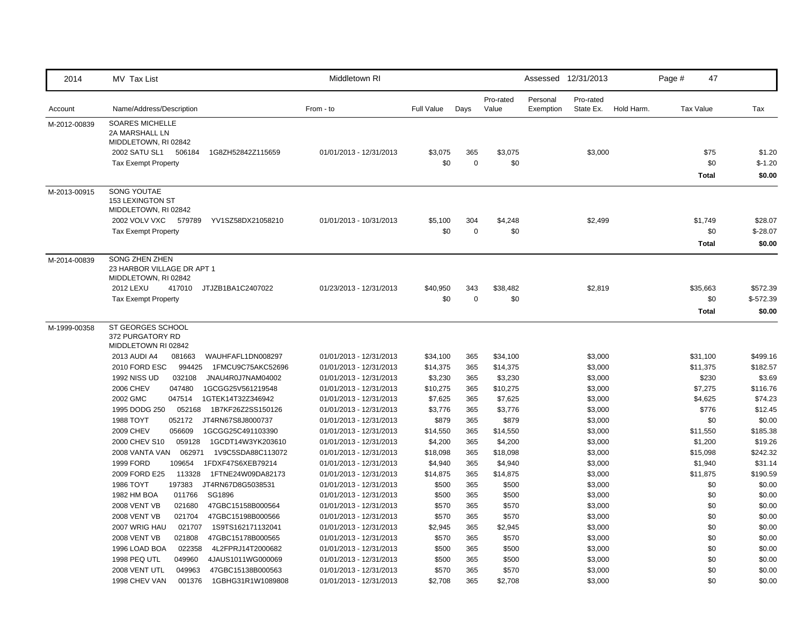| 2014         | MV Tax List                                                          | Middletown RI           |                   |                  |                    | Assessed 12/31/2013   |                        |            | Page # | 47               |            |
|--------------|----------------------------------------------------------------------|-------------------------|-------------------|------------------|--------------------|-----------------------|------------------------|------------|--------|------------------|------------|
| Account      | Name/Address/Description                                             | From - to               | <b>Full Value</b> | Days             | Pro-rated<br>Value | Personal<br>Exemption | Pro-rated<br>State Ex. | Hold Harm. |        | <b>Tax Value</b> | Tax        |
| M-2012-00839 | <b>SOARES MICHELLE</b><br>2A MARSHALL LN<br>MIDDLETOWN, RI 02842     |                         |                   |                  |                    |                       |                        |            |        |                  |            |
|              | 2002 SATU SL1<br>1G8ZH52842Z115659<br>506184                         | 01/01/2013 - 12/31/2013 | \$3,075           | 365              | \$3,075            |                       | \$3,000                |            |        | \$75             | \$1.20     |
|              | <b>Tax Exempt Property</b>                                           |                         | \$0               | $\boldsymbol{0}$ | \$0                |                       |                        |            |        | \$0              | $$-1.20$   |
|              |                                                                      |                         |                   |                  |                    |                       |                        |            |        | <b>Total</b>     | \$0.00     |
| M-2013-00915 | SONG YOUTAE<br>153 LEXINGTON ST<br>MIDDLETOWN, RI 02842              |                         |                   |                  |                    |                       |                        |            |        |                  |            |
|              | 2002 VOLV VXC<br>579789<br>YV1SZ58DX21058210                         | 01/01/2013 - 10/31/2013 | \$5,100           | 304              | \$4,248            |                       | \$2,499                |            |        | \$1,749          | \$28.07    |
|              | <b>Tax Exempt Property</b>                                           |                         | \$0               | $\mathbf 0$      | \$0                |                       |                        |            |        | \$0              | $$-28.07$  |
|              |                                                                      |                         |                   |                  |                    |                       |                        |            |        | <b>Total</b>     | \$0.00     |
| M-2014-00839 | SONG ZHEN ZHEN<br>23 HARBOR VILLAGE DR APT 1<br>MIDDLETOWN, RI 02842 |                         |                   |                  |                    |                       |                        |            |        |                  |            |
|              | 2012 LEXU<br>417010<br>JTJZB1BA1C2407022                             | 01/23/2013 - 12/31/2013 | \$40,950          | 343              | \$38,482           |                       | \$2,819                |            |        | \$35,663         | \$572.39   |
|              | <b>Tax Exempt Property</b>                                           |                         | \$0               | $\mathbf 0$      | \$0                |                       |                        |            |        | \$0              | $$-572.39$ |
|              |                                                                      |                         |                   |                  |                    |                       |                        |            |        | <b>Total</b>     | \$0.00     |
| M-1999-00358 | ST GEORGES SCHOOL<br>372 PURGATORY RD<br>MIDDLETOWN RI 02842         |                         |                   |                  |                    |                       |                        |            |        |                  |            |
|              | 2013 AUDI A4<br>081663<br>WAUHFAFL1DN008297                          | 01/01/2013 - 12/31/2013 | \$34,100          | 365              | \$34,100           |                       | \$3,000                |            |        | \$31,100         | \$499.16   |
|              | 2010 FORD ESC<br>994425<br>1FMCU9C75AKC52696                         | 01/01/2013 - 12/31/2013 | \$14,375          | 365              | \$14,375           |                       | \$3,000                |            |        | \$11,375         | \$182.57   |
|              | <b>1992 NISS UD</b><br>032108<br>JNAU4R0J7NAM04002                   | 01/01/2013 - 12/31/2013 | \$3,230           | 365              | \$3,230            |                       | \$3,000                |            |        | \$230            | \$3.69     |
|              | <b>2006 CHEV</b><br>047480<br>1GCGG25V561219548                      | 01/01/2013 - 12/31/2013 | \$10,275          | 365              | \$10,275           |                       | \$3,000                |            |        | \$7,275          | \$116.76   |
|              | 2002 GMC<br>047514<br>1GTEK14T32Z346942                              | 01/01/2013 - 12/31/2013 | \$7,625           | 365              | \$7,625            |                       | \$3,000                |            |        | \$4,625          | \$74.23    |
|              | 1995 DODG 250<br>052168<br>1B7KF26Z2SS150126                         | 01/01/2013 - 12/31/2013 | \$3,776           | 365              | \$3,776            |                       | \$3,000                |            |        | \$776            | \$12.45    |
|              | 1988 TOYT<br>052172<br>JT4RN67S8J8000737                             | 01/01/2013 - 12/31/2013 | \$879             | 365              | \$879              |                       | \$3,000                |            |        | \$0              | \$0.00     |
|              | 056609<br><b>2009 CHEV</b><br>1GCGG25C491103390                      | 01/01/2013 - 12/31/2013 | \$14,550          | 365              | \$14,550           |                       | \$3,000                |            |        | \$11,550         | \$185.38   |
|              | 059128<br>1GCDT14W3YK203610<br>2000 CHEV S10                         | 01/01/2013 - 12/31/2013 | \$4,200           | 365              | \$4,200            |                       | \$3,000                |            |        | \$1,200          | \$19.26    |
|              | 2008 VANTA VAN<br>062971<br>1V9C5SDA88C113072                        | 01/01/2013 - 12/31/2013 | \$18,098          | 365              | \$18,098           |                       | \$3,000                |            |        | \$15,098         | \$242.32   |
|              | <b>1999 FORD</b><br>109654<br>1FDXF47S6XEB79214                      | 01/01/2013 - 12/31/2013 | \$4,940           | 365              | \$4,940            |                       | \$3,000                |            |        | \$1,940          | \$31.14    |
|              | 2009 FORD E25<br>113328 1FTNE24W09DA82173                            | 01/01/2013 - 12/31/2013 | \$14,875          | 365              | \$14,875           |                       | \$3,000                |            |        | \$11,875         | \$190.59   |
|              | 1986 TOYT<br>197383<br>JT4RN67D8G5038531                             | 01/01/2013 - 12/31/2013 | \$500             | 365              | \$500              |                       | \$3,000                |            |        | \$0              | \$0.00     |
|              | 011766<br>SG1896<br>1982 HM BOA                                      | 01/01/2013 - 12/31/2013 | \$500             | 365              | \$500              |                       | \$3,000                |            |        | \$0              | \$0.00     |
|              | <b>2008 VENT VB</b><br>021680<br>47GBC15158B000564                   | 01/01/2013 - 12/31/2013 | \$570             | 365              | \$570              |                       | \$3,000                |            |        | \$0              | \$0.00     |
|              | <b>2008 VENT VB</b><br>021704<br>47GBC15198B000566                   | 01/01/2013 - 12/31/2013 | \$570             | 365              | \$570              |                       | \$3,000                |            |        | \$0              | \$0.00     |
|              | 2007 WRIG HAU<br>021707<br>1S9TS162171132041                         | 01/01/2013 - 12/31/2013 | \$2,945           | 365              | \$2,945            |                       | \$3,000                |            |        | \$0              | \$0.00     |
|              | <b>2008 VENT VB</b><br>021808<br>47GBC15178B000565                   | 01/01/2013 - 12/31/2013 | \$570             | 365              | \$570              |                       | \$3,000                |            |        | \$0              | \$0.00     |
|              | 1996 LOAD BOA<br>022358<br>4L2FPRJ14T2000682                         | 01/01/2013 - 12/31/2013 | \$500             | 365              | \$500              |                       | \$3,000                |            |        | \$0              | \$0.00     |
|              | 1998 PEQ UTL<br>049960<br>4JAUS1011WG000069                          | 01/01/2013 - 12/31/2013 | \$500             | 365              | \$500              |                       | \$3,000                |            |        | \$0              | \$0.00     |
|              | 2008 VENT UTL<br>049963<br>47GBC15138B000563                         | 01/01/2013 - 12/31/2013 | \$570             | 365              | \$570              |                       | \$3,000                |            |        | \$0              | \$0.00     |
|              | 1998 CHEV VAN<br>001376<br>1GBHG31R1W1089808                         | 01/01/2013 - 12/31/2013 | \$2,708           | 365              | \$2,708            |                       | \$3,000                |            |        | \$0              | \$0.00     |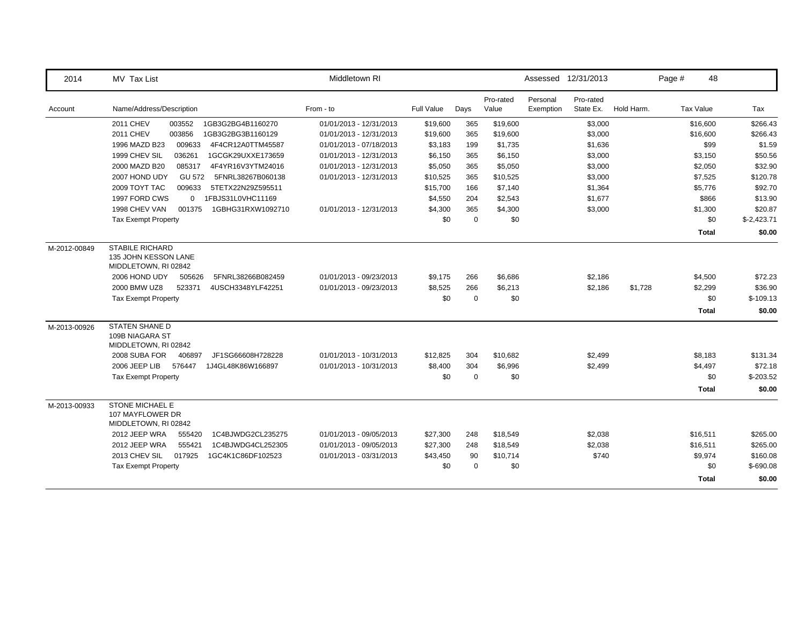| 2014         | MV Tax List                                                            | Middletown RI           |                   |             |                    |                       | Assessed 12/31/2013    |            | Page #           | 48           |              |
|--------------|------------------------------------------------------------------------|-------------------------|-------------------|-------------|--------------------|-----------------------|------------------------|------------|------------------|--------------|--------------|
| Account      | Name/Address/Description                                               | From - to               | <b>Full Value</b> | Days        | Pro-rated<br>Value | Personal<br>Exemption | Pro-rated<br>State Ex. | Hold Harm. | <b>Tax Value</b> |              | Tax          |
|              | 2011 CHEV<br>1GB3G2BG4B1160270<br>003552                               | 01/01/2013 - 12/31/2013 | \$19,600          | 365         | \$19,600           |                       | \$3,000                |            |                  | \$16,600     | \$266.43     |
|              | <b>2011 CHEV</b><br>003856<br>1GB3G2BG3B1160129                        | 01/01/2013 - 12/31/2013 | \$19,600          | 365         | \$19,600           |                       | \$3,000                |            |                  | \$16,600     | \$266.43     |
|              | 1996 MAZD B23<br>009633<br>4F4CR12A0TTM45587                           | 01/01/2013 - 07/18/2013 | \$3,183           | 199         | \$1,735            |                       | \$1,636                |            |                  | \$99         | \$1.59       |
|              | 1999 CHEV SIL<br>036261<br>1GCGK29UXXE173659                           | 01/01/2013 - 12/31/2013 | \$6,150           | 365         | \$6,150            |                       | \$3,000                |            |                  | \$3,150      | \$50.56      |
|              | 2000 MAZD B20<br>085317<br>4F4YR16V3YTM24016                           | 01/01/2013 - 12/31/2013 | \$5,050           | 365         | \$5,050            |                       | \$3,000                |            |                  | \$2,050      | \$32.90      |
|              | 2007 HOND UDY<br><b>GU 572</b><br>5FNRL38267B060138                    | 01/01/2013 - 12/31/2013 | \$10,525          | 365         | \$10,525           |                       | \$3,000                |            |                  | \$7,525      | \$120.78     |
|              | 2009 TOYT TAC<br>009633<br>5TETX22N29Z595511                           |                         | \$15,700          | 166         | \$7,140            |                       | \$1,364                |            |                  | \$5,776      | \$92.70      |
|              | 1FBJS31L0VHC11169<br>1997 FORD CWS<br>$\overline{0}$                   |                         | \$4,550           | 204         | \$2,543            |                       | \$1,677                |            |                  | \$866        | \$13.90      |
|              | 1998 CHEV VAN<br>001375<br>1GBHG31RXW1092710                           | 01/01/2013 - 12/31/2013 | \$4,300           | 365         | \$4,300            |                       | \$3,000                |            |                  | \$1,300      | \$20.87      |
|              | <b>Tax Exempt Property</b>                                             |                         | \$0               | $\mathbf 0$ | \$0                |                       |                        |            |                  | \$0          | $$-2,423.71$ |
|              |                                                                        |                         |                   |             |                    |                       |                        |            |                  | <b>Total</b> | \$0.00       |
| M-2012-00849 | <b>STABILE RICHARD</b><br>135 JOHN KESSON LANE<br>MIDDLETOWN, RI 02842 |                         |                   |             |                    |                       |                        |            |                  |              |              |
|              | 2006 HOND UDY<br>5FNRL38266B082459<br>505626                           | 01/01/2013 - 09/23/2013 | \$9,175           | 266         | \$6,686            |                       | \$2,186                |            |                  | \$4,500      | \$72.23      |
|              | 2000 BMW UZ8<br>523371<br>4USCH3348YLF42251                            | 01/01/2013 - 09/23/2013 | \$8,525           | 266         | \$6,213            |                       | \$2,186                | \$1,728    |                  | \$2,299      | \$36.90      |
|              | <b>Tax Exempt Property</b>                                             |                         | \$0               | $\mathbf 0$ | \$0                |                       |                        |            |                  | \$0          | $$-109.13$   |
|              |                                                                        |                         |                   |             |                    |                       |                        |            |                  | <b>Total</b> | \$0.00       |
| M-2013-00926 | <b>STATEN SHANE D</b><br>109B NIAGARA ST<br>MIDDLETOWN, RI 02842       |                         |                   |             |                    |                       |                        |            |                  |              |              |
|              | 2008 SUBA FOR<br>406897<br>JF1SG66608H728228                           | 01/01/2013 - 10/31/2013 | \$12,825          | 304         | \$10,682           |                       | \$2,499                |            |                  | \$8,183      | \$131.34     |
|              | 2006 JEEP LIB<br>576447<br>1J4GL48K86W166897                           | 01/01/2013 - 10/31/2013 | \$8,400           | 304         | \$6,996            |                       | \$2,499                |            |                  | \$4,497      | \$72.18      |
|              | <b>Tax Exempt Property</b>                                             |                         | \$0               | $\mathbf 0$ | \$0                |                       |                        |            |                  | \$0          | $$-203.52$   |
|              |                                                                        |                         |                   |             |                    |                       |                        |            |                  | Total        | \$0.00       |
| M-2013-00933 | STONE MICHAEL E<br>107 MAYFLOWER DR<br>MIDDLETOWN, RI 02842            |                         |                   |             |                    |                       |                        |            |                  |              |              |
|              | 2012 JEEP WRA<br>555420<br>1C4BJWDG2CL235275                           | 01/01/2013 - 09/05/2013 | \$27,300          | 248         | \$18,549           |                       | \$2,038                |            |                  | \$16,511     | \$265.00     |
|              | 2012 JEEP WRA<br>555421<br>1C4BJWDG4CL252305                           | 01/01/2013 - 09/05/2013 | \$27,300          | 248         | \$18,549           |                       | \$2,038                |            |                  | \$16,511     | \$265.00     |
|              | 2013 CHEV SIL<br>017925<br>1GC4K1C86DF102523                           | 01/01/2013 - 03/31/2013 | \$43,450          | 90          | \$10,714           |                       | \$740                  |            |                  | \$9,974      | \$160.08     |
|              | <b>Tax Exempt Property</b>                                             |                         | \$0               | $\mathbf 0$ | \$0                |                       |                        |            |                  | \$0          | $$-690.08$   |
|              |                                                                        |                         |                   |             |                    |                       |                        |            |                  | <b>Total</b> | \$0.00       |
|              |                                                                        |                         |                   |             |                    |                       |                        |            |                  |              |              |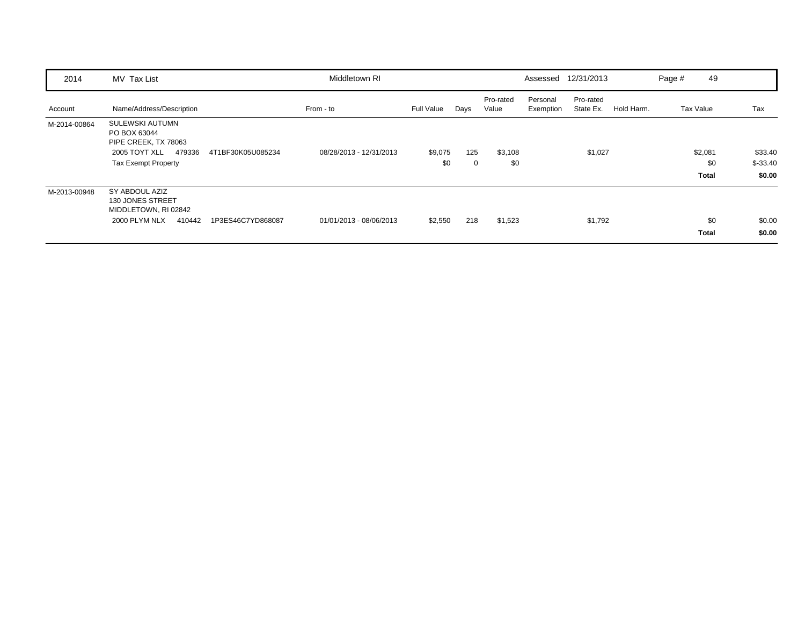| 2014         | MV Tax List                                                                                                             |                   | Middletown RI           |                   |          |                    |                       | Assessed 12/31/2013    |            | Page # | 49                             |                                 |
|--------------|-------------------------------------------------------------------------------------------------------------------------|-------------------|-------------------------|-------------------|----------|--------------------|-----------------------|------------------------|------------|--------|--------------------------------|---------------------------------|
| Account      | Name/Address/Description                                                                                                |                   | From - to               | <b>Full Value</b> | Days     | Pro-rated<br>Value | Personal<br>Exemption | Pro-rated<br>State Ex. | Hold Harm. |        | Tax Value                      | Tax                             |
| M-2014-00864 | <b>SULEWSKI AUTUMN</b><br>PO BOX 63044<br>PIPE CREEK, TX 78063<br>2005 TOYT XLL<br>479336<br><b>Tax Exempt Property</b> | 4T1BF30K05U085234 | 08/28/2013 - 12/31/2013 | \$9,075<br>\$0    | 125<br>0 | \$3,108<br>\$0     |                       | \$1,027                |            |        | \$2,081<br>\$0<br><b>Total</b> | \$33.40<br>$$ -33.40$<br>\$0.00 |
| M-2013-00948 | SY ABDOUL AZIZ<br>130 JONES STREET<br>MIDDLETOWN, RI 02842<br>2000 PLYM NLX<br>410442                                   | 1P3ES46C7YD868087 | 01/01/2013 - 08/06/2013 | \$2,550           | 218      | \$1,523            |                       | \$1,792                |            |        | \$0<br><b>Total</b>            | \$0.00<br>\$0.00                |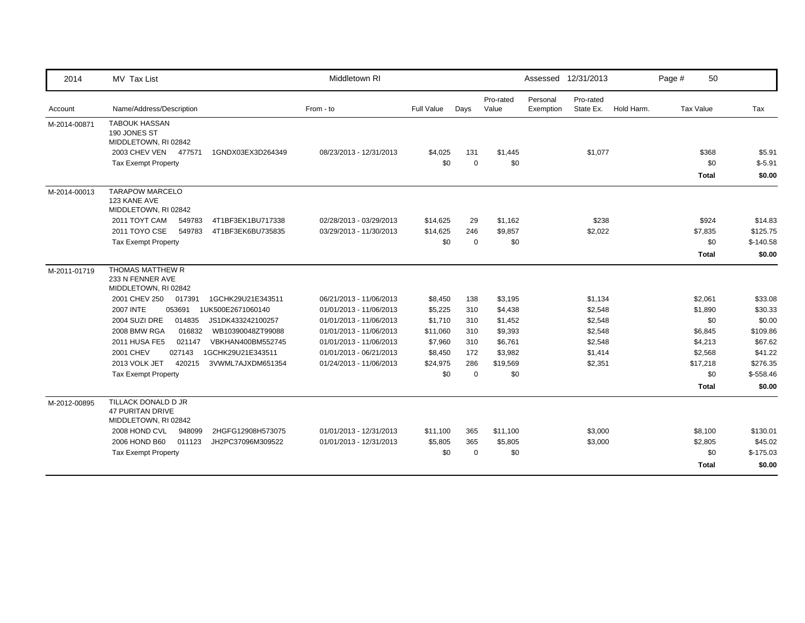| 2014         | <b>MV Tax List</b>                                                     | Middletown RI           |            |             |                    | Assessed 12/31/2013   |                        |            | Page #           | 50           |            |
|--------------|------------------------------------------------------------------------|-------------------------|------------|-------------|--------------------|-----------------------|------------------------|------------|------------------|--------------|------------|
| Account      | Name/Address/Description                                               | From - to               | Full Value | Days        | Pro-rated<br>Value | Personal<br>Exemption | Pro-rated<br>State Ex. | Hold Harm. | <b>Tax Value</b> |              | Tax        |
| M-2014-00871 | <b>TABOUK HASSAN</b><br>190 JONES ST<br>MIDDLETOWN, RI 02842           |                         |            |             |                    |                       |                        |            |                  |              |            |
|              | 2003 CHEV VEN<br>477571<br>1GNDX03EX3D264349                           | 08/23/2013 - 12/31/2013 | \$4,025    | 131         | \$1,445            |                       | \$1,077                |            |                  | \$368        | \$5.91     |
|              | <b>Tax Exempt Property</b>                                             |                         | \$0        | $\mathbf 0$ | \$0                |                       |                        |            |                  | \$0          | $$-5.91$   |
|              |                                                                        |                         |            |             |                    |                       |                        |            |                  | Total        | \$0.00     |
| M-2014-00013 | <b>TARAPOW MARCELO</b><br>123 KANE AVE<br>MIDDLETOWN, RI 02842         |                         |            |             |                    |                       |                        |            |                  |              |            |
|              | 2011 TOYT CAM<br>4T1BF3EK1BU717338<br>549783                           | 02/28/2013 - 03/29/2013 | \$14,625   | 29          | \$1,162            |                       | \$238                  |            |                  | \$924        | \$14.83    |
|              | 2011 TOYO CSE<br>549783<br>4T1BF3EK6BU735835                           | 03/29/2013 - 11/30/2013 | \$14,625   | 246         | \$9,857            |                       | \$2,022                |            |                  | \$7,835      | \$125.75   |
|              | <b>Tax Exempt Property</b>                                             |                         | \$0        | $\mathbf 0$ | \$0                |                       |                        |            |                  | \$0          | $$-140.58$ |
|              |                                                                        |                         |            |             |                    |                       |                        |            |                  | <b>Total</b> | \$0.00     |
| M-2011-01719 | THOMAS MATTHEW R<br>233 N FENNER AVE<br>MIDDLETOWN, RI 02842           |                         |            |             |                    |                       |                        |            |                  |              |            |
|              | 2001 CHEV 250<br>017391<br>1GCHK29U21E343511                           | 06/21/2013 - 11/06/2013 | \$8,450    | 138         | \$3,195            |                       | \$1,134                |            |                  | \$2,061      | \$33.08    |
|              | <b>2007 INTE</b><br>053691<br>1UK500E2671060140                        | 01/01/2013 - 11/06/2013 | \$5,225    | 310         | \$4,438            |                       | \$2,548                |            |                  | \$1,890      | \$30.33    |
|              | 2004 SUZI DRE<br>014835<br>JS1DK433242100257                           | 01/01/2013 - 11/06/2013 | \$1,710    | 310         | \$1,452            |                       | \$2,548                |            |                  | \$0          | \$0.00     |
|              | <b>2008 BMW RGA</b><br>016832<br>WB10390048ZT99088                     | 01/01/2013 - 11/06/2013 | \$11,060   | 310         | \$9,393            |                       | \$2,548                |            |                  | \$6,845      | \$109.86   |
|              | <b>2011 HUSA FE5</b><br>021147<br>VBKHAN400BM552745                    | 01/01/2013 - 11/06/2013 | \$7,960    | 310         | \$6,761            |                       | \$2,548                |            |                  | \$4,213      | \$67.62    |
|              | 2001 CHEV<br>027143<br>1GCHK29U21E343511                               | 01/01/2013 - 06/21/2013 | \$8,450    | 172         | \$3,982            |                       | \$1,414                |            |                  | \$2,568      | \$41.22    |
|              | 2013 VOLK JET<br>420215<br>3VWML7AJXDM651354                           | 01/24/2013 - 11/06/2013 | \$24,975   | 286         | \$19,569           |                       | \$2,351                |            |                  | \$17,218     | \$276.35   |
|              | <b>Tax Exempt Property</b>                                             |                         | \$0        | $\mathbf 0$ | \$0                |                       |                        |            |                  | \$0          | $$-558.46$ |
|              |                                                                        |                         |            |             |                    |                       |                        |            |                  | <b>Total</b> | \$0.00     |
| M-2012-00895 | TILLACK DONALD D JR<br><b>47 PURITAN DRIVE</b><br>MIDDLETOWN, RI 02842 |                         |            |             |                    |                       |                        |            |                  |              |            |
|              | 2008 HOND CVL<br>948099<br>2HGFG12908H573075                           | 01/01/2013 - 12/31/2013 | \$11,100   | 365         | \$11,100           |                       | \$3,000                |            |                  | \$8,100      | \$130.01   |
|              | 2006 HOND B60<br>011123<br>JH2PC37096M309522                           | 01/01/2013 - 12/31/2013 | \$5,805    | 365         | \$5,805            |                       | \$3,000                |            |                  | \$2,805      | \$45.02    |
|              | <b>Tax Exempt Property</b>                                             |                         | \$0        | $\mathbf 0$ | \$0                |                       |                        |            |                  | \$0          | $$-175.03$ |
|              |                                                                        |                         |            |             |                    |                       |                        |            |                  | <b>Total</b> | \$0.00     |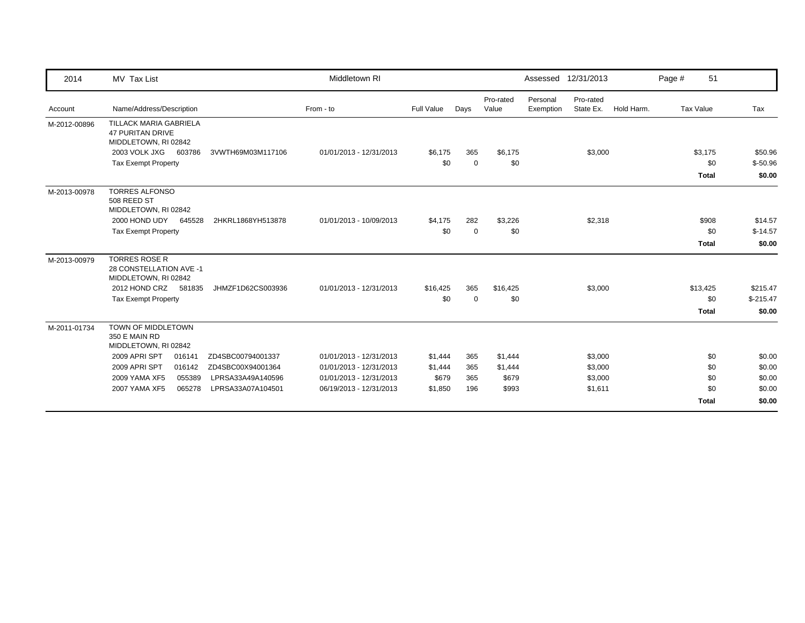| 2014         | MV Tax List                                                                      |                   | Middletown RI           |            |             |                    |                       | Assessed 12/31/2013    |            | Page # | 51               |            |
|--------------|----------------------------------------------------------------------------------|-------------------|-------------------------|------------|-------------|--------------------|-----------------------|------------------------|------------|--------|------------------|------------|
| Account      | Name/Address/Description                                                         |                   | From - to               | Full Value | Days        | Pro-rated<br>Value | Personal<br>Exemption | Pro-rated<br>State Ex. | Hold Harm. |        | <b>Tax Value</b> | Tax        |
| M-2012-00896 | <b>TILLACK MARIA GABRIELA</b><br><b>47 PURITAN DRIVE</b><br>MIDDLETOWN, RI 02842 |                   |                         |            |             |                    |                       |                        |            |        |                  |            |
|              | 2003 VOLK JXG<br>603786                                                          | 3VWTH69M03M117106 | 01/01/2013 - 12/31/2013 | \$6,175    | 365         | \$6,175            |                       | \$3,000                |            |        | \$3,175          | \$50.96    |
|              | <b>Tax Exempt Property</b>                                                       |                   |                         | \$0        | $\mathbf 0$ | \$0                |                       |                        |            |        | \$0              | $$-50.96$  |
|              |                                                                                  |                   |                         |            |             |                    |                       |                        |            |        | <b>Total</b>     | \$0.00     |
| M-2013-00978 | <b>TORRES ALFONSO</b><br>508 REED ST<br>MIDDLETOWN, RI 02842                     |                   |                         |            |             |                    |                       |                        |            |        |                  |            |
|              | 2000 HOND UDY<br>645528                                                          | 2HKRL1868YH513878 | 01/01/2013 - 10/09/2013 | \$4,175    | 282         | \$3,226            |                       | \$2,318                |            |        | \$908            | \$14.57    |
|              | <b>Tax Exempt Property</b>                                                       |                   |                         | \$0        | 0           | \$0                |                       |                        |            |        | \$0              | $$-14.57$  |
|              |                                                                                  |                   |                         |            |             |                    |                       |                        |            |        | <b>Total</b>     | \$0.00     |
| M-2013-00979 | <b>TORRES ROSE R</b><br>28 CONSTELLATION AVE -1<br>MIDDLETOWN, RI 02842          |                   |                         |            |             |                    |                       |                        |            |        |                  |            |
|              | 2012 HOND CRZ<br>581835                                                          | JHMZF1D62CS003936 | 01/01/2013 - 12/31/2013 | \$16,425   | 365         | \$16,425           |                       | \$3,000                |            |        | \$13,425         | \$215.47   |
|              | <b>Tax Exempt Property</b>                                                       |                   |                         | \$0        | $\Omega$    | \$0                |                       |                        |            |        | \$0              | $$-215.47$ |
|              |                                                                                  |                   |                         |            |             |                    |                       |                        |            |        | <b>Total</b>     | \$0.00     |
| M-2011-01734 | TOWN OF MIDDLETOWN<br>350 E MAIN RD<br>MIDDLETOWN, RI 02842                      |                   |                         |            |             |                    |                       |                        |            |        |                  |            |
|              | 2009 APRI SPT<br>016141                                                          | ZD4SBC00794001337 | 01/01/2013 - 12/31/2013 | \$1,444    | 365         | \$1,444            |                       | \$3,000                |            |        | \$0              | \$0.00     |
|              | 2009 APRI SPT<br>016142                                                          | ZD4SBC00X94001364 | 01/01/2013 - 12/31/2013 | \$1,444    | 365         | \$1,444            |                       | \$3,000                |            |        | \$0              | \$0.00     |
|              | 2009 YAMA XF5<br>055389                                                          | LPRSA33A49A140596 | 01/01/2013 - 12/31/2013 | \$679      | 365         | \$679              |                       | \$3,000                |            |        | \$0              | \$0.00     |
|              | 2007 YAMA XF5<br>065278                                                          | LPRSA33A07A104501 | 06/19/2013 - 12/31/2013 | \$1,850    | 196         | \$993              |                       | \$1,611                |            |        | \$0              | \$0.00     |
|              |                                                                                  |                   |                         |            |             |                    |                       |                        |            |        | <b>Total</b>     | \$0.00     |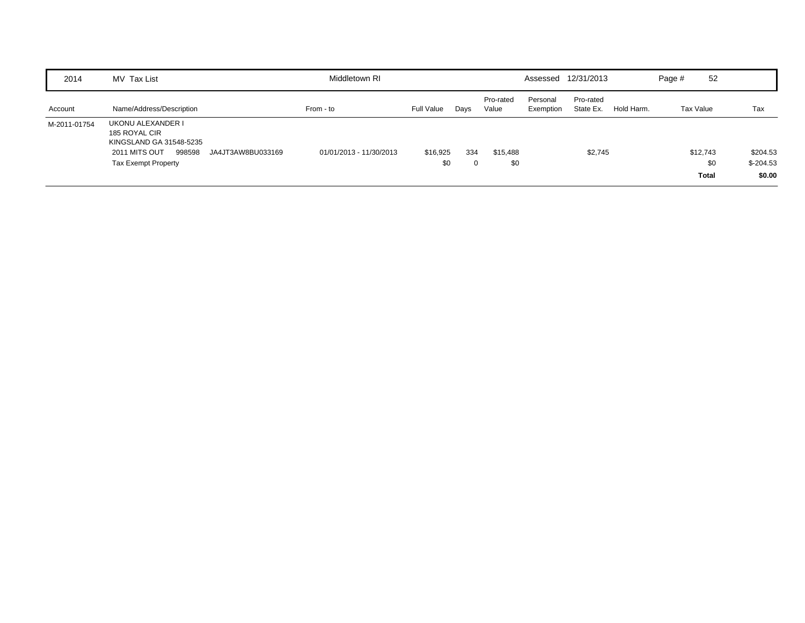| 2014         | MV Tax List                                                                                                                                 | Middletown RI           |                 |      |                    | Assessed              | 12/31/2013             |            | Page #    | 52                              |                                  |
|--------------|---------------------------------------------------------------------------------------------------------------------------------------------|-------------------------|-----------------|------|--------------------|-----------------------|------------------------|------------|-----------|---------------------------------|----------------------------------|
| Account      | Name/Address/Description                                                                                                                    | From - to               | Full Value      | Days | Pro-rated<br>Value | Personal<br>Exemption | Pro-rated<br>State Ex. | Hold Harm. | Tax Value |                                 | Tax                              |
| M-2011-01754 | UKONU ALEXANDER I<br>185 ROYAL CIR<br>KINGSLAND GA 31548-5235<br>998598<br>2011 MITS OUT<br>JA4JT3AW8BU033169<br><b>Tax Exempt Property</b> | 01/01/2013 - 11/30/2013 | \$16,925<br>\$0 | 334  | \$15,488<br>\$0    |                       | \$2,745                |            |           | \$12,743<br>\$0<br><b>Total</b> | \$204.53<br>$$-204.53$<br>\$0.00 |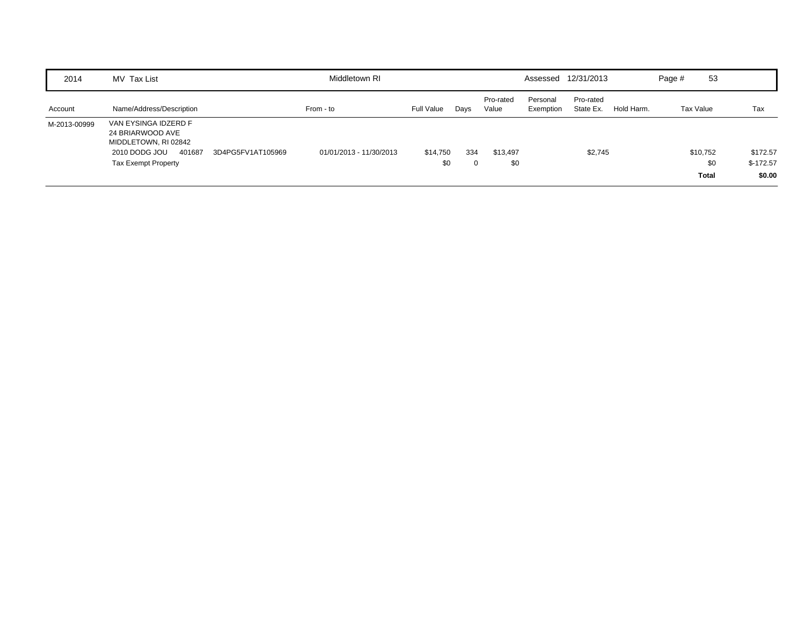| 2014         | MV Tax List                                                                                                                                    | Middletown RI           |                 |      |                    |                       | Assessed 12/31/2013    |            | Page #    | 53              |                        |
|--------------|------------------------------------------------------------------------------------------------------------------------------------------------|-------------------------|-----------------|------|--------------------|-----------------------|------------------------|------------|-----------|-----------------|------------------------|
| Account      | Name/Address/Description                                                                                                                       | From - to               | Full Value      | Days | Pro-rated<br>Value | Personal<br>Exemption | Pro-rated<br>State Ex. | Hold Harm. | Tax Value |                 | Tax                    |
| M-2013-00999 | VAN EYSINGA IDZERD F<br>24 BRIARWOOD AVE<br>MIDDLETOWN, RI 02842<br>2010 DODG JOU<br>401687<br>3D4PG5FV1AT105969<br><b>Tax Exempt Property</b> | 01/01/2013 - 11/30/2013 | \$14,750<br>\$0 | 334  | \$13,497<br>\$0    |                       | \$2,745                |            |           | \$10,752<br>\$0 | \$172.57<br>$$-172.57$ |
|              |                                                                                                                                                |                         |                 |      |                    |                       |                        |            |           | <b>Total</b>    | \$0.00                 |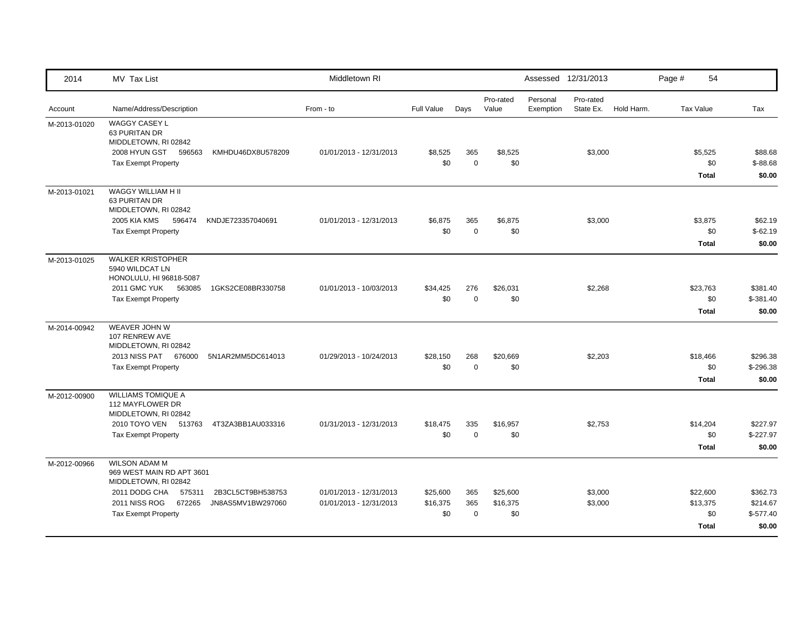| 2014         | MV Tax List                                                                                                                                                                                             | Middletown RI                                      |                             |                           |                             |                       | Assessed 12/31/2013    |            | Page # | 54                                          |                                              |
|--------------|---------------------------------------------------------------------------------------------------------------------------------------------------------------------------------------------------------|----------------------------------------------------|-----------------------------|---------------------------|-----------------------------|-----------------------|------------------------|------------|--------|---------------------------------------------|----------------------------------------------|
| Account      | Name/Address/Description                                                                                                                                                                                | From - to                                          | Full Value                  | Days                      | Pro-rated<br>Value          | Personal<br>Exemption | Pro-rated<br>State Ex. | Hold Harm. |        | Tax Value                                   | Tax                                          |
| M-2013-01020 | WAGGY CASEY L<br>63 PURITAN DR<br>MIDDLETOWN, RI 02842<br>2008 HYUN GST 596563<br>KMHDU46DX8U578209<br><b>Tax Exempt Property</b>                                                                       | 01/01/2013 - 12/31/2013                            | \$8,525<br>\$0              | 365<br>$\mathbf 0$        | \$8,525<br>\$0              |                       | \$3,000                |            |        | \$5,525<br>\$0<br><b>Total</b>              | \$88.68<br>$$-88.68$<br>\$0.00               |
| M-2013-01021 | WAGGY WILLIAM H II<br>63 PURITAN DR<br>MIDDLETOWN, RI 02842<br>2005 KIA KMS<br>596474<br>KNDJE723357040691<br><b>Tax Exempt Property</b>                                                                | 01/01/2013 - 12/31/2013                            | \$6,875<br>\$0              | 365<br>$\mathbf 0$        | \$6,875<br>\$0              |                       | \$3,000                |            |        | \$3,875<br>\$0<br><b>Total</b>              | \$62.19<br>$$-62.19$<br>\$0.00               |
| M-2013-01025 | <b>WALKER KRISTOPHER</b><br>5940 WILDCAT LN<br>HONOLULU, HI 96818-5087<br><b>2011 GMC YUK</b><br>1GKS2CE08BR330758<br>563085<br><b>Tax Exempt Property</b>                                              | 01/01/2013 - 10/03/2013                            | \$34,425<br>\$0             | 276<br>$\mathbf 0$        | \$26,031<br>\$0             |                       | \$2,268                |            |        | \$23,763<br>\$0<br><b>Total</b>             | \$381.40<br>$$-381.40$<br>\$0.00             |
| M-2014-00942 | WEAVER JOHN W<br>107 RENREW AVE<br>MIDDLETOWN, RI 02842<br>2013 NISS PAT 676000<br>5N1AR2MM5DC614013<br><b>Tax Exempt Property</b>                                                                      | 01/29/2013 - 10/24/2013                            | \$28,150<br>\$0             | 268<br>$\mathbf 0$        | \$20,669<br>\$0             |                       | \$2,203                |            |        | \$18,466<br>\$0<br><b>Total</b>             | \$296.38<br>$$-296.38$<br>\$0.00             |
| M-2012-00900 | <b>WILLIAMS TOMIQUE A</b><br>112 MAYFLOWER DR<br>MIDDLETOWN, RI 02842<br>2010 TOYO VEN 513763<br>4T3ZA3BB1AU033316<br><b>Tax Exempt Property</b>                                                        | 01/31/2013 - 12/31/2013                            | \$18,475<br>\$0             | 335<br>$\mathbf 0$        | \$16,957<br>\$0             |                       | \$2,753                |            |        | \$14,204<br>\$0<br><b>Total</b>             | \$227.97<br>$$-227.97$<br>\$0.00             |
| M-2012-00966 | <b>WILSON ADAM M</b><br>969 WEST MAIN RD APT 3601<br>MIDDLETOWN, RI 02842<br>2011 DODG CHA<br>2B3CL5CT9BH538753<br>575311<br>2011 NISS ROG<br>672265<br>JN8AS5MV1BW297060<br><b>Tax Exempt Property</b> | 01/01/2013 - 12/31/2013<br>01/01/2013 - 12/31/2013 | \$25,600<br>\$16,375<br>\$0 | 365<br>365<br>$\mathbf 0$ | \$25,600<br>\$16,375<br>\$0 |                       | \$3,000<br>\$3,000     |            |        | \$22,600<br>\$13,375<br>\$0<br><b>Total</b> | \$362.73<br>\$214.67<br>$$-577.40$<br>\$0.00 |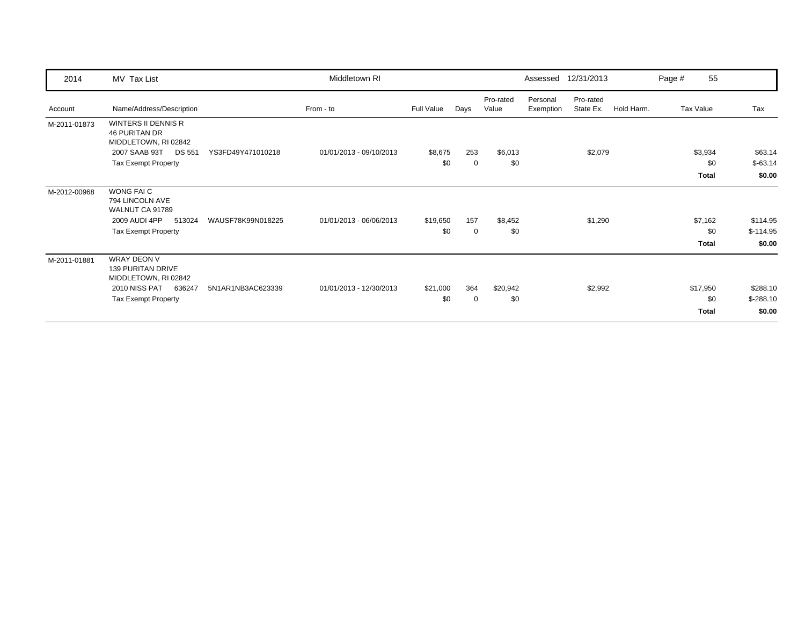| 2014         | MV Tax List                                                            |                   | Middletown RI           |                   |             |                    |                       | Assessed 12/31/2013    |            | Page # | 55        |            |
|--------------|------------------------------------------------------------------------|-------------------|-------------------------|-------------------|-------------|--------------------|-----------------------|------------------------|------------|--------|-----------|------------|
| Account      | Name/Address/Description                                               |                   | From - to               | <b>Full Value</b> | Days        | Pro-rated<br>Value | Personal<br>Exemption | Pro-rated<br>State Ex. | Hold Harm. |        | Tax Value | Tax        |
| M-2011-01873 | WINTERS II DENNIS R<br><b>46 PURITAN DR</b><br>MIDDLETOWN, RI 02842    |                   |                         |                   |             |                    |                       |                        |            |        |           |            |
|              | 2007 SAAB 93T<br><b>DS 551</b>                                         | YS3FD49Y471010218 | 01/01/2013 - 09/10/2013 | \$8,675           | 253         | \$6,013            |                       | \$2,079                |            |        | \$3,934   | \$63.14    |
|              | <b>Tax Exempt Property</b>                                             |                   |                         | \$0               | 0           | \$0                |                       |                        |            |        | \$0       | $$-63.14$  |
|              |                                                                        |                   |                         |                   |             |                    |                       |                        |            |        | Total     | \$0.00     |
| M-2012-00968 | WONG FAIC<br>794 LINCOLN AVE<br>WALNUT CA 91789                        |                   |                         |                   |             |                    |                       |                        |            |        |           |            |
|              | 2009 AUDI 4PP<br>513024                                                | WAUSF78K99N018225 | 01/01/2013 - 06/06/2013 | \$19,650          | 157         | \$8,452            |                       | \$1,290                |            |        | \$7,162   | \$114.95   |
|              | <b>Tax Exempt Property</b>                                             |                   |                         | \$0               | $\mathbf 0$ | \$0                |                       |                        |            |        | \$0       | $$-114.95$ |
|              |                                                                        |                   |                         |                   |             |                    |                       |                        |            |        | Total     | \$0.00     |
| M-2011-01881 | <b>WRAY DEON V</b><br><b>139 PURITAN DRIVE</b><br>MIDDLETOWN, RI 02842 |                   |                         |                   |             |                    |                       |                        |            |        |           |            |
|              | 2010 NISS PAT<br>636247                                                | 5N1AR1NB3AC623339 | 01/01/2013 - 12/30/2013 | \$21,000          | 364         | \$20,942           |                       | \$2,992                |            |        | \$17,950  | \$288.10   |
|              | <b>Tax Exempt Property</b>                                             |                   |                         | \$0               | $\mathbf 0$ | \$0                |                       |                        |            |        | \$0       | $$-288.10$ |
|              |                                                                        |                   |                         |                   |             |                    |                       |                        |            |        | Total     | \$0.00     |